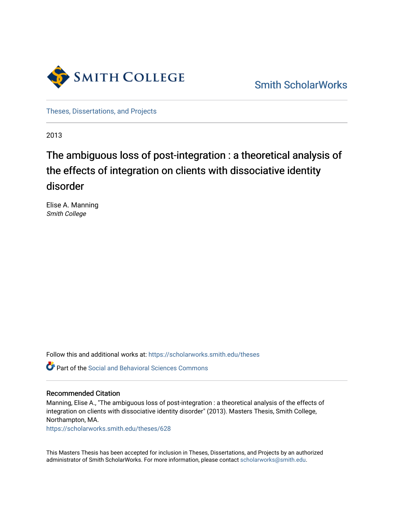

[Smith ScholarWorks](https://scholarworks.smith.edu/) 

[Theses, Dissertations, and Projects](https://scholarworks.smith.edu/theses) 

2013

# The ambiguous loss of post-integration : a theoretical analysis of the effects of integration on clients with dissociative identity disorder

Elise A. Manning Smith College

Follow this and additional works at: [https://scholarworks.smith.edu/theses](https://scholarworks.smith.edu/theses?utm_source=scholarworks.smith.edu%2Ftheses%2F628&utm_medium=PDF&utm_campaign=PDFCoverPages) 

Part of the [Social and Behavioral Sciences Commons](http://network.bepress.com/hgg/discipline/316?utm_source=scholarworks.smith.edu%2Ftheses%2F628&utm_medium=PDF&utm_campaign=PDFCoverPages) 

# Recommended Citation

Manning, Elise A., "The ambiguous loss of post-integration : a theoretical analysis of the effects of integration on clients with dissociative identity disorder" (2013). Masters Thesis, Smith College, Northampton, MA.

[https://scholarworks.smith.edu/theses/628](https://scholarworks.smith.edu/theses/628?utm_source=scholarworks.smith.edu%2Ftheses%2F628&utm_medium=PDF&utm_campaign=PDFCoverPages) 

This Masters Thesis has been accepted for inclusion in Theses, Dissertations, and Projects by an authorized administrator of Smith ScholarWorks. For more information, please contact [scholarworks@smith.edu](mailto:scholarworks@smith.edu).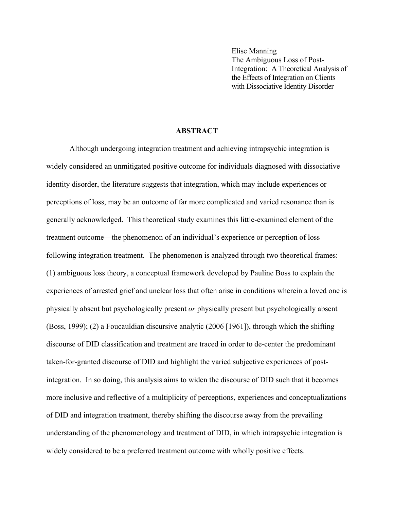Elise Manning The Ambiguous Loss of Post-Integration: A Theoretical Analysis of the Effects of Integration on Clients with Dissociative Identity Disorder

# **ABSTRACT**

Although undergoing integration treatment and achieving intrapsychic integration is widely considered an unmitigated positive outcome for individuals diagnosed with dissociative identity disorder, the literature suggests that integration, which may include experiences or perceptions of loss, may be an outcome of far more complicated and varied resonance than is generally acknowledged. This theoretical study examines this little-examined element of the treatment outcome—the phenomenon of an individual's experience or perception of loss following integration treatment. The phenomenon is analyzed through two theoretical frames: (1) ambiguous loss theory, a conceptual framework developed by Pauline Boss to explain the experiences of arrested grief and unclear loss that often arise in conditions wherein a loved one is physically absent but psychologically present *or* physically present but psychologically absent (Boss, 1999); (2) a Foucauldian discursive analytic (2006 [1961]), through which the shifting discourse of DID classification and treatment are traced in order to de-center the predominant taken-for-granted discourse of DID and highlight the varied subjective experiences of postintegration. In so doing, this analysis aims to widen the discourse of DID such that it becomes more inclusive and reflective of a multiplicity of perceptions, experiences and conceptualizations of DID and integration treatment, thereby shifting the discourse away from the prevailing understanding of the phenomenology and treatment of DID, in which intrapsychic integration is widely considered to be a preferred treatment outcome with wholly positive effects.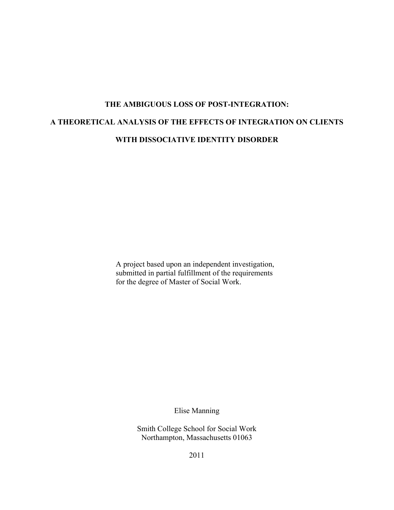# **THE AMBIGUOUS LOSS OF POST-INTEGRATION: A THEORETICAL ANALYSIS OF THE EFFECTS OF INTEGRATION ON CLIENTS WITH DISSOCIATIVE IDENTITY DISORDER**

A project based upon an independent investigation, submitted in partial fulfillment of the requirements for the degree of Master of Social Work.

Elise Manning

Smith College School for Social Work Northampton, Massachusetts 01063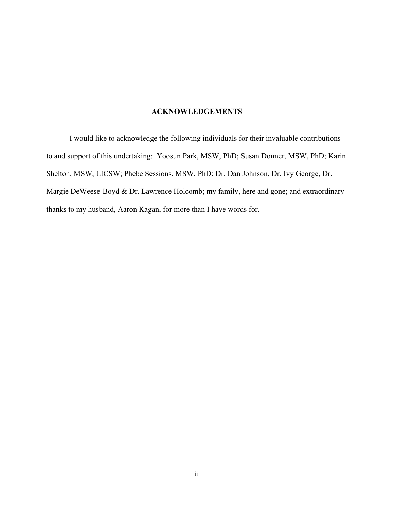# **ACKNOWLEDGEMENTS**

I would like to acknowledge the following individuals for their invaluable contributions to and support of this undertaking: Yoosun Park, MSW, PhD; Susan Donner, MSW, PhD; Karin Shelton, MSW, LICSW; Phebe Sessions, MSW, PhD; Dr. Dan Johnson, Dr. Ivy George, Dr. Margie DeWeese-Boyd & Dr. Lawrence Holcomb; my family, here and gone; and extraordinary thanks to my husband, Aaron Kagan, for more than I have words for.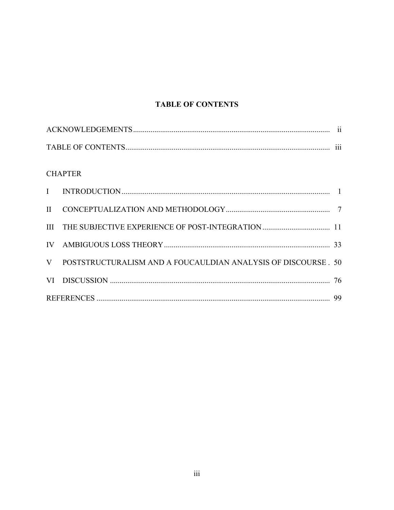# **TABLE OF CONTENTS**

| $\cdot\cdot\cdot$ |
|-------------------|

# **CHAPTER**

| $\Pi$ |                                                                |  |
|-------|----------------------------------------------------------------|--|
|       |                                                                |  |
|       |                                                                |  |
| V     | POSTSTRUCTURALISM AND A FOUCAULDIAN ANALYSIS OF DISCOURSE . 50 |  |
|       |                                                                |  |
|       |                                                                |  |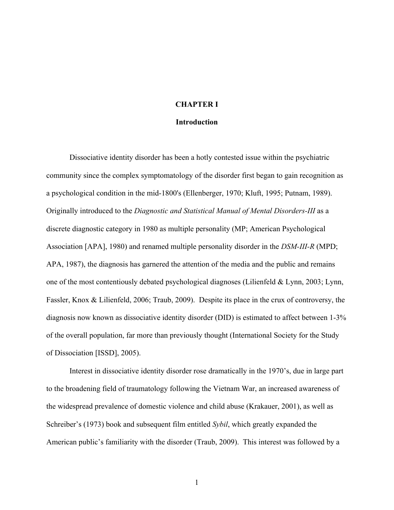# **CHAPTER I**

#### **Introduction**

Dissociative identity disorder has been a hotly contested issue within the psychiatric community since the complex symptomatology of the disorder first began to gain recognition as a psychological condition in the mid-1800's (Ellenberger, 1970; Kluft, 1995; Putnam, 1989). Originally introduced to the *Diagnostic and Statistical Manual of Mental Disorders-III* as a discrete diagnostic category in 1980 as multiple personality (MP; American Psychological Association [APA], 1980) and renamed multiple personality disorder in the *DSM-III-R* (MPD; APA, 1987), the diagnosis has garnered the attention of the media and the public and remains one of the most contentiously debated psychological diagnoses (Lilienfeld & Lynn, 2003; Lynn, Fassler, Knox & Lilienfeld, 2006; Traub, 2009). Despite its place in the crux of controversy, the diagnosis now known as dissociative identity disorder (DID) is estimated to affect between 1-3% of the overall population, far more than previously thought (International Society for the Study of Dissociation [ISSD], 2005).

Interest in dissociative identity disorder rose dramatically in the 1970's, due in large part to the broadening field of traumatology following the Vietnam War, an increased awareness of the widespread prevalence of domestic violence and child abuse (Krakauer, 2001), as well as Schreiber's (1973) book and subsequent film entitled *Sybil*, which greatly expanded the American public's familiarity with the disorder (Traub, 2009). This interest was followed by a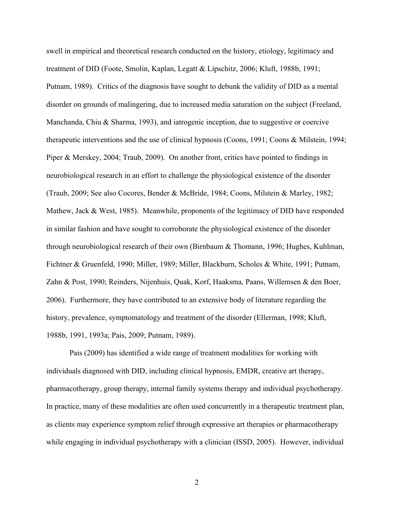swell in empirical and theoretical research conducted on the history, etiology, legitimacy and treatment of DID (Foote, Smolin, Kaplan, Legatt & Lipschitz, 2006; Kluft, 1988b, 1991; Putnam, 1989). Critics of the diagnosis have sought to debunk the validity of DID as a mental disorder on grounds of malingering, due to increased media saturation on the subject (Freeland, Manchanda, Chiu & Sharma, 1993), and iatrogenic inception, due to suggestive or coercive therapeutic interventions and the use of clinical hypnosis (Coons, 1991; Coons & Milstein, 1994; Piper & Merskey, 2004; Traub, 2009). On another front, critics have pointed to findings in neurobiological research in an effort to challenge the physiological existence of the disorder (Traub, 2009; See also Cocores, Bender & McBride, 1984; Coons, Milstein & Marley, 1982; Mathew, Jack & West, 1985). Meanwhile, proponents of the legitimacy of DID have responded in similar fashion and have sought to corroborate the physiological existence of the disorder through neurobiological research of their own (Birnbaum & Thomann, 1996; Hughes, Kuhlman, Fichtner & Gruenfeld, 1990; Miller, 1989; Miller, Blackburn, Scholes & White, 1991; Putnam, Zahn & Post, 1990; Reinders, Nijenhuis, Quak, Korf, Haaksma, Paans, Willemsen & den Boer, 2006). Furthermore, they have contributed to an extensive body of literature regarding the history, prevalence, symptomatology and treatment of the disorder (Ellerman, 1998; Kluft, 1988b, 1991, 1993a; Pais, 2009; Putnam, 1989).

Pais (2009) has identified a wide range of treatment modalities for working with individuals diagnosed with DID, including clinical hypnosis, EMDR, creative art therapy, pharmacotherapy, group therapy, internal family systems therapy and individual psychotherapy. In practice, many of these modalities are often used concurrently in a therapeutic treatment plan, as clients may experience symptom relief through expressive art therapies or pharmacotherapy while engaging in individual psychotherapy with a clinician (ISSD, 2005). However, individual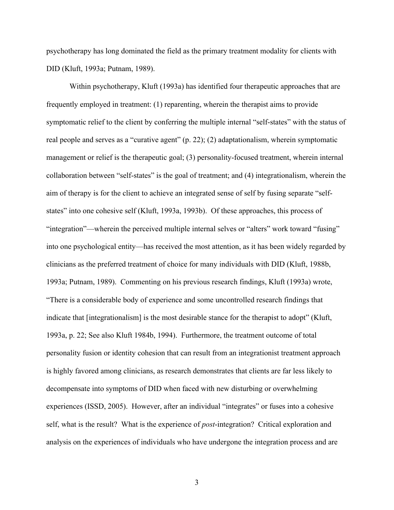psychotherapy has long dominated the field as the primary treatment modality for clients with DID (Kluft, 1993a; Putnam, 1989).

Within psychotherapy, Kluft (1993a) has identified four therapeutic approaches that are frequently employed in treatment: (1) reparenting, wherein the therapist aims to provide symptomatic relief to the client by conferring the multiple internal "self-states" with the status of real people and serves as a "curative agent" (p. 22); (2) adaptationalism, wherein symptomatic management or relief is the therapeutic goal; (3) personality-focused treatment, wherein internal collaboration between "self-states" is the goal of treatment; and (4) integrationalism, wherein the aim of therapy is for the client to achieve an integrated sense of self by fusing separate "selfstates" into one cohesive self (Kluft, 1993a, 1993b). Of these approaches, this process of "integration"—wherein the perceived multiple internal selves or "alters" work toward "fusing" into one psychological entity—has received the most attention, as it has been widely regarded by clinicians as the preferred treatment of choice for many individuals with DID (Kluft, 1988b, 1993a; Putnam, 1989). Commenting on his previous research findings, Kluft (1993a) wrote, "There is a considerable body of experience and some uncontrolled research findings that indicate that [integrationalism] is the most desirable stance for the therapist to adopt" (Kluft, 1993a, p. 22; See also Kluft 1984b, 1994). Furthermore, the treatment outcome of total personality fusion or identity cohesion that can result from an integrationist treatment approach is highly favored among clinicians, as research demonstrates that clients are far less likely to decompensate into symptoms of DID when faced with new disturbing or overwhelming experiences (ISSD, 2005). However, after an individual "integrates" or fuses into a cohesive self, what is the result? What is the experience of *post*-integration? Critical exploration and analysis on the experiences of individuals who have undergone the integration process and are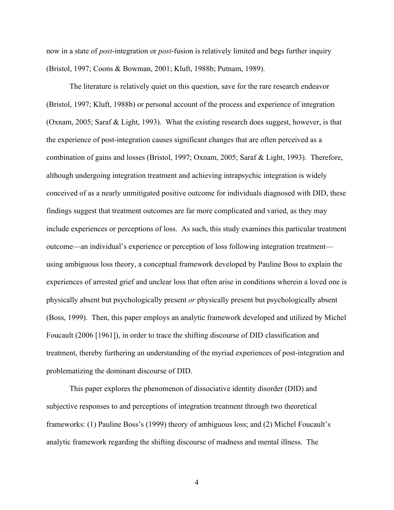now in a state of *post*-integration or *post*-fusion is relatively limited and begs further inquiry (Bristol, 1997; Coons & Bowman, 2001; Kluft, 1988b; Putnam, 1989).

The literature is relatively quiet on this question, save for the rare research endeavor (Bristol, 1997; Kluft, 1988b) or personal account of the process and experience of integration (Oxnam, 2005; Saraf & Light, 1993). What the existing research does suggest, however, is that the experience of post-integration causes significant changes that are often perceived as a combination of gains and losses (Bristol, 1997; Oxnam, 2005; Saraf & Light, 1993). Therefore, although undergoing integration treatment and achieving intrapsychic integration is widely conceived of as a nearly unmitigated positive outcome for individuals diagnosed with DID, these findings suggest that treatment outcomes are far more complicated and varied, as they may include experiences or perceptions of loss. As such, this study examines this particular treatment outcome—an individual's experience or perception of loss following integration treatment using ambiguous loss theory, a conceptual framework developed by Pauline Boss to explain the experiences of arrested grief and unclear loss that often arise in conditions wherein a loved one is physically absent but psychologically present *or* physically present but psychologically absent (Boss, 1999). Then, this paper employs an analytic framework developed and utilized by Michel Foucault (2006 [1961]), in order to trace the shifting discourse of DID classification and treatment, thereby furthering an understanding of the myriad experiences of post-integration and problematizing the dominant discourse of DID.

This paper explores the phenomenon of dissociative identity disorder (DID) and subjective responses to and perceptions of integration treatment through two theoretical frameworks: (1) Pauline Boss's (1999) theory of ambiguous loss; and (2) Michel Foucault's analytic framework regarding the shifting discourse of madness and mental illness. The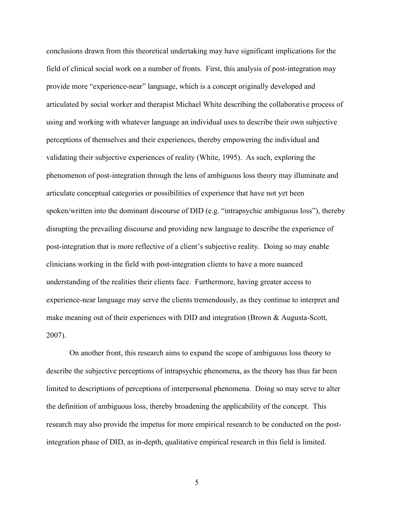conclusions drawn from this theoretical undertaking may have significant implications for the field of clinical social work on a number of fronts. First, this analysis of post-integration may provide more "experience-near" language, which is a concept originally developed and articulated by social worker and therapist Michael White describing the collaborative process of using and working with whatever language an individual uses to describe their own subjective perceptions of themselves and their experiences, thereby empowering the individual and validating their subjective experiences of reality (White, 1995). As such, exploring the phenomenon of post-integration through the lens of ambiguous loss theory may illuminate and articulate conceptual categories or possibilities of experience that have not yet been spoken/written into the dominant discourse of DID (e.g. "intrapsychic ambiguous loss"), thereby disrupting the prevailing discourse and providing new language to describe the experience of post-integration that is more reflective of a client's subjective reality. Doing so may enable clinicians working in the field with post-integration clients to have a more nuanced understanding of the realities their clients face. Furthermore, having greater access to experience-near language may serve the clients tremendously, as they continue to interpret and make meaning out of their experiences with DID and integration (Brown & Augusta-Scott, 2007).

On another front, this research aims to expand the scope of ambiguous loss theory to describe the subjective perceptions of intrapsychic phenomena, as the theory has thus far been limited to descriptions of perceptions of interpersonal phenomena. Doing so may serve to alter the definition of ambiguous loss, thereby broadening the applicability of the concept. This research may also provide the impetus for more empirical research to be conducted on the postintegration phase of DID, as in-depth, qualitative empirical research in this field is limited.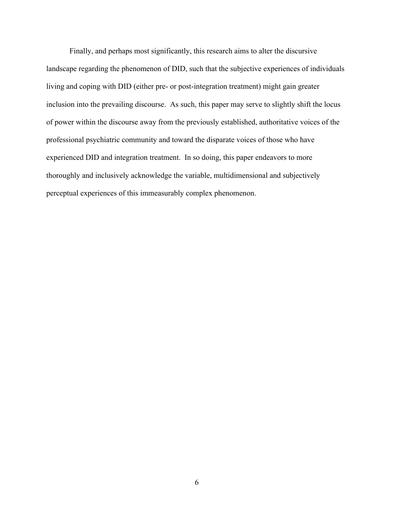Finally, and perhaps most significantly, this research aims to alter the discursive landscape regarding the phenomenon of DID, such that the subjective experiences of individuals living and coping with DID (either pre- or post-integration treatment) might gain greater inclusion into the prevailing discourse. As such, this paper may serve to slightly shift the locus of power within the discourse away from the previously established, authoritative voices of the professional psychiatric community and toward the disparate voices of those who have experienced DID and integration treatment. In so doing, this paper endeavors to more thoroughly and inclusively acknowledge the variable, multidimensional and subjectively perceptual experiences of this immeasurably complex phenomenon.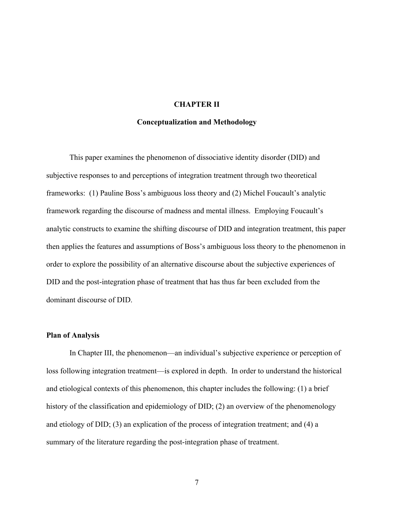## **CHAPTER II**

#### **Conceptualization and Methodology**

This paper examines the phenomenon of dissociative identity disorder (DID) and subjective responses to and perceptions of integration treatment through two theoretical frameworks: (1) Pauline Boss's ambiguous loss theory and (2) Michel Foucault's analytic framework regarding the discourse of madness and mental illness. Employing Foucault's analytic constructs to examine the shifting discourse of DID and integration treatment, this paper then applies the features and assumptions of Boss's ambiguous loss theory to the phenomenon in order to explore the possibility of an alternative discourse about the subjective experiences of DID and the post-integration phase of treatment that has thus far been excluded from the dominant discourse of DID.

#### **Plan of Analysis**

In Chapter III, the phenomenon—an individual's subjective experience or perception of loss following integration treatment—is explored in depth. In order to understand the historical and etiological contexts of this phenomenon, this chapter includes the following: (1) a brief history of the classification and epidemiology of DID; (2) an overview of the phenomenology and etiology of DID; (3) an explication of the process of integration treatment; and (4) a summary of the literature regarding the post-integration phase of treatment.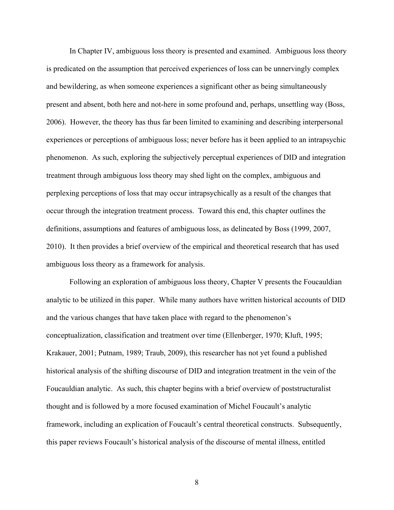In Chapter IV, ambiguous loss theory is presented and examined. Ambiguous loss theory is predicated on the assumption that perceived experiences of loss can be unnervingly complex and bewildering, as when someone experiences a significant other as being simultaneously present and absent, both here and not-here in some profound and, perhaps, unsettling way (Boss, 2006). However, the theory has thus far been limited to examining and describing interpersonal experiences or perceptions of ambiguous loss; never before has it been applied to an intrapsychic phenomenon. As such, exploring the subjectively perceptual experiences of DID and integration treatment through ambiguous loss theory may shed light on the complex, ambiguous and perplexing perceptions of loss that may occur intrapsychically as a result of the changes that occur through the integration treatment process. Toward this end, this chapter outlines the definitions, assumptions and features of ambiguous loss, as delineated by Boss (1999, 2007, 2010). It then provides a brief overview of the empirical and theoretical research that has used ambiguous loss theory as a framework for analysis.

Following an exploration of ambiguous loss theory, Chapter V presents the Foucauldian analytic to be utilized in this paper. While many authors have written historical accounts of DID and the various changes that have taken place with regard to the phenomenon's conceptualization, classification and treatment over time (Ellenberger, 1970; Kluft, 1995; Krakauer, 2001; Putnam, 1989; Traub, 2009), this researcher has not yet found a published historical analysis of the shifting discourse of DID and integration treatment in the vein of the Foucauldian analytic. As such, this chapter begins with a brief overview of poststructuralist thought and is followed by a more focused examination of Michel Foucault's analytic framework, including an explication of Foucault's central theoretical constructs. Subsequently, this paper reviews Foucault's historical analysis of the discourse of mental illness, entitled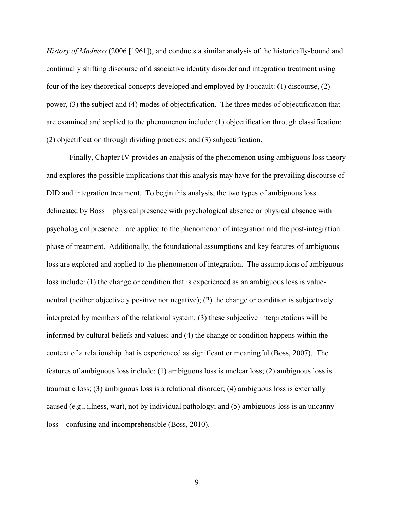*History of Madness* (2006 [1961]), and conducts a similar analysis of the historically-bound and continually shifting discourse of dissociative identity disorder and integration treatment using four of the key theoretical concepts developed and employed by Foucault: (1) discourse, (2) power, (3) the subject and (4) modes of objectification. The three modes of objectification that are examined and applied to the phenomenon include: (1) objectification through classification; (2) objectification through dividing practices; and (3) subjectification.

Finally, Chapter IV provides an analysis of the phenomenon using ambiguous loss theory and explores the possible implications that this analysis may have for the prevailing discourse of DID and integration treatment.To begin this analysis, the two types of ambiguous loss delineated by Boss—physical presence with psychological absence or physical absence with psychological presence—are applied to the phenomenon of integration and the post-integration phase of treatment. Additionally, the foundational assumptions and key features of ambiguous loss are explored and applied to the phenomenon of integration. The assumptions of ambiguous loss include: (1) the change or condition that is experienced as an ambiguous loss is valueneutral (neither objectively positive nor negative); (2) the change or condition is subjectively interpreted by members of the relational system; (3) these subjective interpretations will be informed by cultural beliefs and values; and (4) the change or condition happens within the context of a relationship that is experienced as significant or meaningful (Boss, 2007). The features of ambiguous loss include: (1) ambiguous loss is unclear loss; (2) ambiguous loss is traumatic loss; (3) ambiguous loss is a relational disorder; (4) ambiguous loss is externally caused (e.g., illness, war), not by individual pathology; and (5) ambiguous loss is an uncanny loss – confusing and incomprehensible (Boss, 2010).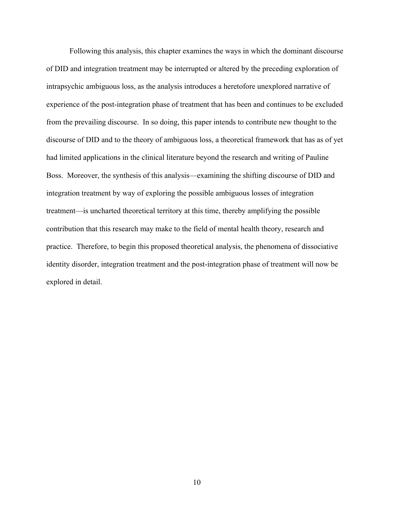Following this analysis, this chapter examines the ways in which the dominant discourse of DID and integration treatment may be interrupted or altered by the preceding exploration of intrapsychic ambiguous loss, as the analysis introduces a heretofore unexplored narrative of experience of the post-integration phase of treatment that has been and continues to be excluded from the prevailing discourse. In so doing, this paper intends to contribute new thought to the discourse of DID and to the theory of ambiguous loss, a theoretical framework that has as of yet had limited applications in the clinical literature beyond the research and writing of Pauline Boss. Moreover, the synthesis of this analysis—examining the shifting discourse of DID and integration treatment by way of exploring the possible ambiguous losses of integration treatment—is uncharted theoretical territory at this time, thereby amplifying the possible contribution that this research may make to the field of mental health theory, research and practice. Therefore, to begin this proposed theoretical analysis, the phenomena of dissociative identity disorder, integration treatment and the post-integration phase of treatment will now be explored in detail.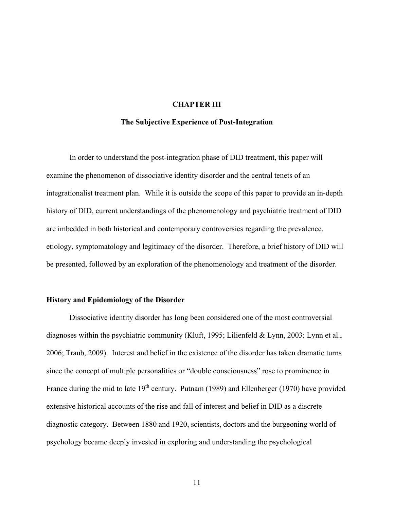# **CHAPTER III**

#### **The Subjective Experience of Post-Integration**

In order to understand the post-integration phase of DID treatment, this paper will examine the phenomenon of dissociative identity disorder and the central tenets of an integrationalist treatment plan. While it is outside the scope of this paper to provide an in-depth history of DID, current understandings of the phenomenology and psychiatric treatment of DID are imbedded in both historical and contemporary controversies regarding the prevalence, etiology, symptomatology and legitimacy of the disorder. Therefore, a brief history of DID will be presented, followed by an exploration of the phenomenology and treatment of the disorder.

#### **History and Epidemiology of the Disorder**

Dissociative identity disorder has long been considered one of the most controversial diagnoses within the psychiatric community (Kluft, 1995; Lilienfeld & Lynn, 2003; Lynn et al., 2006; Traub, 2009). Interest and belief in the existence of the disorder has taken dramatic turns since the concept of multiple personalities or "double consciousness" rose to prominence in France during the mid to late  $19<sup>th</sup>$  century. Putnam (1989) and Ellenberger (1970) have provided extensive historical accounts of the rise and fall of interest and belief in DID as a discrete diagnostic category. Between 1880 and 1920, scientists, doctors and the burgeoning world of psychology became deeply invested in exploring and understanding the psychological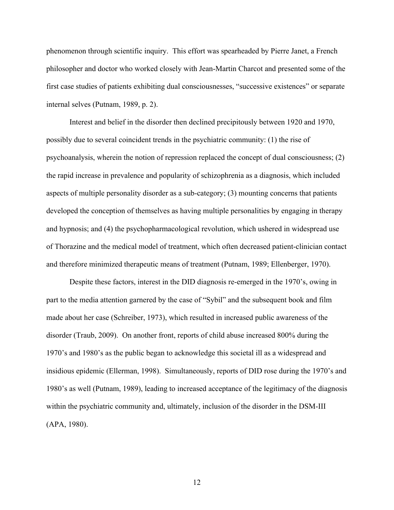phenomenon through scientific inquiry. This effort was spearheaded by Pierre Janet, a French philosopher and doctor who worked closely with Jean-Martin Charcot and presented some of the first case studies of patients exhibiting dual consciousnesses, "successive existences" or separate internal selves (Putnam, 1989, p. 2).

Interest and belief in the disorder then declined precipitously between 1920 and 1970, possibly due to several coincident trends in the psychiatric community: (1) the rise of psychoanalysis, wherein the notion of repression replaced the concept of dual consciousness; (2) the rapid increase in prevalence and popularity of schizophrenia as a diagnosis, which included aspects of multiple personality disorder as a sub-category; (3) mounting concerns that patients developed the conception of themselves as having multiple personalities by engaging in therapy and hypnosis; and (4) the psychopharmacological revolution, which ushered in widespread use of Thorazine and the medical model of treatment, which often decreased patient-clinician contact and therefore minimized therapeutic means of treatment (Putnam, 1989; Ellenberger, 1970).

Despite these factors, interest in the DID diagnosis re-emerged in the 1970's, owing in part to the media attention garnered by the case of "Sybil" and the subsequent book and film made about her case (Schreiber, 1973), which resulted in increased public awareness of the disorder (Traub, 2009). On another front, reports of child abuse increased 800% during the 1970's and 1980's as the public began to acknowledge this societal ill as a widespread and insidious epidemic (Ellerman, 1998). Simultaneously, reports of DID rose during the 1970's and 1980's as well (Putnam, 1989), leading to increased acceptance of the legitimacy of the diagnosis within the psychiatric community and, ultimately, inclusion of the disorder in the DSM-III (APA, 1980).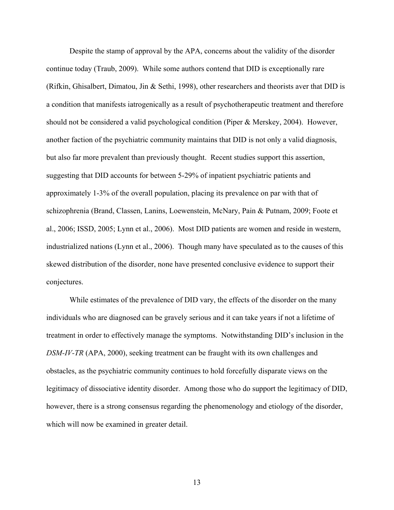Despite the stamp of approval by the APA, concerns about the validity of the disorder continue today (Traub, 2009).While some authors contend that DID is exceptionally rare (Rifkin, Ghisalbert, Dimatou, Jin & Sethi, 1998), other researchers and theorists aver that DID is a condition that manifests iatrogenically as a result of psychotherapeutic treatment and therefore should not be considered a valid psychological condition (Piper & Merskey, 2004). However, another faction of the psychiatric community maintains that DID is not only a valid diagnosis, but also far more prevalent than previously thought. Recent studies support this assertion, suggesting that DID accounts for between 5-29% of inpatient psychiatric patients and approximately 1-3% of the overall population, placing its prevalence on par with that of schizophrenia (Brand, Classen, Lanins, Loewenstein, McNary, Pain & Putnam, 2009; Foote et al., 2006; ISSD, 2005; Lynn et al., 2006). Most DID patients are women and reside in western, industrialized nations (Lynn et al., 2006). Though many have speculated as to the causes of this skewed distribution of the disorder, none have presented conclusive evidence to support their conjectures.

While estimates of the prevalence of DID vary, the effects of the disorder on the many individuals who are diagnosed can be gravely serious and it can take years if not a lifetime of treatment in order to effectively manage the symptoms. Notwithstanding DID's inclusion in the *DSM-IV-TR* (APA, 2000), seeking treatment can be fraught with its own challenges and obstacles, as the psychiatric community continues to hold forcefully disparate views on the legitimacy of dissociative identity disorder. Among those who do support the legitimacy of DID, however, there is a strong consensus regarding the phenomenology and etiology of the disorder, which will now be examined in greater detail.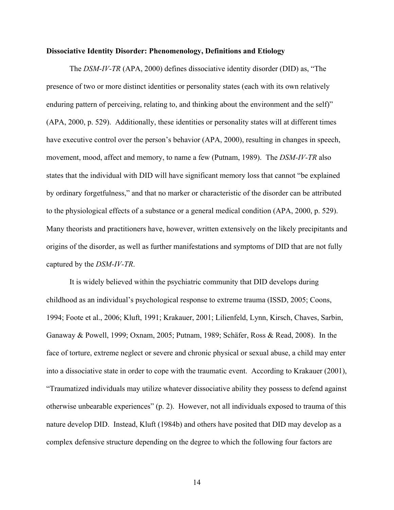#### **Dissociative Identity Disorder: Phenomenology, Definitions and Etiology**

The *DSM-IV-TR* (APA, 2000) defines dissociative identity disorder (DID) as, "The presence of two or more distinct identities or personality states (each with its own relatively enduring pattern of perceiving, relating to, and thinking about the environment and the self)" (APA, 2000, p. 529). Additionally, these identities or personality states will at different times have executive control over the person's behavior (APA, 2000), resulting in changes in speech, movement, mood, affect and memory, to name a few (Putnam, 1989). The *DSM-IV-TR* also states that the individual with DID will have significant memory loss that cannot "be explained by ordinary forgetfulness," and that no marker or characteristic of the disorder can be attributed to the physiological effects of a substance or a general medical condition (APA, 2000, p. 529). Many theorists and practitioners have, however, written extensively on the likely precipitants and origins of the disorder, as well as further manifestations and symptoms of DID that are not fully captured by the *DSM-IV-TR*.

It is widely believed within the psychiatric community that DID develops during childhood as an individual's psychological response to extreme trauma (ISSD, 2005; Coons, 1994; Foote et al., 2006; Kluft, 1991; Krakauer, 2001; Lilienfeld, Lynn, Kirsch, Chaves, Sarbin, Ganaway & Powell, 1999; Oxnam, 2005; Putnam, 1989; Schäfer, Ross & Read, 2008). In the face of torture, extreme neglect or severe and chronic physical or sexual abuse, a child may enter into a dissociative state in order to cope with the traumatic event. According to Krakauer (2001), "Traumatized individuals may utilize whatever dissociative ability they possess to defend against otherwise unbearable experiences" (p. 2). However, not all individuals exposed to trauma of this nature develop DID. Instead, Kluft (1984b) and others have posited that DID may develop as a complex defensive structure depending on the degree to which the following four factors are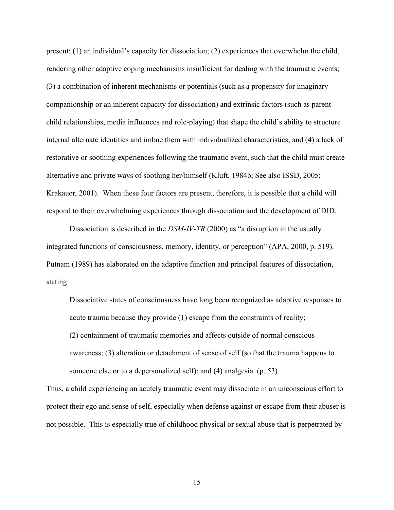present: (1) an individual's capacity for dissociation; (2) experiences that overwhelm the child, rendering other adaptive coping mechanisms insufficient for dealing with the traumatic events; (3) a combination of inherent mechanisms or potentials (such as a propensity for imaginary companionship or an inherent capacity for dissociation) and extrinsic factors (such as parentchild relationships, media influences and role-playing) that shape the child's ability to structure internal alternate identities and imbue them with individualized characteristics; and (4) a lack of restorative or soothing experiences following the traumatic event, such that the child must create alternative and private ways of soothing her/himself (Kluft, 1984b; See also ISSD, 2005; Krakauer, 2001). When these four factors are present, therefore, it is possible that a child will respond to their overwhelming experiences through dissociation and the development of DID.

Dissociation is described in the *DSM-IV-TR* (2000) as "a disruption in the usually integrated functions of consciousness, memory, identity, or perception" (APA, 2000, p. 519). Putnam (1989) has elaborated on the adaptive function and principal features of dissociation, stating:

Dissociative states of consciousness have long been recognized as adaptive responses to acute trauma because they provide (1) escape from the constraints of reality; (2) containment of traumatic memories and affects outside of normal conscious awareness; (3) alteration or detachment of sense of self (so that the trauma happens to someone else or to a depersonalized self); and (4) analgesia. (p. 53)

Thus, a child experiencing an acutely traumatic event may dissociate in an unconscious effort to protect their ego and sense of self, especially when defense against or escape from their abuser is not possible. This is especially true of childhood physical or sexual abuse that is perpetrated by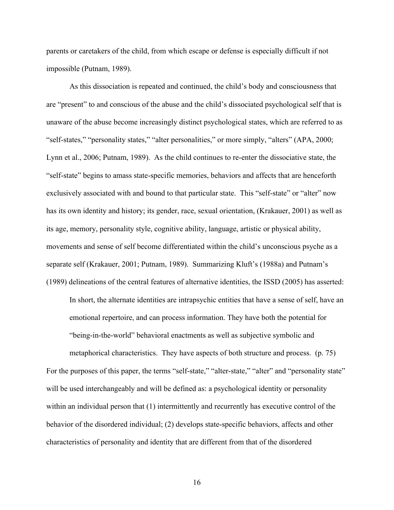parents or caretakers of the child, from which escape or defense is especially difficult if not impossible (Putnam, 1989).

As this dissociation is repeated and continued, the child's body and consciousness that are "present" to and conscious of the abuse and the child's dissociated psychological self that is unaware of the abuse become increasingly distinct psychological states, which are referred to as "self-states," "personality states," "alter personalities," or more simply, "alters" (APA, 2000; Lynn et al., 2006; Putnam, 1989). As the child continues to re-enter the dissociative state, the "self-state" begins to amass state-specific memories, behaviors and affects that are henceforth exclusively associated with and bound to that particular state. This "self-state" or "alter" now has its own identity and history; its gender, race, sexual orientation, (Krakauer, 2001) as well as its age, memory, personality style, cognitive ability, language, artistic or physical ability, movements and sense of self become differentiated within the child's unconscious psyche as a separate self (Krakauer, 2001; Putnam, 1989). Summarizing Kluft's (1988a) and Putnam's (1989) delineations of the central features of alternative identities, the ISSD (2005) has asserted:

In short, the alternate identities are intrapsychic entities that have a sense of self, have an emotional repertoire, and can process information. They have both the potential for "being-in-the-world" behavioral enactments as well as subjective symbolic and

metaphorical characteristics. They have aspects of both structure and process. (p. 75) For the purposes of this paper, the terms "self-state," "alter-state," "alter" and "personality state" will be used interchangeably and will be defined as: a psychological identity or personality within an individual person that (1) intermittently and recurrently has executive control of the behavior of the disordered individual; (2) develops state-specific behaviors, affects and other characteristics of personality and identity that are different from that of the disordered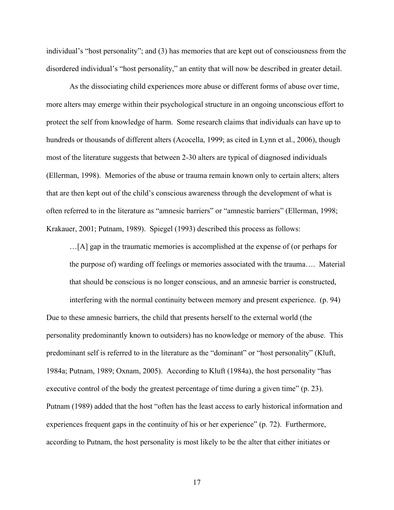individual's "host personality"; and (3) has memories that are kept out of consciousness from the disordered individual's "host personality," an entity that will now be described in greater detail.

As the dissociating child experiences more abuse or different forms of abuse over time, more alters may emerge within their psychological structure in an ongoing unconscious effort to protect the self from knowledge of harm. Some research claims that individuals can have up to hundreds or thousands of different alters (Acocella, 1999; as cited in Lynn et al., 2006), though most of the literature suggests that between 2-30 alters are typical of diagnosed individuals (Ellerman, 1998). Memories of the abuse or trauma remain known only to certain alters; alters that are then kept out of the child's conscious awareness through the development of what is often referred to in the literature as "amnesic barriers" or "amnestic barriers" (Ellerman, 1998; Krakauer, 2001; Putnam, 1989). Spiegel (1993) described this process as follows:

…[A] gap in the traumatic memories is accomplished at the expense of (or perhaps for the purpose of) warding off feelings or memories associated with the trauma…. Material that should be conscious is no longer conscious, and an amnesic barrier is constructed,

interfering with the normal continuity between memory and present experience. (p. 94) Due to these amnesic barriers, the child that presents herself to the external world (the personality predominantly known to outsiders) has no knowledge or memory of the abuse. This predominant self is referred to in the literature as the "dominant" or "host personality" (Kluft, 1984a; Putnam, 1989; Oxnam, 2005). According to Kluft (1984a), the host personality "has executive control of the body the greatest percentage of time during a given time" (p. 23). Putnam (1989) added that the host "often has the least access to early historical information and experiences frequent gaps in the continuity of his or her experience" (p. 72). Furthermore, according to Putnam, the host personality is most likely to be the alter that either initiates or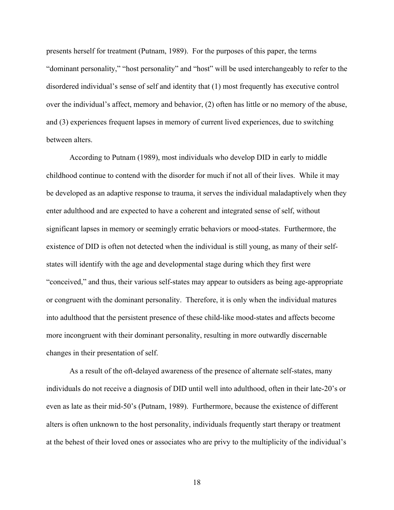presents herself for treatment (Putnam, 1989). For the purposes of this paper, the terms "dominant personality," "host personality" and "host" will be used interchangeably to refer to the disordered individual's sense of self and identity that (1) most frequently has executive control over the individual's affect, memory and behavior, (2) often has little or no memory of the abuse, and (3) experiences frequent lapses in memory of current lived experiences, due to switching between alters.

According to Putnam (1989), most individuals who develop DID in early to middle childhood continue to contend with the disorder for much if not all of their lives. While it may be developed as an adaptive response to trauma, it serves the individual maladaptively when they enter adulthood and are expected to have a coherent and integrated sense of self, without significant lapses in memory or seemingly erratic behaviors or mood-states. Furthermore, the existence of DID is often not detected when the individual is still young, as many of their selfstates will identify with the age and developmental stage during which they first were "conceived," and thus, their various self-states may appear to outsiders as being age-appropriate or congruent with the dominant personality. Therefore, it is only when the individual matures into adulthood that the persistent presence of these child-like mood-states and affects become more incongruent with their dominant personality, resulting in more outwardly discernable changes in their presentation of self.

As a result of the oft-delayed awareness of the presence of alternate self-states, many individuals do not receive a diagnosis of DID until well into adulthood, often in their late-20's or even as late as their mid-50's (Putnam, 1989). Furthermore, because the existence of different alters is often unknown to the host personality, individuals frequently start therapy or treatment at the behest of their loved ones or associates who are privy to the multiplicity of the individual's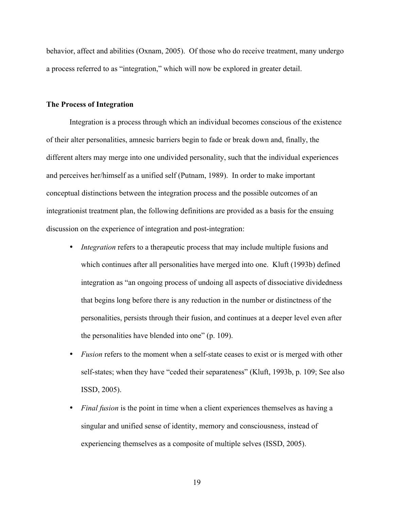behavior, affect and abilities (Oxnam, 2005). Of those who do receive treatment, many undergo a process referred to as "integration," which will now be explored in greater detail.

### **The Process of Integration**

Integration is a process through which an individual becomes conscious of the existence of their alter personalities, amnesic barriers begin to fade or break down and, finally, the different alters may merge into one undivided personality, such that the individual experiences and perceives her/himself as a unified self (Putnam, 1989). In order to make important conceptual distinctions between the integration process and the possible outcomes of an integrationist treatment plan, the following definitions are provided as a basis for the ensuing discussion on the experience of integration and post-integration:

- *Integration* refers to a therapeutic process that may include multiple fusions and which continues after all personalities have merged into one. Kluft (1993b) defined integration as "an ongoing process of undoing all aspects of dissociative dividedness that begins long before there is any reduction in the number or distinctness of the personalities, persists through their fusion, and continues at a deeper level even after the personalities have blended into one" (p. 109).
- *Fusion* refers to the moment when a self-state ceases to exist or is merged with other self-states; when they have "ceded their separateness" (Kluft, 1993b, p. 109; See also ISSD, 2005).
- *Final fusion* is the point in time when a client experiences themselves as having a singular and unified sense of identity, memory and consciousness, instead of experiencing themselves as a composite of multiple selves (ISSD, 2005).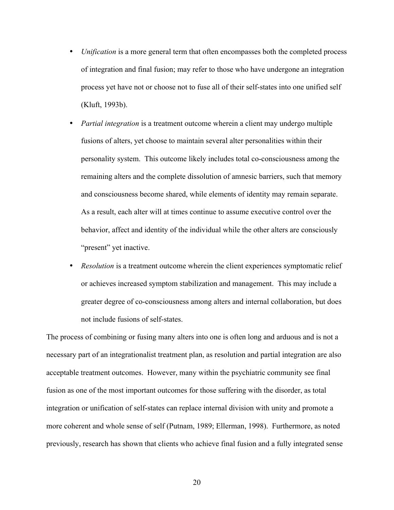- *Unification* is a more general term that often encompasses both the completed process of integration and final fusion; may refer to those who have undergone an integration process yet have not or choose not to fuse all of their self-states into one unified self (Kluft, 1993b).
- *Partial integration* is a treatment outcome wherein a client may undergo multiple fusions of alters, yet choose to maintain several alter personalities within their personality system. This outcome likely includes total co-consciousness among the remaining alters and the complete dissolution of amnesic barriers, such that memory and consciousness become shared, while elements of identity may remain separate. As a result, each alter will at times continue to assume executive control over the behavior, affect and identity of the individual while the other alters are consciously "present" yet inactive.
- *Resolution* is a treatment outcome wherein the client experiences symptomatic relief or achieves increased symptom stabilization and management. This may include a greater degree of co-consciousness among alters and internal collaboration, but does not include fusions of self-states.

The process of combining or fusing many alters into one is often long and arduous and is not a necessary part of an integrationalist treatment plan, as resolution and partial integration are also acceptable treatment outcomes. However, many within the psychiatric community see final fusion as one of the most important outcomes for those suffering with the disorder, as total integration or unification of self-states can replace internal division with unity and promote a more coherent and whole sense of self (Putnam, 1989; Ellerman, 1998). Furthermore, as noted previously, research has shown that clients who achieve final fusion and a fully integrated sense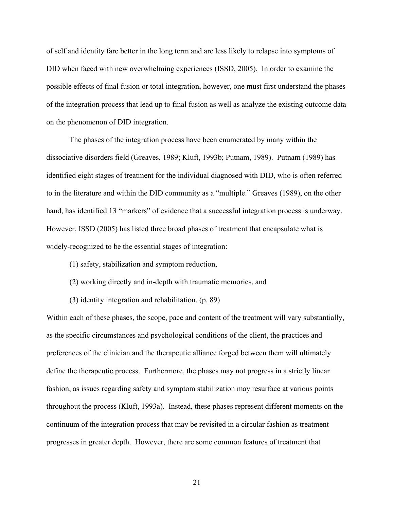of self and identity fare better in the long term and are less likely to relapse into symptoms of DID when faced with new overwhelming experiences (ISSD, 2005). In order to examine the possible effects of final fusion or total integration, however, one must first understand the phases of the integration process that lead up to final fusion as well as analyze the existing outcome data on the phenomenon of DID integration.

The phases of the integration process have been enumerated by many within the dissociative disorders field (Greaves, 1989; Kluft, 1993b; Putnam, 1989). Putnam (1989) has identified eight stages of treatment for the individual diagnosed with DID, who is often referred to in the literature and within the DID community as a "multiple." Greaves (1989), on the other hand, has identified 13 "markers" of evidence that a successful integration process is underway. However, ISSD (2005) has listed three broad phases of treatment that encapsulate what is widely-recognized to be the essential stages of integration:

- (1) safety, stabilization and symptom reduction,
- (2) working directly and in-depth with traumatic memories, and
- (3) identity integration and rehabilitation. (p. 89)

Within each of these phases, the scope, pace and content of the treatment will vary substantially, as the specific circumstances and psychological conditions of the client, the practices and preferences of the clinician and the therapeutic alliance forged between them will ultimately define the therapeutic process. Furthermore, the phases may not progress in a strictly linear fashion, as issues regarding safety and symptom stabilization may resurface at various points throughout the process (Kluft, 1993a). Instead, these phases represent different moments on the continuum of the integration process that may be revisited in a circular fashion as treatment progresses in greater depth. However, there are some common features of treatment that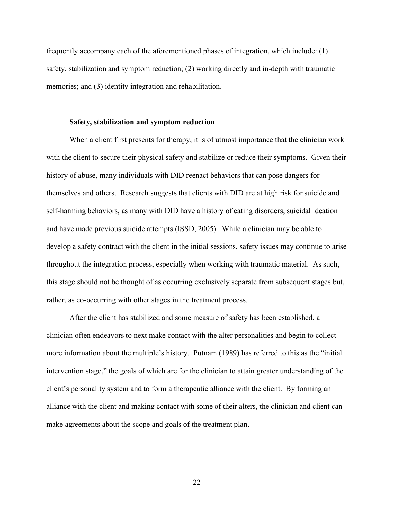frequently accompany each of the aforementioned phases of integration, which include: (1) safety, stabilization and symptom reduction; (2) working directly and in-depth with traumatic memories; and (3) identity integration and rehabilitation.

# **Safety, stabilization and symptom reduction**

When a client first presents for therapy, it is of utmost importance that the clinician work with the client to secure their physical safety and stabilize or reduce their symptoms. Given their history of abuse, many individuals with DID reenact behaviors that can pose dangers for themselves and others. Research suggests that clients with DID are at high risk for suicide and self-harming behaviors, as many with DID have a history of eating disorders, suicidal ideation and have made previous suicide attempts (ISSD, 2005). While a clinician may be able to develop a safety contract with the client in the initial sessions, safety issues may continue to arise throughout the integration process, especially when working with traumatic material. As such, this stage should not be thought of as occurring exclusively separate from subsequent stages but, rather, as co-occurring with other stages in the treatment process.

After the client has stabilized and some measure of safety has been established, a clinician often endeavors to next make contact with the alter personalities and begin to collect more information about the multiple's history. Putnam (1989) has referred to this as the "initial intervention stage," the goals of which are for the clinician to attain greater understanding of the client's personality system and to form a therapeutic alliance with the client. By forming an alliance with the client and making contact with some of their alters, the clinician and client can make agreements about the scope and goals of the treatment plan.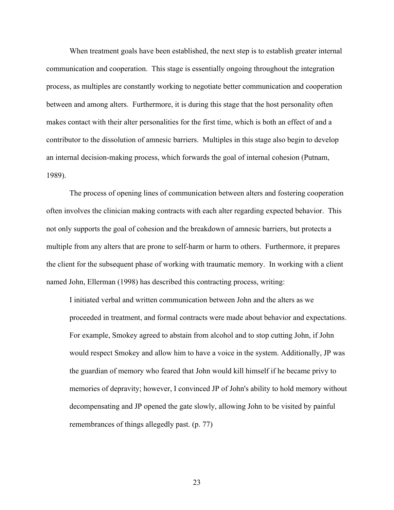When treatment goals have been established, the next step is to establish greater internal communication and cooperation. This stage is essentially ongoing throughout the integration process, as multiples are constantly working to negotiate better communication and cooperation between and among alters. Furthermore, it is during this stage that the host personality often makes contact with their alter personalities for the first time, which is both an effect of and a contributor to the dissolution of amnesic barriers. Multiples in this stage also begin to develop an internal decision-making process, which forwards the goal of internal cohesion (Putnam, 1989).

The process of opening lines of communication between alters and fostering cooperation often involves the clinician making contracts with each alter regarding expected behavior. This not only supports the goal of cohesion and the breakdown of amnesic barriers, but protects a multiple from any alters that are prone to self-harm or harm to others. Furthermore, it prepares the client for the subsequent phase of working with traumatic memory. In working with a client named John, Ellerman (1998) has described this contracting process, writing:

I initiated verbal and written communication between John and the alters as we proceeded in treatment, and formal contracts were made about behavior and expectations. For example, Smokey agreed to abstain from alcohol and to stop cutting John, if John would respect Smokey and allow him to have a voice in the system. Additionally, JP was the guardian of memory who feared that John would kill himself if he became privy to memories of depravity; however, I convinced JP of John's ability to hold memory without decompensating and JP opened the gate slowly, allowing John to be visited by painful remembrances of things allegedly past. (p. 77)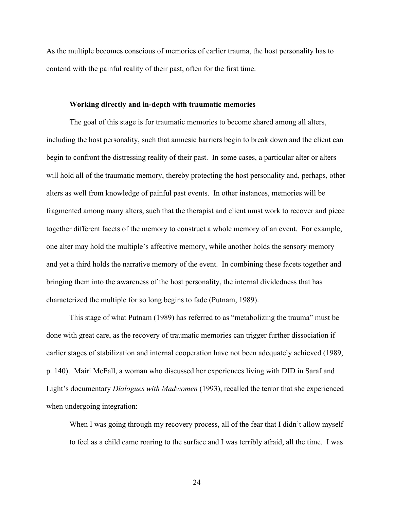As the multiple becomes conscious of memories of earlier trauma, the host personality has to contend with the painful reality of their past, often for the first time.

#### **Working directly and in-depth with traumatic memories**

The goal of this stage is for traumatic memories to become shared among all alters, including the host personality, such that amnesic barriers begin to break down and the client can begin to confront the distressing reality of their past. In some cases, a particular alter or alters will hold all of the traumatic memory, thereby protecting the host personality and, perhaps, other alters as well from knowledge of painful past events. In other instances, memories will be fragmented among many alters, such that the therapist and client must work to recover and piece together different facets of the memory to construct a whole memory of an event. For example, one alter may hold the multiple's affective memory, while another holds the sensory memory and yet a third holds the narrative memory of the event. In combining these facets together and bringing them into the awareness of the host personality, the internal dividedness that has characterized the multiple for so long begins to fade (Putnam, 1989).

This stage of what Putnam (1989) has referred to as "metabolizing the trauma" must be done with great care, as the recovery of traumatic memories can trigger further dissociation if earlier stages of stabilization and internal cooperation have not been adequately achieved (1989, p. 140). Mairi McFall, a woman who discussed her experiences living with DID in Saraf and Light's documentary *Dialogues with Madwomen* (1993), recalled the terror that she experienced when undergoing integration:

When I was going through my recovery process, all of the fear that I didn't allow myself to feel as a child came roaring to the surface and I was terribly afraid, all the time. I was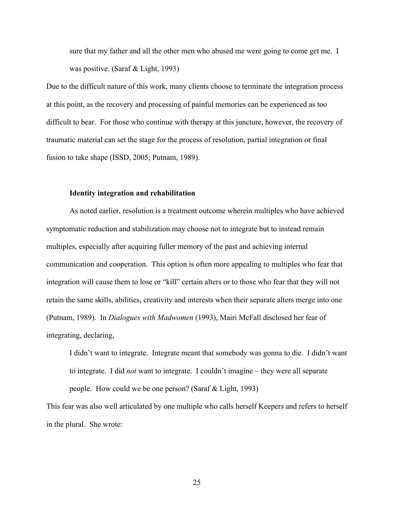sure that my father and all the other men who abused me were going to come get me. I was positive. (Saraf & Light, 1993)

Due to the difficult nature of this work, many clients choose to terminate the integration process at this point, as the recovery and processing of painful memories can be experienced as too difficult to bear. For those who continue with therapy at this juncture, however, the recovery of traumatic material can set the stage for the process of resolution, partial integration or final fusion to take shape (ISSD, 2005; Putnam, 1989).

# **Identity integration and rehabilitation**

As noted earlier, resolution is a treatment outcome wherein multiples who have achieved symptomatic reduction and stabilization may choose not to integrate but to instead remain multiples, especially after acquiring fuller memory of the past and achieving internal communication and cooperation. This option is often more appealing to multiples who fear that integration will cause them to lose or "kill" certain alters or to those who fear that they will not retain the same skills, abilities, creativity and interests when their separate alters merge into one (Putnam, 1989). In *Dialogues with Madwomen* (1993), Mairi McFall disclosed her fear of integrating, declaring,

I didn't want to integrate. Integrate meant that somebody was gonna to die. I didn't want to integrate. I did *not* want to integrate. I couldn't imagine – they were all separate people. How could we be one person? (Saraf & Light, 1993)

This fear was also well articulated by one multiple who calls herself Keepers and refers to herself in the plural. She wrote: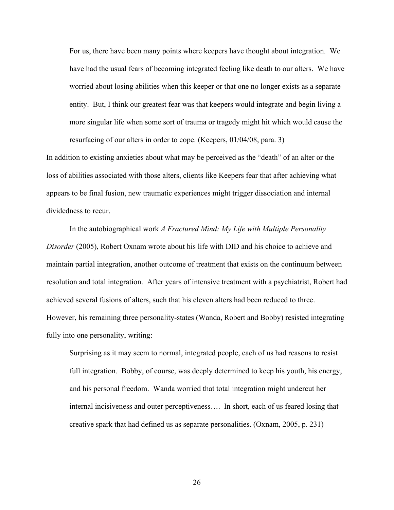For us, there have been many points where keepers have thought about integration. We have had the usual fears of becoming integrated feeling like death to our alters. We have worried about losing abilities when this keeper or that one no longer exists as a separate entity. But, I think our greatest fear was that keepers would integrate and begin living a more singular life when some sort of trauma or tragedy might hit which would cause the resurfacing of our alters in order to cope. (Keepers, 01/04/08, para. 3)

In addition to existing anxieties about what may be perceived as the "death" of an alter or the loss of abilities associated with those alters, clients like Keepers fear that after achieving what appears to be final fusion, new traumatic experiences might trigger dissociation and internal dividedness to recur.

In the autobiographical work *A Fractured Mind: My Life with Multiple Personality Disorder* (2005), Robert Oxnam wrote about his life with DID and his choice to achieve and maintain partial integration, another outcome of treatment that exists on the continuum between resolution and total integration. After years of intensive treatment with a psychiatrist, Robert had achieved several fusions of alters, such that his eleven alters had been reduced to three. However, his remaining three personality-states (Wanda, Robert and Bobby) resisted integrating fully into one personality, writing:

Surprising as it may seem to normal, integrated people, each of us had reasons to resist full integration. Bobby, of course, was deeply determined to keep his youth, his energy, and his personal freedom. Wanda worried that total integration might undercut her internal incisiveness and outer perceptiveness…. In short, each of us feared losing that creative spark that had defined us as separate personalities. (Oxnam, 2005, p. 231)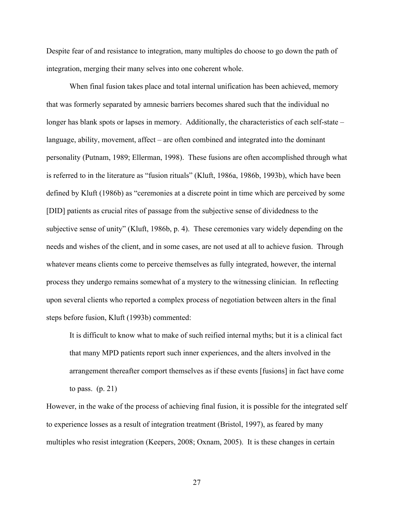Despite fear of and resistance to integration, many multiples do choose to go down the path of integration, merging their many selves into one coherent whole.

When final fusion takes place and total internal unification has been achieved, memory that was formerly separated by amnesic barriers becomes shared such that the individual no longer has blank spots or lapses in memory. Additionally, the characteristics of each self-state – language, ability, movement, affect – are often combined and integrated into the dominant personality (Putnam, 1989; Ellerman, 1998). These fusions are often accomplished through what is referred to in the literature as "fusion rituals" (Kluft, 1986a, 1986b, 1993b), which have been defined by Kluft (1986b) as "ceremonies at a discrete point in time which are perceived by some [DID] patients as crucial rites of passage from the subjective sense of dividedness to the subjective sense of unity" (Kluft, 1986b, p. 4). These ceremonies vary widely depending on the needs and wishes of the client, and in some cases, are not used at all to achieve fusion. Through whatever means clients come to perceive themselves as fully integrated, however, the internal process they undergo remains somewhat of a mystery to the witnessing clinician. In reflecting upon several clients who reported a complex process of negotiation between alters in the final steps before fusion, Kluft (1993b) commented:

It is difficult to know what to make of such reified internal myths; but it is a clinical fact that many MPD patients report such inner experiences, and the alters involved in the arrangement thereafter comport themselves as if these events [fusions] in fact have come to pass.  $(p. 21)$ 

However, in the wake of the process of achieving final fusion, it is possible for the integrated self to experience losses as a result of integration treatment (Bristol, 1997), as feared by many multiples who resist integration (Keepers, 2008; Oxnam, 2005). It is these changes in certain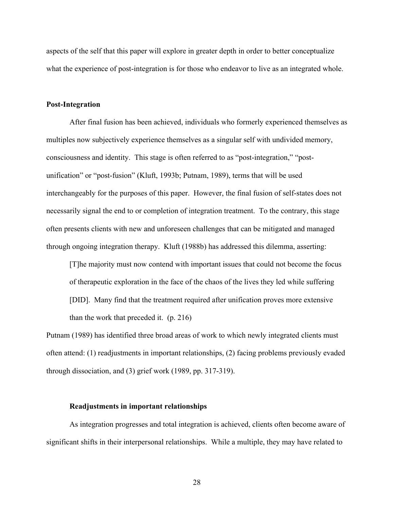aspects of the self that this paper will explore in greater depth in order to better conceptualize what the experience of post-integration is for those who endeavor to live as an integrated whole.

#### **Post-Integration**

After final fusion has been achieved, individuals who formerly experienced themselves as multiples now subjectively experience themselves as a singular self with undivided memory, consciousness and identity. This stage is often referred to as "post-integration," "postunification" or "post-fusion" (Kluft, 1993b; Putnam, 1989), terms that will be used interchangeably for the purposes of this paper. However, the final fusion of self-states does not necessarily signal the end to or completion of integration treatment. To the contrary, this stage often presents clients with new and unforeseen challenges that can be mitigated and managed through ongoing integration therapy. Kluft (1988b) has addressed this dilemma, asserting:

[T]he majority must now contend with important issues that could not become the focus of therapeutic exploration in the face of the chaos of the lives they led while suffering [DID]. Many find that the treatment required after unification proves more extensive than the work that preceded it. (p. 216)

Putnam (1989) has identified three broad areas of work to which newly integrated clients must often attend: (1) readjustments in important relationships, (2) facing problems previously evaded through dissociation, and (3) grief work (1989, pp. 317-319).

#### **Readjustments in important relationships**

As integration progresses and total integration is achieved, clients often become aware of significant shifts in their interpersonal relationships. While a multiple, they may have related to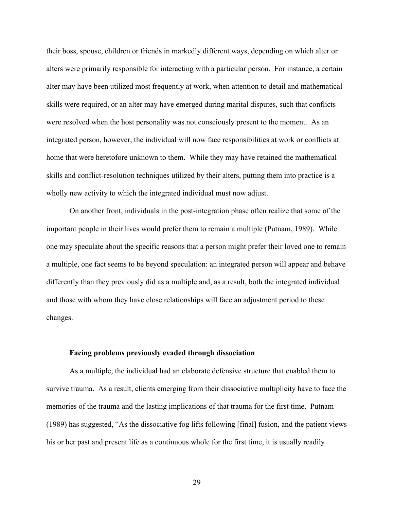their boss, spouse, children or friends in markedly different ways, depending on which alter or alters were primarily responsible for interacting with a particular person. For instance, a certain alter may have been utilized most frequently at work, when attention to detail and mathematical skills were required, or an alter may have emerged during marital disputes, such that conflicts were resolved when the host personality was not consciously present to the moment. As an integrated person, however, the individual will now face responsibilities at work or conflicts at home that were heretofore unknown to them. While they may have retained the mathematical skills and conflict-resolution techniques utilized by their alters, putting them into practice is a wholly new activity to which the integrated individual must now adjust.

On another front, individuals in the post-integration phase often realize that some of the important people in their lives would prefer them to remain a multiple (Putnam, 1989). While one may speculate about the specific reasons that a person might prefer their loved one to remain a multiple, one fact seems to be beyond speculation: an integrated person will appear and behave differently than they previously did as a multiple and, as a result, both the integrated individual and those with whom they have close relationships will face an adjustment period to these changes.

#### **Facing problems previously evaded through dissociation**

As a multiple, the individual had an elaborate defensive structure that enabled them to survive trauma. As a result, clients emerging from their dissociative multiplicity have to face the memories of the trauma and the lasting implications of that trauma for the first time. Putnam (1989) has suggested, "As the dissociative fog lifts following [final] fusion, and the patient views his or her past and present life as a continuous whole for the first time, it is usually readily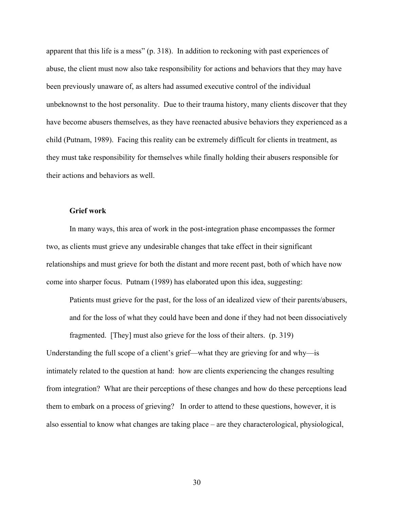apparent that this life is a mess" (p. 318). In addition to reckoning with past experiences of abuse, the client must now also take responsibility for actions and behaviors that they may have been previously unaware of, as alters had assumed executive control of the individual unbeknownst to the host personality. Due to their trauma history, many clients discover that they have become abusers themselves, as they have reenacted abusive behaviors they experienced as a child (Putnam, 1989). Facing this reality can be extremely difficult for clients in treatment, as they must take responsibility for themselves while finally holding their abusers responsible for their actions and behaviors as well.

# **Grief work**

In many ways, this area of work in the post-integration phase encompasses the former two, as clients must grieve any undesirable changes that take effect in their significant relationships and must grieve for both the distant and more recent past, both of which have now come into sharper focus. Putnam (1989) has elaborated upon this idea, suggesting:

Patients must grieve for the past, for the loss of an idealized view of their parents/abusers, and for the loss of what they could have been and done if they had not been dissociatively fragmented. [They] must also grieve for the loss of their alters. (p. 319)

Understanding the full scope of a client's grief—what they are grieving for and why—is intimately related to the question at hand: how are clients experiencing the changes resulting from integration? What are their perceptions of these changes and how do these perceptions lead them to embark on a process of grieving? In order to attend to these questions, however, it is also essential to know what changes are taking place – are they characterological, physiological,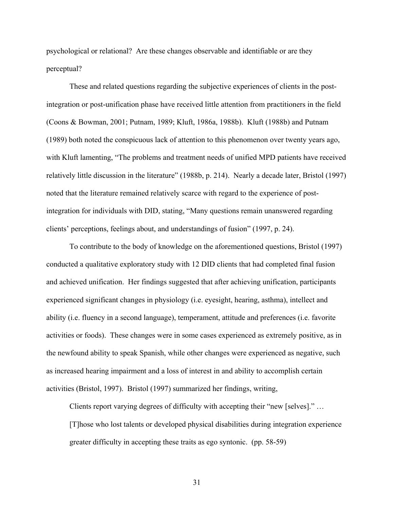psychological or relational? Are these changes observable and identifiable or are they perceptual?

These and related questions regarding the subjective experiences of clients in the postintegration or post-unification phase have received little attention from practitioners in the field (Coons & Bowman, 2001; Putnam, 1989; Kluft, 1986a, 1988b). Kluft (1988b) and Putnam (1989) both noted the conspicuous lack of attention to this phenomenon over twenty years ago, with Kluft lamenting, "The problems and treatment needs of unified MPD patients have received relatively little discussion in the literature" (1988b, p. 214). Nearly a decade later, Bristol (1997) noted that the literature remained relatively scarce with regard to the experience of postintegration for individuals with DID, stating, "Many questions remain unanswered regarding clients' perceptions, feelings about, and understandings of fusion" (1997, p. 24).

To contribute to the body of knowledge on the aforementioned questions, Bristol (1997) conducted a qualitative exploratory study with 12 DID clients that had completed final fusion and achieved unification. Her findings suggested that after achieving unification, participants experienced significant changes in physiology (i.e. eyesight, hearing, asthma), intellect and ability (i.e. fluency in a second language), temperament, attitude and preferences (i.e. favorite activities or foods). These changes were in some cases experienced as extremely positive, as in the newfound ability to speak Spanish, while other changes were experienced as negative, such as increased hearing impairment and a loss of interest in and ability to accomplish certain activities (Bristol, 1997). Bristol (1997) summarized her findings, writing,

Clients report varying degrees of difficulty with accepting their "new [selves]." …

[T]hose who lost talents or developed physical disabilities during integration experience greater difficulty in accepting these traits as ego syntonic. (pp. 58-59)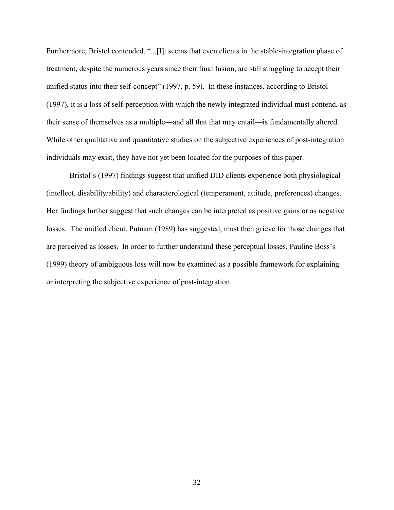Furthermore, Bristol contended, "...[I]t seems that even clients in the stable-integration phase of treatment, despite the numerous years since their final fusion, are still struggling to accept their unified status into their self-concept" (1997, p. 59). In these instances, according to Bristol (1997), it is a loss of self-perception with which the newly integrated individual must contend, as their sense of themselves as a multiple—and all that that may entail—is fundamentally altered. While other qualitative and quantitative studies on the subjective experiences of post-integration individuals may exist, they have not yet been located for the purposes of this paper.

Bristol's (1997) findings suggest that unified DID clients experience both physiological (intellect, disability/ability) and characterological (temperament, attitude, preferences) changes. Her findings further suggest that such changes can be interpreted as positive gains or as negative losses. The unified client, Putnam (1989) has suggested, must then grieve for those changes that are perceived as losses. In order to further understand these perceptual losses, Pauline Boss's (1999) theory of ambiguous loss will now be examined as a possible framework for explaining or interpreting the subjective experience of post-integration.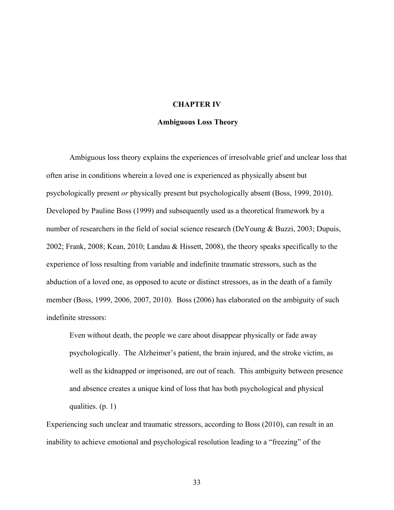# **CHAPTER IV**

### **Ambiguous Loss Theory**

Ambiguous loss theory explains the experiences of irresolvable grief and unclear loss that often arise in conditions wherein a loved one is experienced as physically absent but psychologically present *or* physically present but psychologically absent (Boss, 1999, 2010). Developed by Pauline Boss (1999) and subsequently used as a theoretical framework by a number of researchers in the field of social science research (DeYoung & Buzzi, 2003; Dupuis, 2002; Frank, 2008; Kean, 2010; Landau & Hissett, 2008), the theory speaks specifically to the experience of loss resulting from variable and indefinite traumatic stressors, such as the abduction of a loved one, as opposed to acute or distinct stressors, as in the death of a family member (Boss, 1999, 2006, 2007, 2010). Boss (2006) has elaborated on the ambiguity of such indefinite stressors:

Even without death, the people we care about disappear physically or fade away psychologically. The Alzheimer's patient, the brain injured, and the stroke victim, as well as the kidnapped or imprisoned, are out of reach. This ambiguity between presence and absence creates a unique kind of loss that has both psychological and physical qualities. (p. 1)

Experiencing such unclear and traumatic stressors, according to Boss (2010), can result in an inability to achieve emotional and psychological resolution leading to a "freezing" of the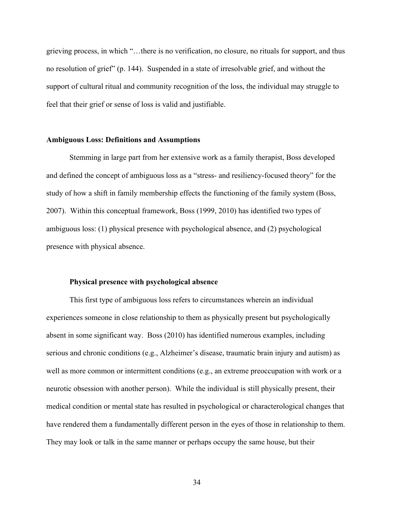grieving process, in which "…there is no verification, no closure, no rituals for support, and thus no resolution of grief" (p. 144). Suspended in a state of irresolvable grief, and without the support of cultural ritual and community recognition of the loss, the individual may struggle to feel that their grief or sense of loss is valid and justifiable.

# **Ambiguous Loss: Definitions and Assumptions**

Stemming in large part from her extensive work as a family therapist, Boss developed and defined the concept of ambiguous loss as a "stress- and resiliency-focused theory" for the study of how a shift in family membership effects the functioning of the family system (Boss, 2007). Within this conceptual framework, Boss (1999, 2010) has identified two types of ambiguous loss: (1) physical presence with psychological absence, and (2) psychological presence with physical absence.

## **Physical presence with psychological absence**

This first type of ambiguous loss refers to circumstances wherein an individual experiences someone in close relationship to them as physically present but psychologically absent in some significant way. Boss (2010) has identified numerous examples, including serious and chronic conditions (e.g., Alzheimer's disease, traumatic brain injury and autism) as well as more common or intermittent conditions (e.g., an extreme preoccupation with work or a neurotic obsession with another person). While the individual is still physically present, their medical condition or mental state has resulted in psychological or characterological changes that have rendered them a fundamentally different person in the eyes of those in relationship to them. They may look or talk in the same manner or perhaps occupy the same house, but their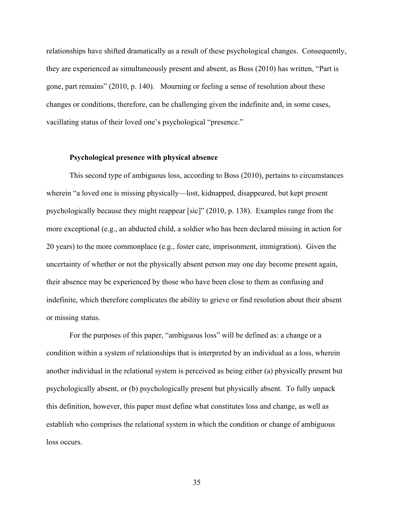relationships have shifted dramatically as a result of these psychological changes. Consequently, they are experienced as simultaneously present and absent, as Boss (2010) has written, "Part is gone, part remains" (2010, p. 140). Mourning or feeling a sense of resolution about these changes or conditions, therefore, can be challenging given the indefinite and, in some cases, vacillating status of their loved one's psychological "presence."

# **Psychological presence with physical absence**

This second type of ambiguous loss, according to Boss (2010), pertains to circumstances wherein "a loved one is missing physically—lost, kidnapped, disappeared, but kept present psychologically because they might reappear [sic]" (2010, p. 138). Examples range from the more exceptional (e.g., an abducted child, a soldier who has been declared missing in action for 20 years) to the more commonplace (e.g., foster care, imprisonment, immigration). Given the uncertainty of whether or not the physically absent person may one day become present again, their absence may be experienced by those who have been close to them as confusing and indefinite, which therefore complicates the ability to grieve or find resolution about their absent or missing status.

For the purposes of this paper, "ambiguous loss" will be defined as: a change or a condition within a system of relationships that is interpreted by an individual as a loss, wherein another individual in the relational system is perceived as being either (a) physically present but psychologically absent, or (b) psychologically present but physically absent. To fully unpack this definition, however, this paper must define what constitutes loss and change, as well as establish who comprises the relational system in which the condition or change of ambiguous loss occurs.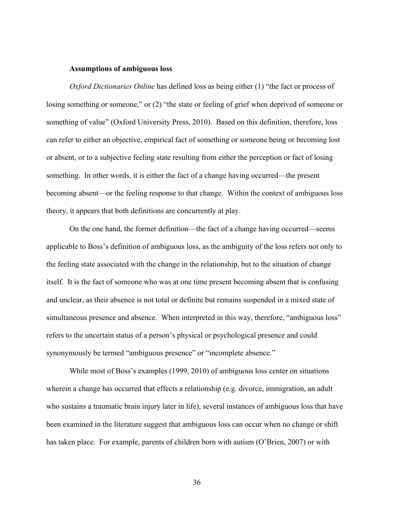## **Assumptions of ambiguous loss**

*Oxford Dictionaries Online* has defined loss as being either (1) "the fact or process of losing something or someone," or (2) "the state or feeling of grief when deprived of someone or something of value" (Oxford University Press, 2010). Based on this definition, therefore, loss can refer to either an objective, empirical fact of something or someone being or becoming lost or absent, or to a subjective feeling state resulting from either the perception or fact of losing something. In other words, it is either the fact of a change having occurred—the present becoming absent—or the feeling response to that change. Within the context of ambiguous loss theory, it appears that both definitions are concurrently at play.

On the one hand, the former definition—the fact of a change having occurred—seems applicable to Boss's definition of ambiguous loss, as the ambiguity of the loss refers not only to the feeling state associated with the change in the relationship, but to the situation of change itself. It is the fact of someone who was at one time present becoming absent that is confusing and unclear, as their absence is not total or definite but remains suspended in a mixed state of simultaneous presence and absence. When interpreted in this way, therefore, "ambiguous loss" refers to the uncertain status of a person's physical or psychological presence and could synonymously be termed "ambiguous presence" or "incomplete absence."

While most of Boss's examples (1999, 2010) of ambiguous loss center on situations wherein a change has occurred that effects a relationship (e.g. divorce, immigration, an adult who sustains a traumatic brain injury later in life), several instances of ambiguous loss that have been examined in the literature suggest that ambiguous loss can occur when no change or shift has taken place. For example, parents of children born with autism (O'Brien, 2007) or with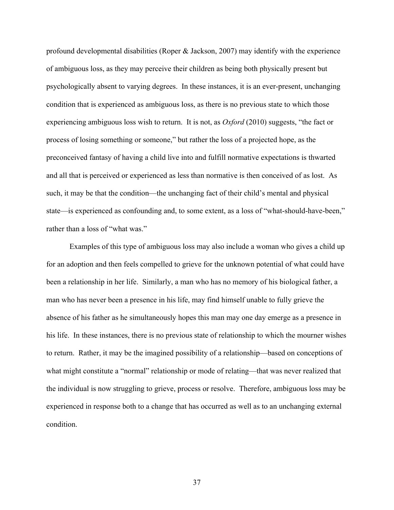profound developmental disabilities (Roper  $\&$  Jackson, 2007) may identify with the experience of ambiguous loss, as they may perceive their children as being both physically present but psychologically absent to varying degrees. In these instances, it is an ever-present, unchanging condition that is experienced as ambiguous loss, as there is no previous state to which those experiencing ambiguous loss wish to return. It is not, as *Oxford* (2010) suggests, "the fact or process of losing something or someone," but rather the loss of a projected hope, as the preconceived fantasy of having a child live into and fulfill normative expectations is thwarted and all that is perceived or experienced as less than normative is then conceived of as lost. As such, it may be that the condition—the unchanging fact of their child's mental and physical state—is experienced as confounding and, to some extent, as a loss of "what-should-have-been," rather than a loss of "what was."

Examples of this type of ambiguous loss may also include a woman who gives a child up for an adoption and then feels compelled to grieve for the unknown potential of what could have been a relationship in her life. Similarly, a man who has no memory of his biological father, a man who has never been a presence in his life, may find himself unable to fully grieve the absence of his father as he simultaneously hopes this man may one day emerge as a presence in his life. In these instances, there is no previous state of relationship to which the mourner wishes to return. Rather, it may be the imagined possibility of a relationship—based on conceptions of what might constitute a "normal" relationship or mode of relating—that was never realized that the individual is now struggling to grieve, process or resolve. Therefore, ambiguous loss may be experienced in response both to a change that has occurred as well as to an unchanging external condition.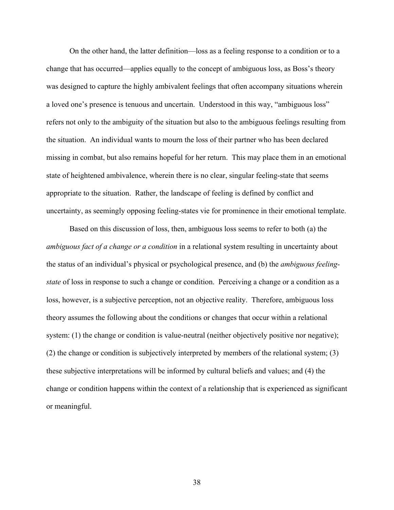On the other hand, the latter definition—loss as a feeling response to a condition or to a change that has occurred—applies equally to the concept of ambiguous loss, as Boss's theory was designed to capture the highly ambivalent feelings that often accompany situations wherein a loved one's presence is tenuous and uncertain. Understood in this way, "ambiguous loss" refers not only to the ambiguity of the situation but also to the ambiguous feelings resulting from the situation. An individual wants to mourn the loss of their partner who has been declared missing in combat, but also remains hopeful for her return. This may place them in an emotional state of heightened ambivalence, wherein there is no clear, singular feeling-state that seems appropriate to the situation. Rather, the landscape of feeling is defined by conflict and uncertainty, as seemingly opposing feeling-states vie for prominence in their emotional template.

Based on this discussion of loss, then, ambiguous loss seems to refer to both (a) the *ambiguous fact of a change or a condition* in a relational system resulting in uncertainty about the status of an individual's physical or psychological presence, and (b) the *ambiguous feelingstate* of loss in response to such a change or condition. Perceiving a change or a condition as a loss, however, is a subjective perception, not an objective reality. Therefore, ambiguous loss theory assumes the following about the conditions or changes that occur within a relational system: (1) the change or condition is value-neutral (neither objectively positive nor negative); (2) the change or condition is subjectively interpreted by members of the relational system; (3) these subjective interpretations will be informed by cultural beliefs and values; and (4) the change or condition happens within the context of a relationship that is experienced as significant or meaningful.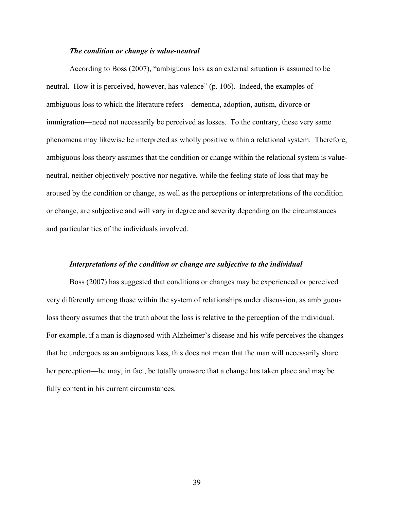# *The condition or change is value-neutral*

According to Boss (2007), "ambiguous loss as an external situation is assumed to be neutral. How it is perceived, however, has valence" (p. 106). Indeed, the examples of ambiguous loss to which the literature refers—dementia, adoption, autism, divorce or immigration—need not necessarily be perceived as losses. To the contrary, these very same phenomena may likewise be interpreted as wholly positive within a relational system. Therefore, ambiguous loss theory assumes that the condition or change within the relational system is valueneutral, neither objectively positive nor negative, while the feeling state of loss that may be aroused by the condition or change, as well as the perceptions or interpretations of the condition or change, are subjective and will vary in degree and severity depending on the circumstances and particularities of the individuals involved.

# *Interpretations of the condition or change are subjective to the individual*

Boss (2007) has suggested that conditions or changes may be experienced or perceived very differently among those within the system of relationships under discussion, as ambiguous loss theory assumes that the truth about the loss is relative to the perception of the individual. For example, if a man is diagnosed with Alzheimer's disease and his wife perceives the changes that he undergoes as an ambiguous loss, this does not mean that the man will necessarily share her perception—he may, in fact, be totally unaware that a change has taken place and may be fully content in his current circumstances.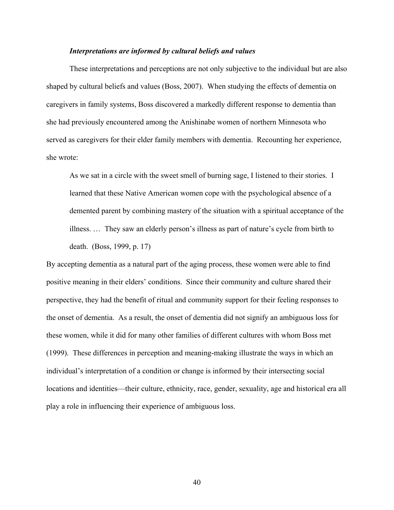# *Interpretations are informed by cultural beliefs and values*

These interpretations and perceptions are not only subjective to the individual but are also shaped by cultural beliefs and values (Boss, 2007). When studying the effects of dementia on caregivers in family systems, Boss discovered a markedly different response to dementia than she had previously encountered among the Anishinabe women of northern Minnesota who served as caregivers for their elder family members with dementia. Recounting her experience, she wrote:

As we sat in a circle with the sweet smell of burning sage, I listened to their stories. I learned that these Native American women cope with the psychological absence of a demented parent by combining mastery of the situation with a spiritual acceptance of the illness. … They saw an elderly person's illness as part of nature's cycle from birth to death. (Boss, 1999, p. 17)

By accepting dementia as a natural part of the aging process, these women were able to find positive meaning in their elders' conditions. Since their community and culture shared their perspective, they had the benefit of ritual and community support for their feeling responses to the onset of dementia. As a result, the onset of dementia did not signify an ambiguous loss for these women, while it did for many other families of different cultures with whom Boss met (1999). These differences in perception and meaning-making illustrate the ways in which an individual's interpretation of a condition or change is informed by their intersecting social locations and identities—their culture, ethnicity, race, gender, sexuality, age and historical era all play a role in influencing their experience of ambiguous loss.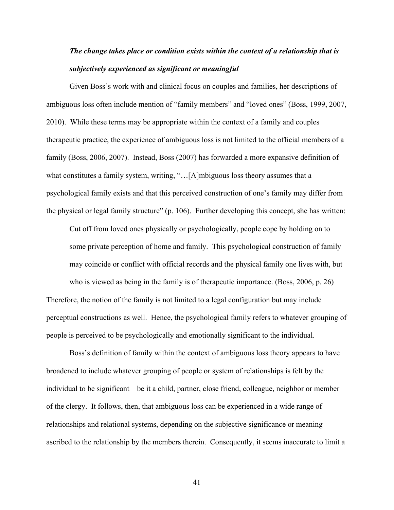# *The change takes place or condition exists within the context of a relationship that is subjectively experienced as significant or meaningful*

Given Boss's work with and clinical focus on couples and families, her descriptions of ambiguous loss often include mention of "family members" and "loved ones" (Boss, 1999, 2007, 2010). While these terms may be appropriate within the context of a family and couples therapeutic practice, the experience of ambiguous loss is not limited to the official members of a family (Boss, 2006, 2007). Instead, Boss (2007) has forwarded a more expansive definition of what constitutes a family system, writing, "...[A]mbiguous loss theory assumes that a psychological family exists and that this perceived construction of one's family may differ from the physical or legal family structure" (p. 106). Further developing this concept, she has written:

Cut off from loved ones physically or psychologically, people cope by holding on to some private perception of home and family. This psychological construction of family may coincide or conflict with official records and the physical family one lives with, but who is viewed as being in the family is of therapeutic importance. (Boss, 2006, p. 26) Therefore, the notion of the family is not limited to a legal configuration but may include perceptual constructions as well. Hence, the psychological family refers to whatever grouping of people is perceived to be psychologically and emotionally significant to the individual.

Boss's definition of family within the context of ambiguous loss theory appears to have broadened to include whatever grouping of people or system of relationships is felt by the individual to be significant—be it a child, partner, close friend, colleague, neighbor or member of the clergy. It follows, then, that ambiguous loss can be experienced in a wide range of relationships and relational systems, depending on the subjective significance or meaning ascribed to the relationship by the members therein. Consequently, it seems inaccurate to limit a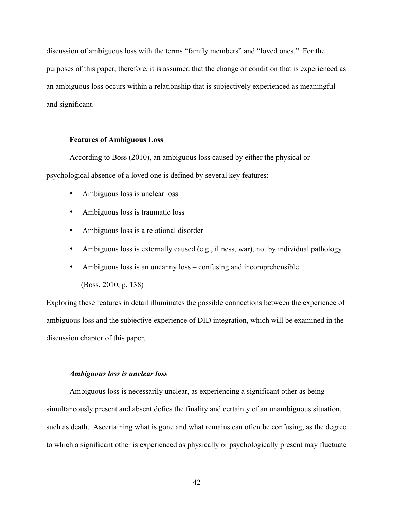discussion of ambiguous loss with the terms "family members" and "loved ones." For the purposes of this paper, therefore, it is assumed that the change or condition that is experienced as an ambiguous loss occurs within a relationship that is subjectively experienced as meaningful and significant.

# **Features of Ambiguous Loss**

According to Boss (2010), an ambiguous loss caused by either the physical or psychological absence of a loved one is defined by several key features:

- Ambiguous loss is unclear loss
- Ambiguous loss is traumatic loss
- Ambiguous loss is a relational disorder
- Ambiguous loss is externally caused (e.g., illness, war), not by individual pathology
- Ambiguous loss is an uncanny loss confusing and incomprehensible (Boss, 2010, p. 138)

Exploring these features in detail illuminates the possible connections between the experience of ambiguous loss and the subjective experience of DID integration, which will be examined in the discussion chapter of this paper.

# *Ambiguous loss is unclear loss*

Ambiguous loss is necessarily unclear, as experiencing a significant other as being simultaneously present and absent defies the finality and certainty of an unambiguous situation, such as death. Ascertaining what is gone and what remains can often be confusing, as the degree to which a significant other is experienced as physically or psychologically present may fluctuate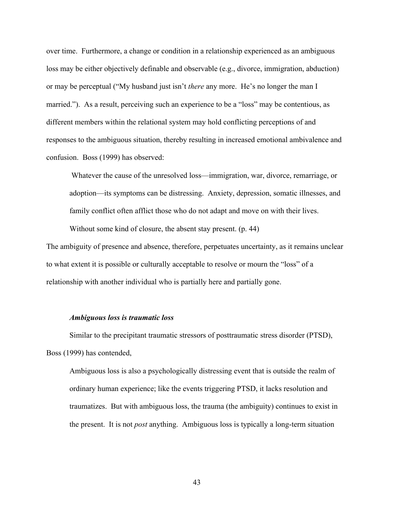over time. Furthermore, a change or condition in a relationship experienced as an ambiguous loss may be either objectively definable and observable (e.g., divorce, immigration, abduction) or may be perceptual ("My husband just isn't *there* any more. He's no longer the man I married."). As a result, perceiving such an experience to be a "loss" may be contentious, as different members within the relational system may hold conflicting perceptions of and responses to the ambiguous situation, thereby resulting in increased emotional ambivalence and confusion. Boss (1999) has observed:

Whatever the cause of the unresolved loss—immigration, war, divorce, remarriage, or adoption—its symptoms can be distressing. Anxiety, depression, somatic illnesses, and family conflict often afflict those who do not adapt and move on with their lives.

Without some kind of closure, the absent stay present. (p. 44)

The ambiguity of presence and absence, therefore, perpetuates uncertainty, as it remains unclear to what extent it is possible or culturally acceptable to resolve or mourn the "loss" of a relationship with another individual who is partially here and partially gone.

# *Ambiguous loss is traumatic loss*

Similar to the precipitant traumatic stressors of posttraumatic stress disorder (PTSD), Boss (1999) has contended,

Ambiguous loss is also a psychologically distressing event that is outside the realm of ordinary human experience; like the events triggering PTSD, it lacks resolution and traumatizes. But with ambiguous loss, the trauma (the ambiguity) continues to exist in the present. It is not *post* anything. Ambiguous loss is typically a long-term situation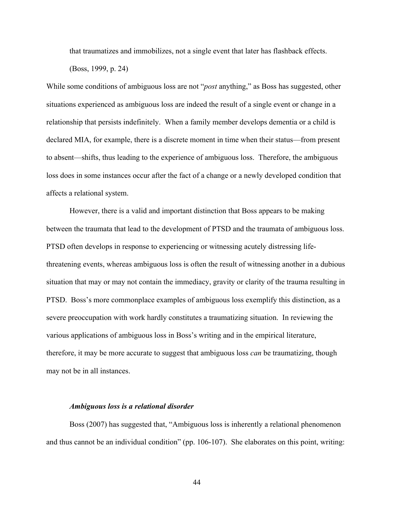that traumatizes and immobilizes, not a single event that later has flashback effects.

(Boss, 1999, p. 24)

While some conditions of ambiguous loss are not "*post* anything," as Boss has suggested, other situations experienced as ambiguous loss are indeed the result of a single event or change in a relationship that persists indefinitely. When a family member develops dementia or a child is declared MIA, for example, there is a discrete moment in time when their status—from present to absent—shifts, thus leading to the experience of ambiguous loss. Therefore, the ambiguous loss does in some instances occur after the fact of a change or a newly developed condition that affects a relational system.

However, there is a valid and important distinction that Boss appears to be making between the traumata that lead to the development of PTSD and the traumata of ambiguous loss. PTSD often develops in response to experiencing or witnessing acutely distressing lifethreatening events, whereas ambiguous loss is often the result of witnessing another in a dubious situation that may or may not contain the immediacy, gravity or clarity of the trauma resulting in PTSD. Boss's more commonplace examples of ambiguous loss exemplify this distinction, as a severe preoccupation with work hardly constitutes a traumatizing situation. In reviewing the various applications of ambiguous loss in Boss's writing and in the empirical literature, therefore, it may be more accurate to suggest that ambiguous loss *can* be traumatizing, though may not be in all instances.

## *Ambiguous loss is a relational disorder*

Boss (2007) has suggested that, "Ambiguous loss is inherently a relational phenomenon and thus cannot be an individual condition" (pp. 106-107). She elaborates on this point, writing: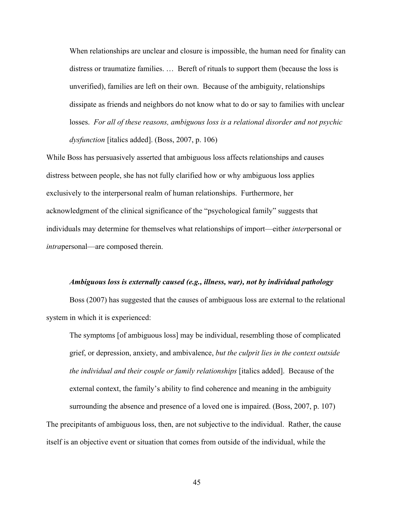When relationships are unclear and closure is impossible, the human need for finality can distress or traumatize families. … Bereft of rituals to support them (because the loss is unverified), families are left on their own. Because of the ambiguity, relationships dissipate as friends and neighbors do not know what to do or say to families with unclear losses. *For all of these reasons, ambiguous loss is a relational disorder and not psychic dysfunction* [italics added]. (Boss, 2007, p. 106)

While Boss has persuasively asserted that ambiguous loss affects relationships and causes distress between people, she has not fully clarified how or why ambiguous loss applies exclusively to the interpersonal realm of human relationships. Furthermore, her acknowledgment of the clinical significance of the "psychological family" suggests that individuals may determine for themselves what relationships of import—either *inter*personal or *intra*personal—are composed therein.

#### *Ambiguous loss is externally caused (e.g., illness, war), not by individual pathology*

Boss (2007) has suggested that the causes of ambiguous loss are external to the relational system in which it is experienced:

The symptoms [of ambiguous loss] may be individual, resembling those of complicated grief, or depression, anxiety, and ambivalence, *but the culprit lies in the context outside the individual and their couple or family relationships* [italics added]. Because of the external context, the family's ability to find coherence and meaning in the ambiguity surrounding the absence and presence of a loved one is impaired. (Boss, 2007, p. 107) The precipitants of ambiguous loss, then, are not subjective to the individual. Rather, the cause itself is an objective event or situation that comes from outside of the individual, while the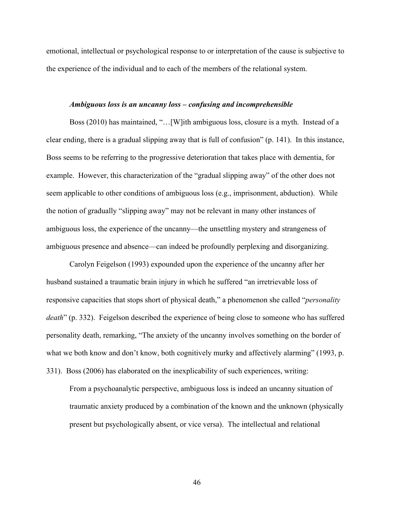emotional, intellectual or psychological response to or interpretation of the cause is subjective to the experience of the individual and to each of the members of the relational system.

# *Ambiguous loss is an uncanny loss – confusing and incomprehensible*

Boss (2010) has maintained, "…[W]ith ambiguous loss, closure is a myth. Instead of a clear ending, there is a gradual slipping away that is full of confusion" (p. 141). In this instance, Boss seems to be referring to the progressive deterioration that takes place with dementia, for example. However, this characterization of the "gradual slipping away" of the other does not seem applicable to other conditions of ambiguous loss (e.g., imprisonment, abduction). While the notion of gradually "slipping away" may not be relevant in many other instances of ambiguous loss, the experience of the uncanny—the unsettling mystery and strangeness of ambiguous presence and absence—can indeed be profoundly perplexing and disorganizing.

Carolyn Feigelson (1993) expounded upon the experience of the uncanny after her husband sustained a traumatic brain injury in which he suffered "an irretrievable loss of responsive capacities that stops short of physical death," a phenomenon she called "*personality death*" (p. 332). Feigelson described the experience of being close to someone who has suffered personality death, remarking, "The anxiety of the uncanny involves something on the border of what we both know and don't know, both cognitively murky and affectively alarming" (1993, p. 331). Boss (2006) has elaborated on the inexplicability of such experiences, writing:

From a psychoanalytic perspective, ambiguous loss is indeed an uncanny situation of traumatic anxiety produced by a combination of the known and the unknown (physically present but psychologically absent, or vice versa). The intellectual and relational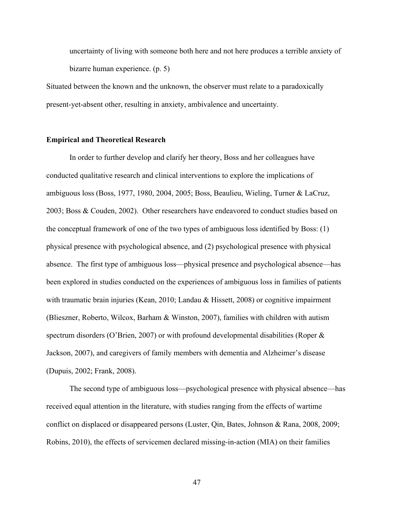uncertainty of living with someone both here and not here produces a terrible anxiety of bizarre human experience. (p. 5)

Situated between the known and the unknown, the observer must relate to a paradoxically present-yet-absent other, resulting in anxiety, ambivalence and uncertainty.

# **Empirical and Theoretical Research**

In order to further develop and clarify her theory, Boss and her colleagues have conducted qualitative research and clinical interventions to explore the implications of ambiguous loss (Boss, 1977, 1980, 2004, 2005; Boss, Beaulieu, Wieling, Turner & LaCruz, 2003; Boss & Couden, 2002). Other researchers have endeavored to conduct studies based on the conceptual framework of one of the two types of ambiguous loss identified by Boss: (1) physical presence with psychological absence, and (2) psychological presence with physical absence. The first type of ambiguous loss—physical presence and psychological absence—has been explored in studies conducted on the experiences of ambiguous loss in families of patients with traumatic brain injuries (Kean, 2010; Landau & Hissett, 2008) or cognitive impairment (Blieszner, Roberto, Wilcox, Barham & Winston, 2007), families with children with autism spectrum disorders (O'Brien, 2007) or with profound developmental disabilities (Roper & Jackson, 2007), and caregivers of family members with dementia and Alzheimer's disease (Dupuis, 2002; Frank, 2008).

The second type of ambiguous loss—psychological presence with physical absence—has received equal attention in the literature, with studies ranging from the effects of wartime conflict on displaced or disappeared persons (Luster, Qin, Bates, Johnson & Rana, 2008, 2009; Robins, 2010), the effects of servicemen declared missing-in-action (MIA) on their families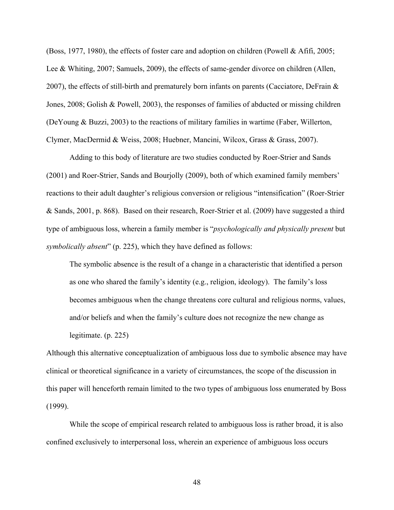(Boss, 1977, 1980), the effects of foster care and adoption on children (Powell & Afifi, 2005; Lee & Whiting, 2007; Samuels, 2009), the effects of same-gender divorce on children (Allen, 2007), the effects of still-birth and prematurely born infants on parents (Cacciatore, DeFrain & Jones, 2008; Golish & Powell, 2003), the responses of families of abducted or missing children (DeYoung & Buzzi, 2003) to the reactions of military families in wartime (Faber, Willerton, Clymer, MacDermid & Weiss, 2008; Huebner, Mancini, Wilcox, Grass & Grass, 2007).

Adding to this body of literature are two studies conducted by Roer-Strier and Sands (2001) and Roer-Strier, Sands and Bourjolly (2009), both of which examined family members' reactions to their adult daughter's religious conversion or religious "intensification" (Roer-Strier & Sands, 2001, p. 868). Based on their research, Roer-Strier et al. (2009) have suggested a third type of ambiguous loss, wherein a family member is "*psychologically and physically present* but *symbolically absent*" (p. 225), which they have defined as follows:

The symbolic absence is the result of a change in a characteristic that identified a person as one who shared the family's identity (e.g., religion, ideology). The family's loss becomes ambiguous when the change threatens core cultural and religious norms, values, and/or beliefs and when the family's culture does not recognize the new change as legitimate. (p. 225)

Although this alternative conceptualization of ambiguous loss due to symbolic absence may have clinical or theoretical significance in a variety of circumstances, the scope of the discussion in this paper will henceforth remain limited to the two types of ambiguous loss enumerated by Boss (1999).

While the scope of empirical research related to ambiguous loss is rather broad, it is also confined exclusively to interpersonal loss, wherein an experience of ambiguous loss occurs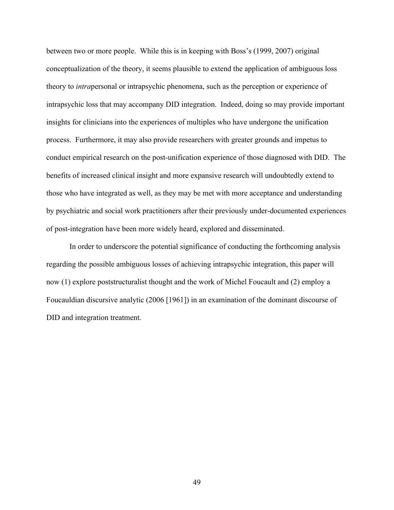between two or more people. While this is in keeping with Boss's (1999, 2007) original conceptualization of the theory, it seems plausible to extend the application of ambiguous loss theory to *intra*personal or intrapsychic phenomena, such as the perception or experience of intrapsychic loss that may accompany DID integration. Indeed, doing so may provide important insights for clinicians into the experiences of multiples who have undergone the unification process. Furthermore, it may also provide researchers with greater grounds and impetus to conduct empirical research on the post-unification experience of those diagnosed with DID. The benefits of increased clinical insight and more expansive research will undoubtedly extend to those who have integrated as well, as they may be met with more acceptance and understanding by psychiatric and social work practitioners after their previously under-documented experiences of post-integration have been more widely heard, explored and disseminated.

In order to underscore the potential significance of conducting the forthcoming analysis regarding the possible ambiguous losses of achieving intrapsychic integration, this paper will now (1) explore poststructuralist thought and the work of Michel Foucault and (2) employ a Foucauldian discursive analytic (2006 [1961]) in an examination of the dominant discourse of DID and integration treatment.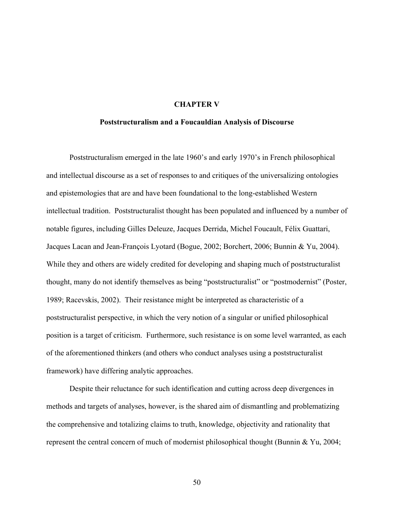# **CHAPTER V**

## **Poststructuralism and a Foucauldian Analysis of Discourse**

Poststructuralism emerged in the late 1960's and early 1970's in French philosophical and intellectual discourse as a set of responses to and critiques of the universalizing ontologies and epistemologies that are and have been foundational to the long-established Western intellectual tradition. Poststructuralist thought has been populated and influenced by a number of notable figures, including Gilles Deleuze, Jacques Derrida, Michel Foucault, Félix Guattari, Jacques Lacan and Jean-François Lyotard (Bogue, 2002; Borchert, 2006; Bunnin & Yu, 2004). While they and others are widely credited for developing and shaping much of poststructuralist thought, many do not identify themselves as being "poststructuralist" or "postmodernist" (Poster, 1989; Racevskis, 2002). Their resistance might be interpreted as characteristic of a poststructuralist perspective, in which the very notion of a singular or unified philosophical position is a target of criticism. Furthermore, such resistance is on some level warranted, as each of the aforementioned thinkers (and others who conduct analyses using a poststructuralist framework) have differing analytic approaches.

Despite their reluctance for such identification and cutting across deep divergences in methods and targets of analyses, however, is the shared aim of dismantling and problematizing the comprehensive and totalizing claims to truth, knowledge, objectivity and rationality that represent the central concern of much of modernist philosophical thought (Bunnin & Yu, 2004;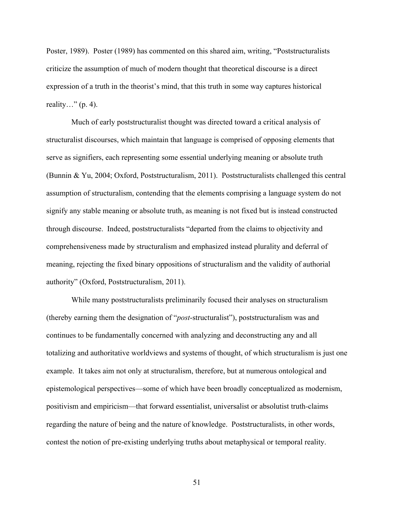Poster, 1989). Poster (1989) has commented on this shared aim, writing, "Poststructuralists criticize the assumption of much of modern thought that theoretical discourse is a direct expression of a truth in the theorist's mind, that this truth in some way captures historical reality..."  $(p. 4)$ .

Much of early poststructuralist thought was directed toward a critical analysis of structuralist discourses, which maintain that language is comprised of opposing elements that serve as signifiers, each representing some essential underlying meaning or absolute truth (Bunnin & Yu, 2004; Oxford, Poststructuralism, 2011). Poststructuralists challenged this central assumption of structuralism, contending that the elements comprising a language system do not signify any stable meaning or absolute truth, as meaning is not fixed but is instead constructed through discourse. Indeed, poststructuralists "departed from the claims to objectivity and comprehensiveness made by structuralism and emphasized instead plurality and deferral of meaning, rejecting the fixed binary oppositions of structuralism and the validity of authorial authority" (Oxford, Poststructuralism, 2011).

While many poststructuralists preliminarily focused their analyses on structuralism (thereby earning them the designation of "*post*-structuralist"), poststructuralism was and continues to be fundamentally concerned with analyzing and deconstructing any and all totalizing and authoritative worldviews and systems of thought, of which structuralism is just one example. It takes aim not only at structuralism, therefore, but at numerous ontological and epistemological perspectives—some of which have been broadly conceptualized as modernism, positivism and empiricism—that forward essentialist, universalist or absolutist truth-claims regarding the nature of being and the nature of knowledge. Poststructuralists, in other words, contest the notion of pre-existing underlying truths about metaphysical or temporal reality.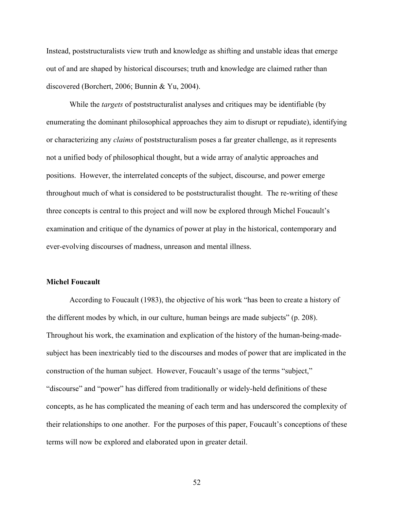Instead, poststructuralists view truth and knowledge as shifting and unstable ideas that emerge out of and are shaped by historical discourses; truth and knowledge are claimed rather than discovered (Borchert, 2006; Bunnin & Yu, 2004).

While the *targets* of poststructuralist analyses and critiques may be identifiable (by enumerating the dominant philosophical approaches they aim to disrupt or repudiate), identifying or characterizing any *claims* of poststructuralism poses a far greater challenge, as it represents not a unified body of philosophical thought, but a wide array of analytic approaches and positions. However, the interrelated concepts of the subject, discourse, and power emerge throughout much of what is considered to be poststructuralist thought. The re-writing of these three concepts is central to this project and will now be explored through Michel Foucault's examination and critique of the dynamics of power at play in the historical, contemporary and ever-evolving discourses of madness, unreason and mental illness.

## **Michel Foucault**

According to Foucault (1983), the objective of his work "has been to create a history of the different modes by which, in our culture, human beings are made subjects" (p. 208). Throughout his work, the examination and explication of the history of the human-being-madesubject has been inextricably tied to the discourses and modes of power that are implicated in the construction of the human subject. However, Foucault's usage of the terms "subject," "discourse" and "power" has differed from traditionally or widely-held definitions of these concepts, as he has complicated the meaning of each term and has underscored the complexity of their relationships to one another. For the purposes of this paper, Foucault's conceptions of these terms will now be explored and elaborated upon in greater detail.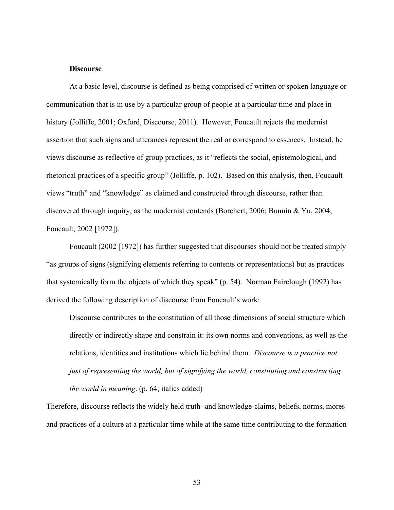# **Discourse**

At a basic level, discourse is defined as being comprised of written or spoken language or communication that is in use by a particular group of people at a particular time and place in history (Jolliffe, 2001; Oxford, Discourse, 2011). However, Foucault rejects the modernist assertion that such signs and utterances represent the real or correspond to essences. Instead, he views discourse as reflective of group practices, as it "reflects the social, epistemological, and rhetorical practices of a specific group" (Jolliffe, p. 102). Based on this analysis, then, Foucault views "truth" and "knowledge" as claimed and constructed through discourse, rather than discovered through inquiry, as the modernist contends (Borchert, 2006; Bunnin & Yu, 2004; Foucault, 2002 [1972]).

Foucault (2002 [1972]) has further suggested that discourses should not be treated simply "as groups of signs (signifying elements referring to contents or representations) but as practices that systemically form the objects of which they speak" (p. 54). Norman Fairclough (1992) has derived the following description of discourse from Foucault's work:

Discourse contributes to the constitution of all those dimensions of social structure which directly or indirectly shape and constrain it: its own norms and conventions, as well as the relations, identities and institutions which lie behind them. *Discourse is a practice not just of representing the world, but of signifying the world, constituting and constructing the world in meaning*. (p. 64; italics added)

Therefore, discourse reflects the widely held truth- and knowledge-claims, beliefs, norms, mores and practices of a culture at a particular time while at the same time contributing to the formation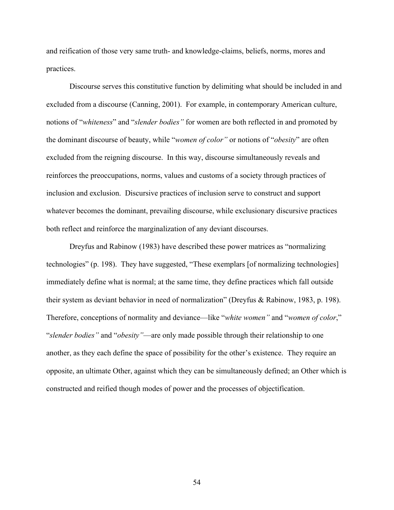and reification of those very same truth- and knowledge-claims, beliefs, norms, mores and practices.

Discourse serves this constitutive function by delimiting what should be included in and excluded from a discourse (Canning, 2001). For example, in contemporary American culture, notions of "*whiteness*" and "*slender bodies"* for women are both reflected in and promoted by the dominant discourse of beauty, while "*women of color"* or notions of "*obesity*" are often excluded from the reigning discourse. In this way, discourse simultaneously reveals and reinforces the preoccupations, norms, values and customs of a society through practices of inclusion and exclusion. Discursive practices of inclusion serve to construct and support whatever becomes the dominant, prevailing discourse, while exclusionary discursive practices both reflect and reinforce the marginalization of any deviant discourses.

Dreyfus and Rabinow (1983) have described these power matrices as "normalizing technologies" (p. 198). They have suggested, "These exemplars [of normalizing technologies] immediately define what is normal; at the same time, they define practices which fall outside their system as deviant behavior in need of normalization" (Dreyfus & Rabinow, 1983, p. 198). Therefore, conceptions of normality and deviance—like "*white women"* and "*women of color*," "*slender bodies"* and "*obesity"*—are only made possible through their relationship to one another, as they each define the space of possibility for the other's existence. They require an opposite, an ultimate Other, against which they can be simultaneously defined; an Other which is constructed and reified though modes of power and the processes of objectification.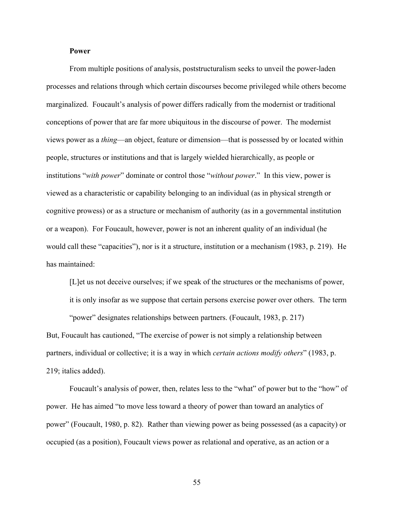# **Power**

From multiple positions of analysis, poststructuralism seeks to unveil the power-laden processes and relations through which certain discourses become privileged while others become marginalized. Foucault's analysis of power differs radically from the modernist or traditional conceptions of power that are far more ubiquitous in the discourse of power. The modernist views power as a *thing*—an object, feature or dimension—that is possessed by or located within people, structures or institutions and that is largely wielded hierarchically, as people or institutions "*with power*" dominate or control those "*without power*." In this view, power is viewed as a characteristic or capability belonging to an individual (as in physical strength or cognitive prowess) or as a structure or mechanism of authority (as in a governmental institution or a weapon). For Foucault, however, power is not an inherent quality of an individual (he would call these "capacities"), nor is it a structure, institution or a mechanism (1983, p. 219). He has maintained:

[L]et us not deceive ourselves; if we speak of the structures or the mechanisms of power, it is only insofar as we suppose that certain persons exercise power over others. The term

"power" designates relationships between partners. (Foucault, 1983, p. 217) But, Foucault has cautioned, "The exercise of power is not simply a relationship between partners, individual or collective; it is a way in which *certain actions modify others*" (1983, p. 219; italics added).

Foucault's analysis of power, then, relates less to the "what" of power but to the "how" of power. He has aimed "to move less toward a theory of power than toward an analytics of power" (Foucault, 1980, p. 82). Rather than viewing power as being possessed (as a capacity) or occupied (as a position), Foucault views power as relational and operative, as an action or a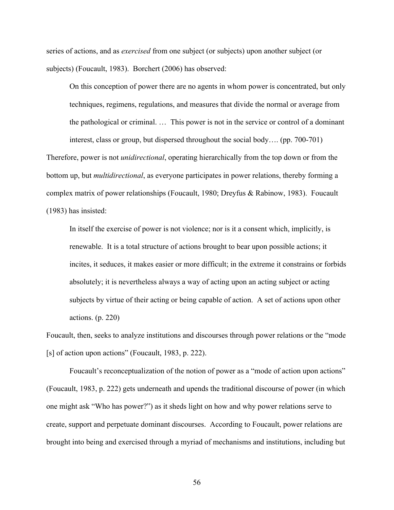series of actions, and as *exercised* from one subject (or subjects) upon another subject (or subjects) (Foucault, 1983). Borchert (2006) has observed:

On this conception of power there are no agents in whom power is concentrated, but only techniques, regimens, regulations, and measures that divide the normal or average from the pathological or criminal. … This power is not in the service or control of a dominant interest, class or group, but dispersed throughout the social body…. (pp. 700-701)

Therefore, power is not *unidirectional*, operating hierarchically from the top down or from the bottom up, but *multidirectional*, as everyone participates in power relations, thereby forming a complex matrix of power relationships (Foucault, 1980; Dreyfus & Rabinow, 1983). Foucault (1983) has insisted:

In itself the exercise of power is not violence; nor is it a consent which, implicitly, is renewable. It is a total structure of actions brought to bear upon possible actions; it incites, it seduces, it makes easier or more difficult; in the extreme it constrains or forbids absolutely; it is nevertheless always a way of acting upon an acting subject or acting subjects by virtue of their acting or being capable of action. A set of actions upon other actions. (p. 220)

Foucault, then, seeks to analyze institutions and discourses through power relations or the "mode [s] of action upon actions" (Foucault, 1983, p. 222).

Foucault's reconceptualization of the notion of power as a "mode of action upon actions" (Foucault, 1983, p. 222) gets underneath and upends the traditional discourse of power (in which one might ask "Who has power?") as it sheds light on how and why power relations serve to create, support and perpetuate dominant discourses. According to Foucault, power relations are brought into being and exercised through a myriad of mechanisms and institutions, including but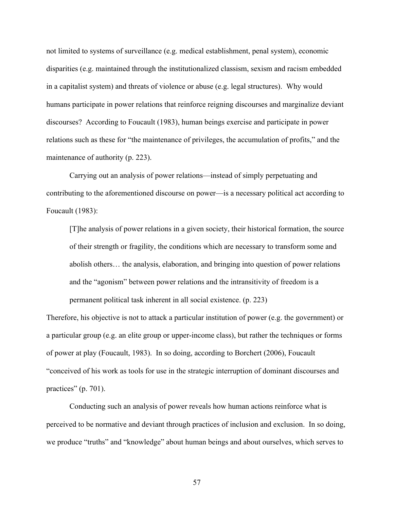not limited to systems of surveillance (e.g. medical establishment, penal system), economic disparities (e.g. maintained through the institutionalized classism, sexism and racism embedded in a capitalist system) and threats of violence or abuse (e.g. legal structures). Why would humans participate in power relations that reinforce reigning discourses and marginalize deviant discourses? According to Foucault (1983), human beings exercise and participate in power relations such as these for "the maintenance of privileges, the accumulation of profits," and the maintenance of authority (p. 223).

Carrying out an analysis of power relations—instead of simply perpetuating and contributing to the aforementioned discourse on power—is a necessary political act according to Foucault (1983):

[T]he analysis of power relations in a given society, their historical formation, the source of their strength or fragility, the conditions which are necessary to transform some and abolish others… the analysis, elaboration, and bringing into question of power relations and the "agonism" between power relations and the intransitivity of freedom is a permanent political task inherent in all social existence. (p. 223)

Therefore, his objective is not to attack a particular institution of power (e.g. the government) or a particular group (e.g. an elite group or upper-income class), but rather the techniques or forms of power at play (Foucault, 1983). In so doing, according to Borchert (2006), Foucault "conceived of his work as tools for use in the strategic interruption of dominant discourses and practices" (p. 701).

Conducting such an analysis of power reveals how human actions reinforce what is perceived to be normative and deviant through practices of inclusion and exclusion. In so doing, we produce "truths" and "knowledge" about human beings and about ourselves, which serves to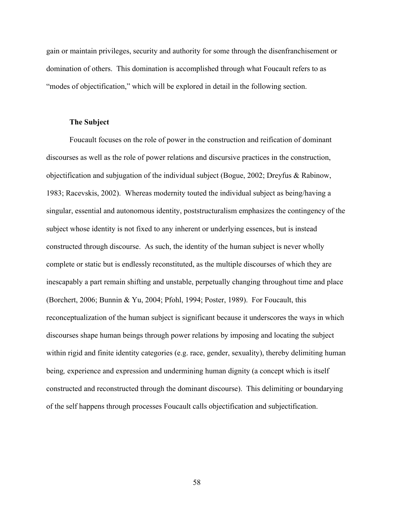gain or maintain privileges, security and authority for some through the disenfranchisement or domination of others. This domination is accomplished through what Foucault refers to as "modes of objectification," which will be explored in detail in the following section.

# **The Subject**

Foucault focuses on the role of power in the construction and reification of dominant discourses as well as the role of power relations and discursive practices in the construction, objectification and subjugation of the individual subject (Bogue, 2002; Dreyfus & Rabinow, 1983; Racevskis, 2002). Whereas modernity touted the individual subject as being/having a singular, essential and autonomous identity, poststructuralism emphasizes the contingency of the subject whose identity is not fixed to any inherent or underlying essences, but is instead constructed through discourse. As such, the identity of the human subject is never wholly complete or static but is endlessly reconstituted, as the multiple discourses of which they are inescapably a part remain shifting and unstable, perpetually changing throughout time and place (Borchert, 2006; Bunnin & Yu, 2004; Pfohl, 1994; Poster, 1989). For Foucault, this reconceptualization of the human subject is significant because it underscores the ways in which discourses shape human beings through power relations by imposing and locating the subject within rigid and finite identity categories (e.g. race, gender, sexuality), thereby delimiting human being*,* experience and expression and undermining human dignity (a concept which is itself constructed and reconstructed through the dominant discourse). This delimiting or boundarying of the self happens through processes Foucault calls objectification and subjectification.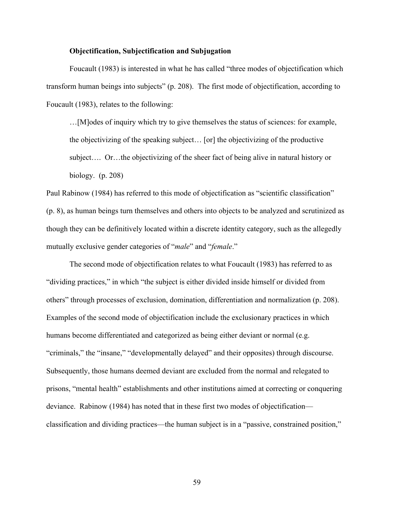# **Objectification, Subjectification and Subjugation**

Foucault (1983) is interested in what he has called "three modes of objectification which transform human beings into subjects" (p. 208). The first mode of objectification, according to Foucault (1983), relates to the following:

…[M]odes of inquiry which try to give themselves the status of sciences: for example, the objectivizing of the speaking subject… [or] the objectivizing of the productive subject…. Or…the objectivizing of the sheer fact of being alive in natural history or biology. (p. 208)

Paul Rabinow (1984) has referred to this mode of objectification as "scientific classification" (p. 8), as human beings turn themselves and others into objects to be analyzed and scrutinized as though they can be definitively located within a discrete identity category, such as the allegedly mutually exclusive gender categories of "*male*" and "*female*."

The second mode of objectification relates to what Foucault (1983) has referred to as "dividing practices," in which "the subject is either divided inside himself or divided from others" through processes of exclusion, domination, differentiation and normalization (p. 208). Examples of the second mode of objectification include the exclusionary practices in which humans become differentiated and categorized as being either deviant or normal (e.g. "criminals," the "insane," "developmentally delayed" and their opposites) through discourse. Subsequently, those humans deemed deviant are excluded from the normal and relegated to prisons, "mental health" establishments and other institutions aimed at correcting or conquering deviance. Rabinow (1984) has noted that in these first two modes of objectification classification and dividing practices—the human subject is in a "passive, constrained position,"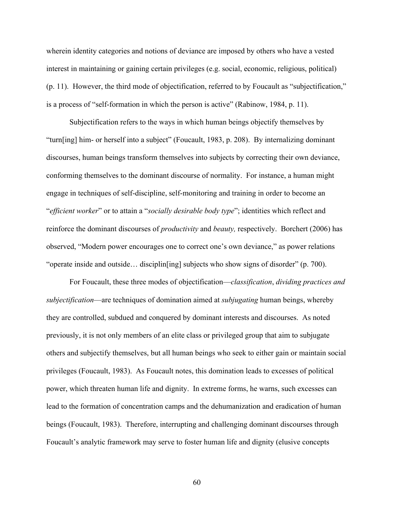wherein identity categories and notions of deviance are imposed by others who have a vested interest in maintaining or gaining certain privileges (e.g. social, economic, religious, political) (p. 11). However, the third mode of objectification, referred to by Foucault as "subjectification," is a process of "self-formation in which the person is active" (Rabinow, 1984, p. 11).

Subjectification refers to the ways in which human beings objectify themselves by "turn[ing] him- or herself into a subject" (Foucault, 1983, p. 208). By internalizing dominant discourses, human beings transform themselves into subjects by correcting their own deviance, conforming themselves to the dominant discourse of normality. For instance, a human might engage in techniques of self-discipline, self-monitoring and training in order to become an "*efficient worker*" or to attain a "*socially desirable body type*"; identities which reflect and reinforce the dominant discourses of *productivity* and *beauty,* respectively. Borchert (2006) has observed, "Modern power encourages one to correct one's own deviance," as power relations "operate inside and outside… disciplin[ing] subjects who show signs of disorder" (p. 700).

For Foucault, these three modes of objectification—*classification*, *dividing practices and subjectification*—are techniques of domination aimed at *subjugating* human beings, whereby they are controlled, subdued and conquered by dominant interests and discourses. As noted previously, it is not only members of an elite class or privileged group that aim to subjugate others and subjectify themselves, but all human beings who seek to either gain or maintain social privileges (Foucault, 1983). As Foucault notes, this domination leads to excesses of political power, which threaten human life and dignity. In extreme forms, he warns, such excesses can lead to the formation of concentration camps and the dehumanization and eradication of human beings (Foucault, 1983). Therefore, interrupting and challenging dominant discourses through Foucault's analytic framework may serve to foster human life and dignity (elusive concepts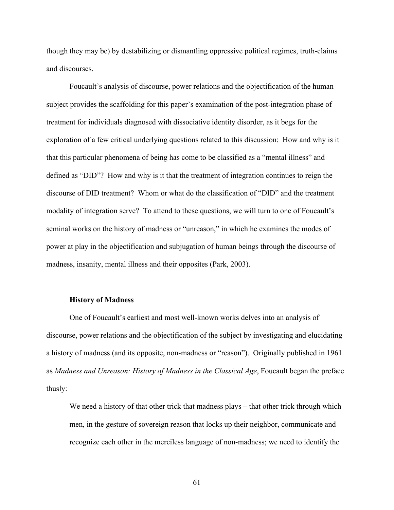though they may be) by destabilizing or dismantling oppressive political regimes, truth-claims and discourses.

Foucault's analysis of discourse, power relations and the objectification of the human subject provides the scaffolding for this paper's examination of the post-integration phase of treatment for individuals diagnosed with dissociative identity disorder, as it begs for the exploration of a few critical underlying questions related to this discussion: How and why is it that this particular phenomena of being has come to be classified as a "mental illness" and defined as "DID"? How and why is it that the treatment of integration continues to reign the discourse of DID treatment? Whom or what do the classification of "DID" and the treatment modality of integration serve? To attend to these questions, we will turn to one of Foucault's seminal works on the history of madness or "unreason," in which he examines the modes of power at play in the objectification and subjugation of human beings through the discourse of madness, insanity, mental illness and their opposites (Park, 2003).

# **History of Madness**

One of Foucault's earliest and most well-known works delves into an analysis of discourse, power relations and the objectification of the subject by investigating and elucidating a history of madness (and its opposite, non-madness or "reason"). Originally published in 1961 as *Madness and Unreason: History of Madness in the Classical Age*, Foucault began the preface thusly:

We need a history of that other trick that madness plays – that other trick through which men, in the gesture of sovereign reason that locks up their neighbor, communicate and recognize each other in the merciless language of non-madness; we need to identify the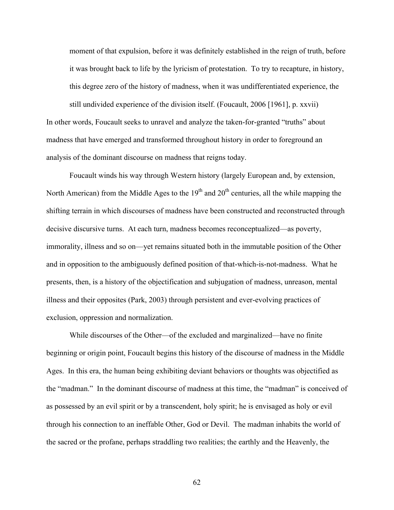moment of that expulsion, before it was definitely established in the reign of truth, before it was brought back to life by the lyricism of protestation. To try to recapture, in history, this degree zero of the history of madness, when it was undifferentiated experience, the still undivided experience of the division itself. (Foucault, 2006 [1961], p. xxvii) In other words, Foucault seeks to unravel and analyze the taken-for-granted "truths" about madness that have emerged and transformed throughout history in order to foreground an

analysis of the dominant discourse on madness that reigns today.

Foucault winds his way through Western history (largely European and, by extension, North American) from the Middle Ages to the  $19<sup>th</sup>$  and  $20<sup>th</sup>$  centuries, all the while mapping the shifting terrain in which discourses of madness have been constructed and reconstructed through decisive discursive turns. At each turn, madness becomes reconceptualized—as poverty, immorality, illness and so on—yet remains situated both in the immutable position of the Other and in opposition to the ambiguously defined position of that-which-is-not-madness. What he presents, then, is a history of the objectification and subjugation of madness, unreason, mental illness and their opposites (Park, 2003) through persistent and ever-evolving practices of exclusion, oppression and normalization.

While discourses of the Other—of the excluded and marginalized—have no finite beginning or origin point, Foucault begins this history of the discourse of madness in the Middle Ages. In this era, the human being exhibiting deviant behaviors or thoughts was objectified as the "madman." In the dominant discourse of madness at this time, the "madman" is conceived of as possessed by an evil spirit or by a transcendent, holy spirit; he is envisaged as holy or evil through his connection to an ineffable Other, God or Devil. The madman inhabits the world of the sacred or the profane, perhaps straddling two realities; the earthly and the Heavenly, the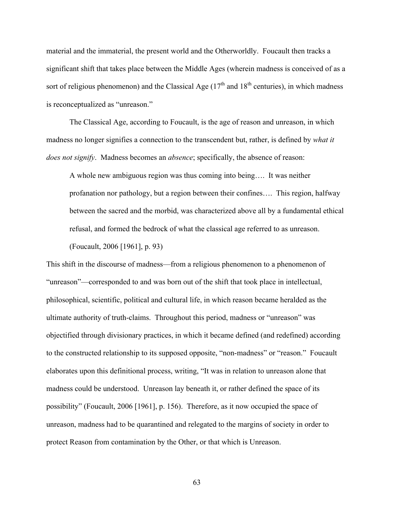material and the immaterial, the present world and the Otherworldly. Foucault then tracks a significant shift that takes place between the Middle Ages (wherein madness is conceived of as a sort of religious phenomenon) and the Classical Age  $(17<sup>th</sup>$  and  $18<sup>th</sup>$  centuries), in which madness is reconceptualized as "unreason."

The Classical Age, according to Foucault, is the age of reason and unreason, in which madness no longer signifies a connection to the transcendent but, rather, is defined by *what it does not signify*. Madness becomes an *absence*; specifically, the absence of reason:

A whole new ambiguous region was thus coming into being…. It was neither profanation nor pathology, but a region between their confines…. This region, halfway between the sacred and the morbid, was characterized above all by a fundamental ethical refusal, and formed the bedrock of what the classical age referred to as unreason.

(Foucault, 2006 [1961], p. 93)

This shift in the discourse of madness—from a religious phenomenon to a phenomenon of "unreason"—corresponded to and was born out of the shift that took place in intellectual, philosophical, scientific, political and cultural life, in which reason became heralded as the ultimate authority of truth-claims. Throughout this period, madness or "unreason" was objectified through divisionary practices, in which it became defined (and redefined) according to the constructed relationship to its supposed opposite, "non-madness" or "reason." Foucault elaborates upon this definitional process, writing, "It was in relation to unreason alone that madness could be understood. Unreason lay beneath it, or rather defined the space of its possibility" (Foucault, 2006 [1961], p. 156). Therefore, as it now occupied the space of unreason, madness had to be quarantined and relegated to the margins of society in order to protect Reason from contamination by the Other, or that which is Unreason.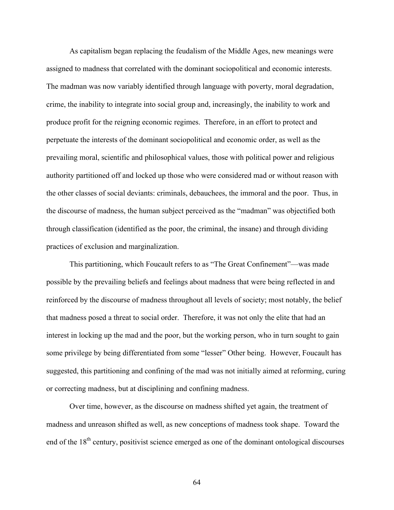As capitalism began replacing the feudalism of the Middle Ages, new meanings were assigned to madness that correlated with the dominant sociopolitical and economic interests. The madman was now variably identified through language with poverty, moral degradation, crime, the inability to integrate into social group and, increasingly, the inability to work and produce profit for the reigning economic regimes. Therefore, in an effort to protect and perpetuate the interests of the dominant sociopolitical and economic order, as well as the prevailing moral, scientific and philosophical values, those with political power and religious authority partitioned off and locked up those who were considered mad or without reason with the other classes of social deviants: criminals, debauchees, the immoral and the poor. Thus, in the discourse of madness, the human subject perceived as the "madman" was objectified both through classification (identified as the poor, the criminal, the insane) and through dividing practices of exclusion and marginalization.

This partitioning, which Foucault refers to as "The Great Confinement"—was made possible by the prevailing beliefs and feelings about madness that were being reflected in and reinforced by the discourse of madness throughout all levels of society; most notably, the belief that madness posed a threat to social order. Therefore, it was not only the elite that had an interest in locking up the mad and the poor, but the working person, who in turn sought to gain some privilege by being differentiated from some "lesser" Other being. However, Foucault has suggested, this partitioning and confining of the mad was not initially aimed at reforming, curing or correcting madness, but at disciplining and confining madness.

Over time, however, as the discourse on madness shifted yet again, the treatment of madness and unreason shifted as well, as new conceptions of madness took shape. Toward the end of the 18<sup>th</sup> century, positivist science emerged as one of the dominant ontological discourses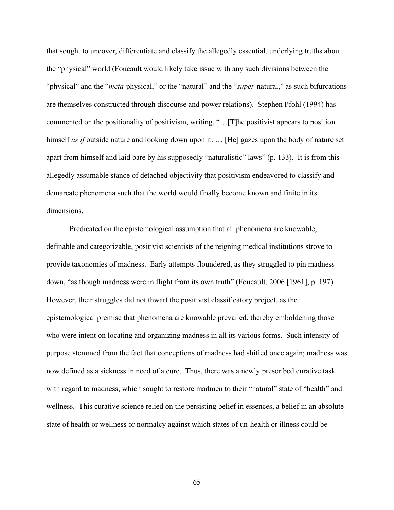that sought to uncover, differentiate and classify the allegedly essential, underlying truths about the "physical" world (Foucault would likely take issue with any such divisions between the "physical" and the "*meta*-physical," or the "natural" and the "*super*-natural," as such bifurcations are themselves constructed through discourse and power relations). Stephen Pfohl (1994) has commented on the positionality of positivism, writing, "…[T]he positivist appears to position himself *as if* outside nature and looking down upon it. ... [He] gazes upon the body of nature set apart from himself and laid bare by his supposedly "naturalistic" laws" (p. 133). It is from this allegedly assumable stance of detached objectivity that positivism endeavored to classify and demarcate phenomena such that the world would finally become known and finite in its dimensions.

Predicated on the epistemological assumption that all phenomena are knowable, definable and categorizable, positivist scientists of the reigning medical institutions strove to provide taxonomies of madness. Early attempts floundered, as they struggled to pin madness down, "as though madness were in flight from its own truth" (Foucault, 2006 [1961], p. 197). However, their struggles did not thwart the positivist classificatory project, as the epistemological premise that phenomena are knowable prevailed, thereby emboldening those who were intent on locating and organizing madness in all its various forms. Such intensity of purpose stemmed from the fact that conceptions of madness had shifted once again; madness was now defined as a sickness in need of a cure. Thus, there was a newly prescribed curative task with regard to madness, which sought to restore madmen to their "natural" state of "health" and wellness. This curative science relied on the persisting belief in essences, a belief in an absolute state of health or wellness or normalcy against which states of un-health or illness could be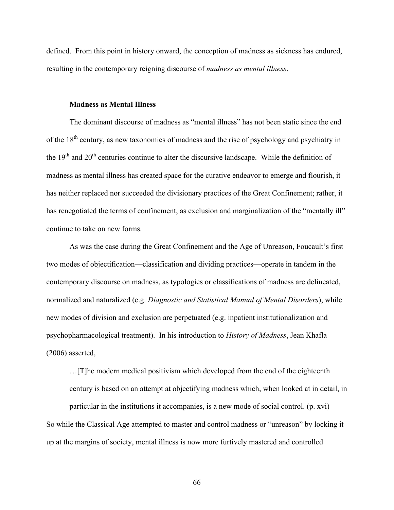defined. From this point in history onward, the conception of madness as sickness has endured, resulting in the contemporary reigning discourse of *madness as mental illness*.

# **Madness as Mental Illness**

The dominant discourse of madness as "mental illness" has not been static since the end of the 18<sup>th</sup> century, as new taxonomies of madness and the rise of psychology and psychiatry in the  $19<sup>th</sup>$  and  $20<sup>th</sup>$  centuries continue to alter the discursive landscape. While the definition of madness as mental illness has created space for the curative endeavor to emerge and flourish, it has neither replaced nor succeeded the divisionary practices of the Great Confinement; rather, it has renegotiated the terms of confinement, as exclusion and marginalization of the "mentally ill" continue to take on new forms.

As was the case during the Great Confinement and the Age of Unreason, Foucault's first two modes of objectification—classification and dividing practices—operate in tandem in the contemporary discourse on madness, as typologies or classifications of madness are delineated, normalized and naturalized (e.g. *Diagnostic and Statistical Manual of Mental Disorders*), while new modes of division and exclusion are perpetuated (e.g. inpatient institutionalization and psychopharmacological treatment). In his introduction to *History of Madness*, Jean Khafla (2006) asserted,

…[T]he modern medical positivism which developed from the end of the eighteenth century is based on an attempt at objectifying madness which, when looked at in detail, in

particular in the institutions it accompanies, is a new mode of social control. (p. xvi) So while the Classical Age attempted to master and control madness or "unreason" by locking it up at the margins of society, mental illness is now more furtively mastered and controlled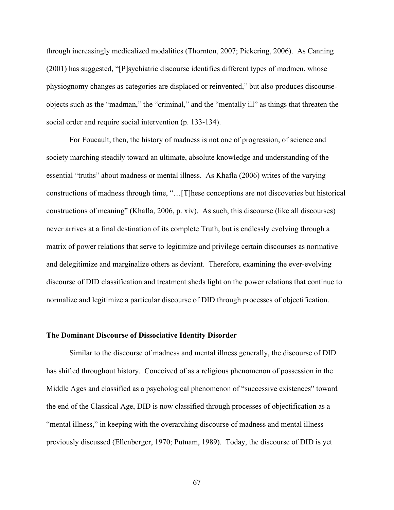through increasingly medicalized modalities (Thornton, 2007; Pickering, 2006). As Canning (2001) has suggested, "[P]sychiatric discourse identifies different types of madmen, whose physiognomy changes as categories are displaced or reinvented," but also produces discourseobjects such as the "madman," the "criminal," and the "mentally ill" as things that threaten the social order and require social intervention (p. 133-134).

For Foucault, then, the history of madness is not one of progression, of science and society marching steadily toward an ultimate, absolute knowledge and understanding of the essential "truths" about madness or mental illness. As Khafla (2006) writes of the varying constructions of madness through time, "…[T]hese conceptions are not discoveries but historical constructions of meaning" (Khafla, 2006, p. xiv). As such, this discourse (like all discourses) never arrives at a final destination of its complete Truth, but is endlessly evolving through a matrix of power relations that serve to legitimize and privilege certain discourses as normative and delegitimize and marginalize others as deviant. Therefore, examining the ever-evolving discourse of DID classification and treatment sheds light on the power relations that continue to normalize and legitimize a particular discourse of DID through processes of objectification.

## **The Dominant Discourse of Dissociative Identity Disorder**

Similar to the discourse of madness and mental illness generally, the discourse of DID has shifted throughout history. Conceived of as a religious phenomenon of possession in the Middle Ages and classified as a psychological phenomenon of "successive existences" toward the end of the Classical Age, DID is now classified through processes of objectification as a "mental illness," in keeping with the overarching discourse of madness and mental illness previously discussed (Ellenberger, 1970; Putnam, 1989). Today, the discourse of DID is yet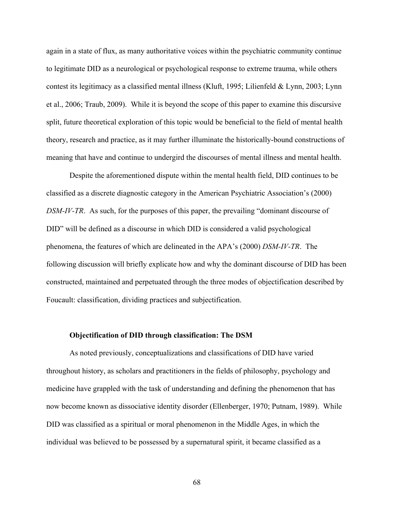again in a state of flux, as many authoritative voices within the psychiatric community continue to legitimate DID as a neurological or psychological response to extreme trauma, while others contest its legitimacy as a classified mental illness (Kluft, 1995; Lilienfeld & Lynn, 2003; Lynn et al., 2006; Traub, 2009). While it is beyond the scope of this paper to examine this discursive split, future theoretical exploration of this topic would be beneficial to the field of mental health theory, research and practice, as it may further illuminate the historically-bound constructions of meaning that have and continue to undergird the discourses of mental illness and mental health.

Despite the aforementioned dispute within the mental health field, DID continues to be classified as a discrete diagnostic category in the American Psychiatric Association's (2000) *DSM-IV-TR*. As such, for the purposes of this paper, the prevailing "dominant discourse of DID" will be defined as a discourse in which DID is considered a valid psychological phenomena, the features of which are delineated in the APA's (2000) *DSM-IV-TR*. The following discussion will briefly explicate how and why the dominant discourse of DID has been constructed, maintained and perpetuated through the three modes of objectification described by Foucault: classification, dividing practices and subjectification.

### **Objectification of DID through classification: The DSM**

As noted previously, conceptualizations and classifications of DID have varied throughout history, as scholars and practitioners in the fields of philosophy, psychology and medicine have grappled with the task of understanding and defining the phenomenon that has now become known as dissociative identity disorder (Ellenberger, 1970; Putnam, 1989). While DID was classified as a spiritual or moral phenomenon in the Middle Ages, in which the individual was believed to be possessed by a supernatural spirit, it became classified as a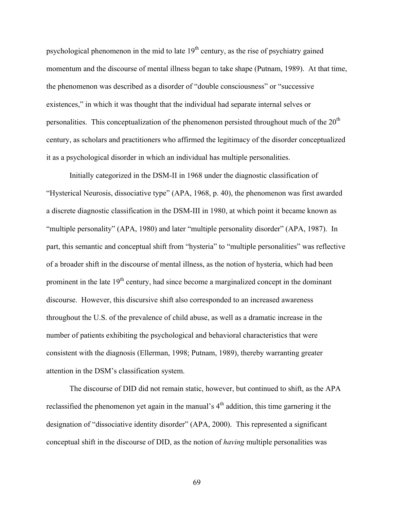psychological phenomenon in the mid to late  $19<sup>th</sup>$  century, as the rise of psychiatry gained momentum and the discourse of mental illness began to take shape (Putnam, 1989). At that time, the phenomenon was described as a disorder of "double consciousness" or "successive existences," in which it was thought that the individual had separate internal selves or personalities. This conceptualization of the phenomenon persisted throughout much of the  $20<sup>th</sup>$ century, as scholars and practitioners who affirmed the legitimacy of the disorder conceptualized it as a psychological disorder in which an individual has multiple personalities.

Initially categorized in the DSM-II in 1968 under the diagnostic classification of "Hysterical Neurosis, dissociative type" (APA, 1968, p. 40), the phenomenon was first awarded a discrete diagnostic classification in the DSM-III in 1980, at which point it became known as "multiple personality" (APA, 1980) and later "multiple personality disorder" (APA, 1987). In part, this semantic and conceptual shift from "hysteria" to "multiple personalities" was reflective of a broader shift in the discourse of mental illness, as the notion of hysteria, which had been prominent in the late  $19<sup>th</sup>$  century, had since become a marginalized concept in the dominant discourse. However, this discursive shift also corresponded to an increased awareness throughout the U.S. of the prevalence of child abuse, as well as a dramatic increase in the number of patients exhibiting the psychological and behavioral characteristics that were consistent with the diagnosis (Ellerman, 1998; Putnam, 1989), thereby warranting greater attention in the DSM's classification system.

The discourse of DID did not remain static, however, but continued to shift, as the APA reclassified the phenomenon yet again in the manual's  $4<sup>th</sup>$  addition, this time garnering it the designation of "dissociative identity disorder" (APA, 2000). This represented a significant conceptual shift in the discourse of DID, as the notion of *having* multiple personalities was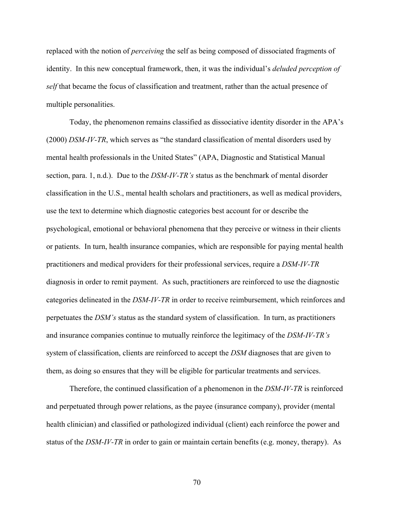replaced with the notion of *perceiving* the self as being composed of dissociated fragments of identity. In this new conceptual framework, then, it was the individual's *deluded perception of self* that became the focus of classification and treatment, rather than the actual presence of multiple personalities.

Today, the phenomenon remains classified as dissociative identity disorder in the APA's (2000) *DSM-IV-TR*, which serves as "the standard classification of mental disorders used by mental health professionals in the United States" (APA, Diagnostic and Statistical Manual section, para. 1, n.d.). Due to the *DSM-IV-TR's* status as the benchmark of mental disorder classification in the U.S., mental health scholars and practitioners, as well as medical providers, use the text to determine which diagnostic categories best account for or describe the psychological, emotional or behavioral phenomena that they perceive or witness in their clients or patients. In turn, health insurance companies, which are responsible for paying mental health practitioners and medical providers for their professional services, require a *DSM-IV-TR* diagnosis in order to remit payment. As such, practitioners are reinforced to use the diagnostic categories delineated in the *DSM-IV-TR* in order to receive reimbursement, which reinforces and perpetuates the *DSM's* status as the standard system of classification. In turn, as practitioners and insurance companies continue to mutually reinforce the legitimacy of the *DSM-IV-TR's* system of classification, clients are reinforced to accept the *DSM* diagnoses that are given to them, as doing so ensures that they will be eligible for particular treatments and services.

Therefore, the continued classification of a phenomenon in the *DSM-IV-TR* is reinforced and perpetuated through power relations, as the payee (insurance company), provider (mental health clinician) and classified or pathologized individual (client) each reinforce the power and status of the *DSM-IV-TR* in order to gain or maintain certain benefits (e.g. money, therapy). As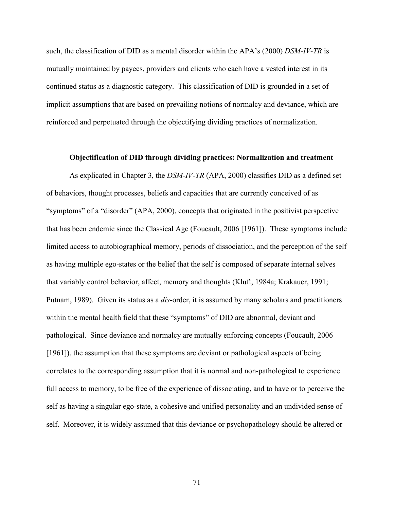such, the classification of DID as a mental disorder within the APA's (2000) *DSM-IV-TR* is mutually maintained by payees, providers and clients who each have a vested interest in its continued status as a diagnostic category. This classification of DID is grounded in a set of implicit assumptions that are based on prevailing notions of normalcy and deviance, which are reinforced and perpetuated through the objectifying dividing practices of normalization.

### **Objectification of DID through dividing practices: Normalization and treatment**

As explicated in Chapter 3, the *DSM-IV-TR* (APA, 2000) classifies DID as a defined set of behaviors, thought processes, beliefs and capacities that are currently conceived of as "symptoms" of a "disorder" (APA, 2000), concepts that originated in the positivist perspective that has been endemic since the Classical Age (Foucault, 2006 [1961]). These symptoms include limited access to autobiographical memory, periods of dissociation, and the perception of the self as having multiple ego-states or the belief that the self is composed of separate internal selves that variably control behavior, affect, memory and thoughts (Kluft, 1984a; Krakauer, 1991; Putnam, 1989). Given its status as a *dis*-order, it is assumed by many scholars and practitioners within the mental health field that these "symptoms" of DID are abnormal, deviant and pathological. Since deviance and normalcy are mutually enforcing concepts (Foucault, 2006 [1961]), the assumption that these symptoms are deviant or pathological aspects of being correlates to the corresponding assumption that it is normal and non-pathological to experience full access to memory, to be free of the experience of dissociating, and to have or to perceive the self as having a singular ego-state, a cohesive and unified personality and an undivided sense of self. Moreover, it is widely assumed that this deviance or psychopathology should be altered or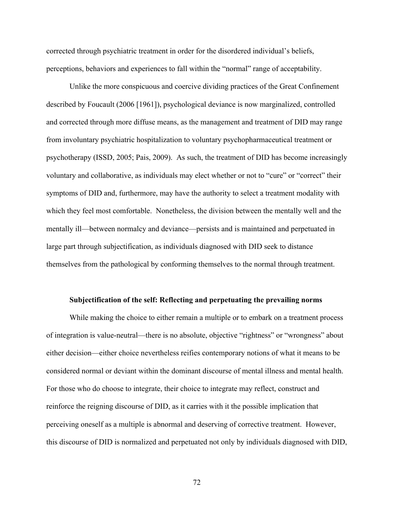corrected through psychiatric treatment in order for the disordered individual's beliefs, perceptions, behaviors and experiences to fall within the "normal" range of acceptability.

Unlike the more conspicuous and coercive dividing practices of the Great Confinement described by Foucault (2006 [1961]), psychological deviance is now marginalized, controlled and corrected through more diffuse means, as the management and treatment of DID may range from involuntary psychiatric hospitalization to voluntary psychopharmaceutical treatment or psychotherapy (ISSD, 2005; Pais, 2009). As such, the treatment of DID has become increasingly voluntary and collaborative, as individuals may elect whether or not to "cure" or "correct" their symptoms of DID and, furthermore, may have the authority to select a treatment modality with which they feel most comfortable. Nonetheless, the division between the mentally well and the mentally ill—between normalcy and deviance—persists and is maintained and perpetuated in large part through subjectification, as individuals diagnosed with DID seek to distance themselves from the pathological by conforming themselves to the normal through treatment.

#### **Subjectification of the self: Reflecting and perpetuating the prevailing norms**

While making the choice to either remain a multiple or to embark on a treatment process of integration is value-neutral—there is no absolute, objective "rightness" or "wrongness" about either decision—either choice nevertheless reifies contemporary notions of what it means to be considered normal or deviant within the dominant discourse of mental illness and mental health. For those who do choose to integrate, their choice to integrate may reflect, construct and reinforce the reigning discourse of DID, as it carries with it the possible implication that perceiving oneself as a multiple is abnormal and deserving of corrective treatment. However, this discourse of DID is normalized and perpetuated not only by individuals diagnosed with DID,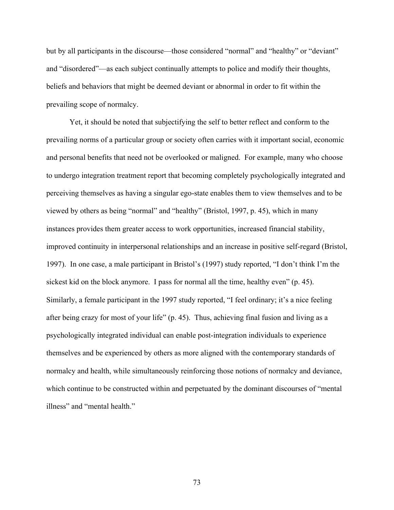but by all participants in the discourse—those considered "normal" and "healthy" or "deviant" and "disordered"—as each subject continually attempts to police and modify their thoughts, beliefs and behaviors that might be deemed deviant or abnormal in order to fit within the prevailing scope of normalcy.

Yet, it should be noted that subjectifying the self to better reflect and conform to the prevailing norms of a particular group or society often carries with it important social, economic and personal benefits that need not be overlooked or maligned. For example, many who choose to undergo integration treatment report that becoming completely psychologically integrated and perceiving themselves as having a singular ego-state enables them to view themselves and to be viewed by others as being "normal" and "healthy" (Bristol, 1997, p. 45), which in many instances provides them greater access to work opportunities, increased financial stability, improved continuity in interpersonal relationships and an increase in positive self-regard (Bristol, 1997). In one case, a male participant in Bristol's (1997) study reported, "I don't think I'm the sickest kid on the block anymore. I pass for normal all the time, healthy even" (p. 45). Similarly, a female participant in the 1997 study reported, "I feel ordinary; it's a nice feeling after being crazy for most of your life" (p. 45). Thus, achieving final fusion and living as a psychologically integrated individual can enable post-integration individuals to experience themselves and be experienced by others as more aligned with the contemporary standards of normalcy and health, while simultaneously reinforcing those notions of normalcy and deviance, which continue to be constructed within and perpetuated by the dominant discourses of "mental illness" and "mental health."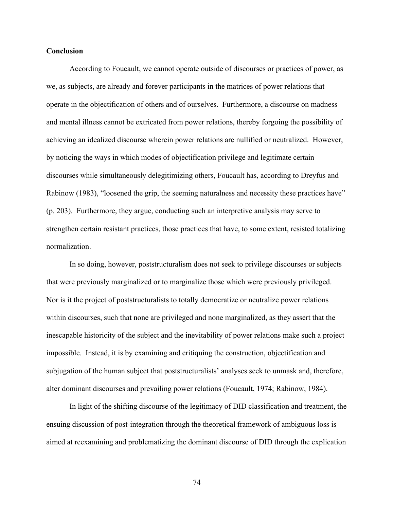## **Conclusion**

According to Foucault, we cannot operate outside of discourses or practices of power, as we, as subjects, are already and forever participants in the matrices of power relations that operate in the objectification of others and of ourselves. Furthermore, a discourse on madness and mental illness cannot be extricated from power relations, thereby forgoing the possibility of achieving an idealized discourse wherein power relations are nullified or neutralized. However, by noticing the ways in which modes of objectification privilege and legitimate certain discourses while simultaneously delegitimizing others, Foucault has, according to Dreyfus and Rabinow (1983), "loosened the grip, the seeming naturalness and necessity these practices have" (p. 203). Furthermore, they argue, conducting such an interpretive analysis may serve to strengthen certain resistant practices, those practices that have, to some extent, resisted totalizing normalization.

In so doing, however, poststructuralism does not seek to privilege discourses or subjects that were previously marginalized or to marginalize those which were previously privileged. Nor is it the project of poststructuralists to totally democratize or neutralize power relations within discourses, such that none are privileged and none marginalized, as they assert that the inescapable historicity of the subject and the inevitability of power relations make such a project impossible. Instead, it is by examining and critiquing the construction, objectification and subjugation of the human subject that poststructuralists' analyses seek to unmask and, therefore, alter dominant discourses and prevailing power relations (Foucault, 1974; Rabinow, 1984).

In light of the shifting discourse of the legitimacy of DID classification and treatment, the ensuing discussion of post-integration through the theoretical framework of ambiguous loss is aimed at reexamining and problematizing the dominant discourse of DID through the explication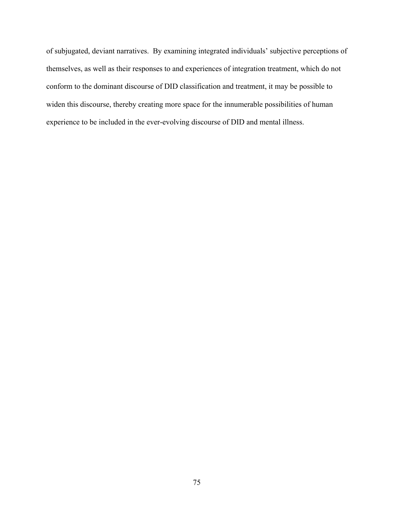of subjugated, deviant narratives. By examining integrated individuals' subjective perceptions of themselves, as well as their responses to and experiences of integration treatment, which do not conform to the dominant discourse of DID classification and treatment, it may be possible to widen this discourse, thereby creating more space for the innumerable possibilities of human experience to be included in the ever-evolving discourse of DID and mental illness.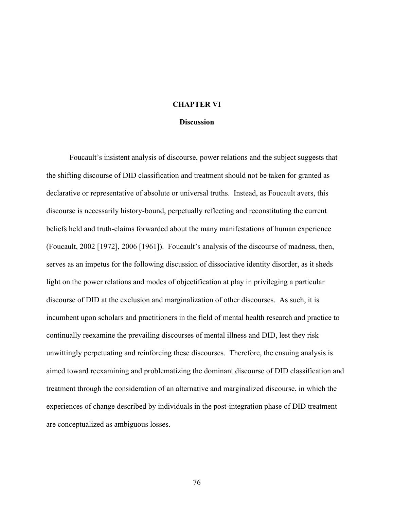# **CHAPTER VI**

#### **Discussion**

Foucault's insistent analysis of discourse, power relations and the subject suggests that the shifting discourse of DID classification and treatment should not be taken for granted as declarative or representative of absolute or universal truths. Instead, as Foucault avers, this discourse is necessarily history-bound, perpetually reflecting and reconstituting the current beliefs held and truth-claims forwarded about the many manifestations of human experience (Foucault, 2002 [1972], 2006 [1961]). Foucault's analysis of the discourse of madness, then, serves as an impetus for the following discussion of dissociative identity disorder, as it sheds light on the power relations and modes of objectification at play in privileging a particular discourse of DID at the exclusion and marginalization of other discourses. As such, it is incumbent upon scholars and practitioners in the field of mental health research and practice to continually reexamine the prevailing discourses of mental illness and DID, lest they risk unwittingly perpetuating and reinforcing these discourses. Therefore, the ensuing analysis is aimed toward reexamining and problematizing the dominant discourse of DID classification and treatment through the consideration of an alternative and marginalized discourse, in which the experiences of change described by individuals in the post-integration phase of DID treatment are conceptualized as ambiguous losses.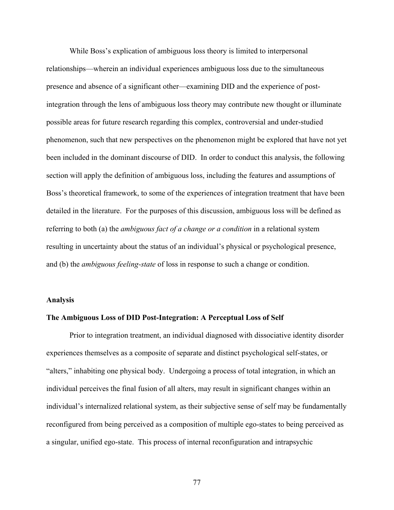While Boss's explication of ambiguous loss theory is limited to interpersonal relationships—wherein an individual experiences ambiguous loss due to the simultaneous presence and absence of a significant other—examining DID and the experience of postintegration through the lens of ambiguous loss theory may contribute new thought or illuminate possible areas for future research regarding this complex, controversial and under-studied phenomenon, such that new perspectives on the phenomenon might be explored that have not yet been included in the dominant discourse of DID. In order to conduct this analysis, the following section will apply the definition of ambiguous loss, including the features and assumptions of Boss's theoretical framework, to some of the experiences of integration treatment that have been detailed in the literature. For the purposes of this discussion, ambiguous loss will be defined as referring to both (a) the *ambiguous fact of a change or a condition* in a relational system resulting in uncertainty about the status of an individual's physical or psychological presence, and (b) the *ambiguous feeling-state* of loss in response to such a change or condition.

### **Analysis**

# **The Ambiguous Loss of DID Post-Integration: A Perceptual Loss of Self**

Prior to integration treatment, an individual diagnosed with dissociative identity disorder experiences themselves as a composite of separate and distinct psychological self-states, or "alters," inhabiting one physical body. Undergoing a process of total integration, in which an individual perceives the final fusion of all alters, may result in significant changes within an individual's internalized relational system, as their subjective sense of self may be fundamentally reconfigured from being perceived as a composition of multiple ego-states to being perceived as a singular, unified ego-state. This process of internal reconfiguration and intrapsychic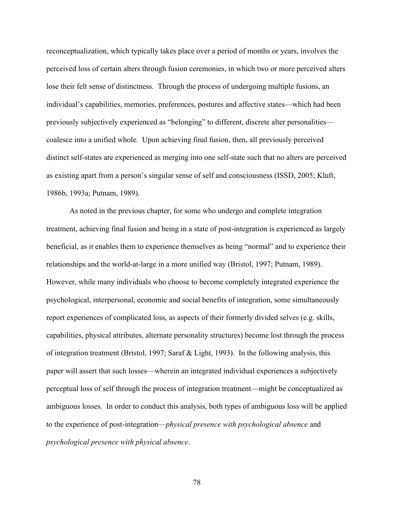reconceptualization, which typically takes place over a period of months or years, involves the perceived loss of certain alters through fusion ceremonies, in which two or more perceived alters lose their felt sense of distinctness. Through the process of undergoing multiple fusions, an individual's capabilities, memories, preferences, postures and affective states—which had been previously subjectively experienced as "belonging" to different, discrete alter personalities coalesce into a unified whole. Upon achieving final fusion, then, all previously perceived distinct self-states are experienced as merging into one self-state such that no alters are perceived as existing apart from a person's singular sense of self and consciousness (ISSD, 2005; Kluft, 1986b, 1993a; Putnam, 1989).

As noted in the previous chapter, for some who undergo and complete integration treatment, achieving final fusion and being in a state of post-integration is experienced as largely beneficial, as it enables them to experience themselves as being "normal" and to experience their relationships and the world-at-large in a more unified way (Bristol, 1997; Putnam, 1989). However, while many individuals who choose to become completely integrated experience the psychological, interpersonal, economic and social benefits of integration, some simultaneously report experiences of complicated loss, as aspects of their formerly divided selves (e.g. skills, capabilities, physical attributes, alternate personality structures) become lost through the process of integration treatment (Bristol, 1997; Saraf & Light, 1993). In the following analysis, this paper will assert that such losses—wherein an integrated individual experiences a subjectively perceptual loss of self through the process of integration treatment—might be conceptualized as ambiguous losses. In order to conduct this analysis, both types of ambiguous loss will be applied to the experience of post-integration—*physical presence with psychological absence* and *psychological presence with physical absence*.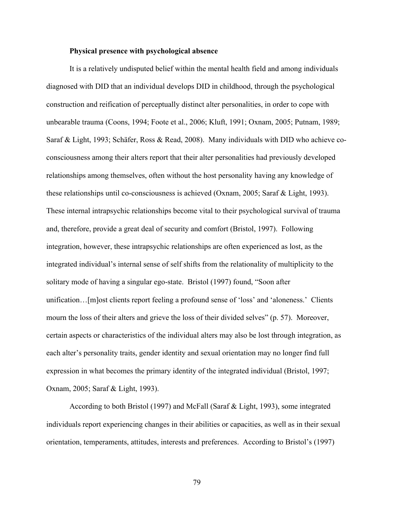# **Physical presence with psychological absence**

It is a relatively undisputed belief within the mental health field and among individuals diagnosed with DID that an individual develops DID in childhood, through the psychological construction and reification of perceptually distinct alter personalities, in order to cope with unbearable trauma (Coons, 1994; Foote et al., 2006; Kluft, 1991; Oxnam, 2005; Putnam, 1989; Saraf & Light, 1993; Schäfer, Ross & Read, 2008). Many individuals with DID who achieve coconsciousness among their alters report that their alter personalities had previously developed relationships among themselves, often without the host personality having any knowledge of these relationships until co-consciousness is achieved (Oxnam, 2005; Saraf & Light, 1993). These internal intrapsychic relationships become vital to their psychological survival of trauma and, therefore, provide a great deal of security and comfort (Bristol, 1997). Following integration, however, these intrapsychic relationships are often experienced as lost, as the integrated individual's internal sense of self shifts from the relationality of multiplicity to the solitary mode of having a singular ego-state. Bristol (1997) found, "Soon after unification…[m]ost clients report feeling a profound sense of 'loss' and 'aloneness.' Clients mourn the loss of their alters and grieve the loss of their divided selves" (p. 57). Moreover, certain aspects or characteristics of the individual alters may also be lost through integration, as each alter's personality traits, gender identity and sexual orientation may no longer find full expression in what becomes the primary identity of the integrated individual (Bristol, 1997; Oxnam, 2005; Saraf & Light, 1993).

According to both Bristol (1997) and McFall (Saraf & Light, 1993), some integrated individuals report experiencing changes in their abilities or capacities, as well as in their sexual orientation, temperaments, attitudes, interests and preferences. According to Bristol's (1997)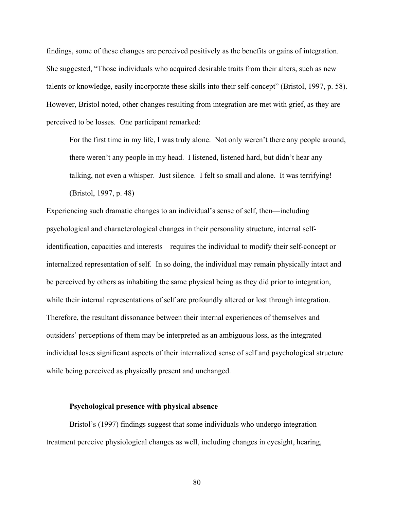findings, some of these changes are perceived positively as the benefits or gains of integration. She suggested, "Those individuals who acquired desirable traits from their alters, such as new talents or knowledge, easily incorporate these skills into their self-concept" (Bristol, 1997, p. 58). However, Bristol noted, other changes resulting from integration are met with grief, as they are perceived to be losses. One participant remarked:

For the first time in my life, I was truly alone. Not only weren't there any people around, there weren't any people in my head. I listened, listened hard, but didn't hear any talking, not even a whisper. Just silence. I felt so small and alone. It was terrifying! (Bristol, 1997, p. 48)

Experiencing such dramatic changes to an individual's sense of self, then—including psychological and characterological changes in their personality structure, internal selfidentification, capacities and interests—requires the individual to modify their self-concept or internalized representation of self. In so doing, the individual may remain physically intact and be perceived by others as inhabiting the same physical being as they did prior to integration, while their internal representations of self are profoundly altered or lost through integration. Therefore, the resultant dissonance between their internal experiences of themselves and outsiders' perceptions of them may be interpreted as an ambiguous loss, as the integrated individual loses significant aspects of their internalized sense of self and psychological structure while being perceived as physically present and unchanged.

#### **Psychological presence with physical absence**

Bristol's (1997) findings suggest that some individuals who undergo integration treatment perceive physiological changes as well, including changes in eyesight, hearing,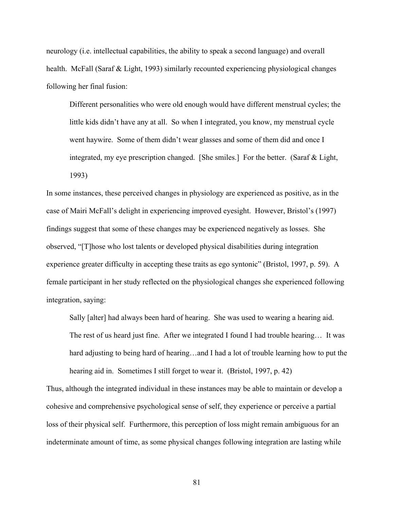neurology (i.e. intellectual capabilities, the ability to speak a second language) and overall health. McFall (Saraf & Light, 1993) similarly recounted experiencing physiological changes following her final fusion:

Different personalities who were old enough would have different menstrual cycles; the little kids didn't have any at all. So when I integrated, you know, my menstrual cycle went haywire. Some of them didn't wear glasses and some of them did and once I integrated, my eye prescription changed. [She smiles.] For the better. (Saraf & Light, 1993)

In some instances, these perceived changes in physiology are experienced as positive, as in the case of Mairi McFall's delight in experiencing improved eyesight. However, Bristol's (1997) findings suggest that some of these changes may be experienced negatively as losses. She observed, "[T]hose who lost talents or developed physical disabilities during integration experience greater difficulty in accepting these traits as ego syntonic" (Bristol, 1997, p. 59). A female participant in her study reflected on the physiological changes she experienced following integration, saying:

Sally [alter] had always been hard of hearing. She was used to wearing a hearing aid. The rest of us heard just fine. After we integrated I found I had trouble hearing… It was hard adjusting to being hard of hearing...and I had a lot of trouble learning how to put the hearing aid in. Sometimes I still forget to wear it. (Bristol, 1997, p. 42)

Thus, although the integrated individual in these instances may be able to maintain or develop a cohesive and comprehensive psychological sense of self, they experience or perceive a partial loss of their physical self. Furthermore, this perception of loss might remain ambiguous for an indeterminate amount of time, as some physical changes following integration are lasting while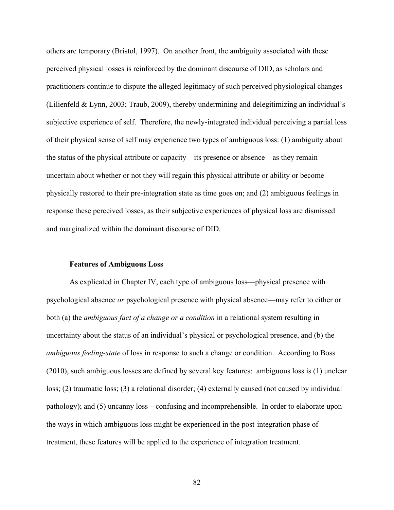others are temporary (Bristol, 1997). On another front, the ambiguity associated with these perceived physical losses is reinforced by the dominant discourse of DID, as scholars and practitioners continue to dispute the alleged legitimacy of such perceived physiological changes (Lilienfeld & Lynn, 2003; Traub, 2009), thereby undermining and delegitimizing an individual's subjective experience of self. Therefore, the newly-integrated individual perceiving a partial loss of their physical sense of self may experience two types of ambiguous loss: (1) ambiguity about the status of the physical attribute or capacity—its presence or absence—as they remain uncertain about whether or not they will regain this physical attribute or ability or become physically restored to their pre-integration state as time goes on; and (2) ambiguous feelings in response these perceived losses, as their subjective experiences of physical loss are dismissed and marginalized within the dominant discourse of DID.

### **Features of Ambiguous Loss**

As explicated in Chapter IV, each type of ambiguous loss—physical presence with psychological absence *or* psychological presence with physical absence—may refer to either or both (a) the *ambiguous fact of a change or a condition* in a relational system resulting in uncertainty about the status of an individual's physical or psychological presence, and (b) the *ambiguous feeling-state* of loss in response to such a change or condition. According to Boss (2010), such ambiguous losses are defined by several key features: ambiguous loss is (1) unclear loss; (2) traumatic loss; (3) a relational disorder; (4) externally caused (not caused by individual pathology); and (5) uncanny loss – confusing and incomprehensible. In order to elaborate upon the ways in which ambiguous loss might be experienced in the post-integration phase of treatment, these features will be applied to the experience of integration treatment.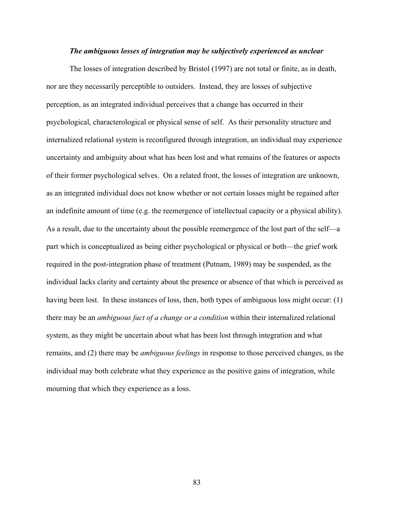### *The ambiguous losses of integration may be subjectively experienced as unclear*

The losses of integration described by Bristol (1997) are not total or finite, as in death, nor are they necessarily perceptible to outsiders. Instead, they are losses of subjective perception, as an integrated individual perceives that a change has occurred in their psychological, characterological or physical sense of self. As their personality structure and internalized relational system is reconfigured through integration, an individual may experience uncertainty and ambiguity about what has been lost and what remains of the features or aspects of their former psychological selves. On a related front, the losses of integration are unknown, as an integrated individual does not know whether or not certain losses might be regained after an indefinite amount of time (e.g. the reemergence of intellectual capacity or a physical ability). As a result, due to the uncertainty about the possible reemergence of the lost part of the self—a part which is conceptualized as being either psychological or physical or both—the grief work required in the post-integration phase of treatment (Putnam, 1989) may be suspended, as the individual lacks clarity and certainty about the presence or absence of that which is perceived as having been lost. In these instances of loss, then, both types of ambiguous loss might occur: (1) there may be an *ambiguous fact of a change or a condition* within their internalized relational system, as they might be uncertain about what has been lost through integration and what remains, and (2) there may be *ambiguous feelings* in response to those perceived changes, as the individual may both celebrate what they experience as the positive gains of integration, while mourning that which they experience as a loss.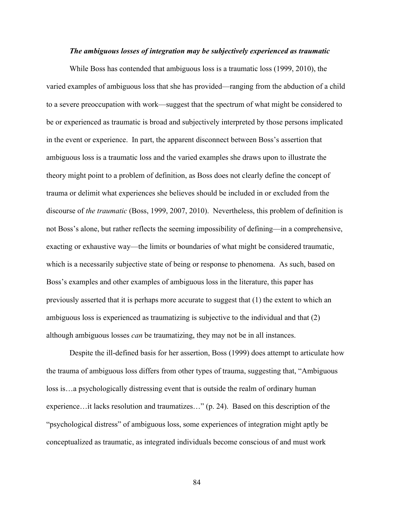#### *The ambiguous losses of integration may be subjectively experienced as traumatic*

While Boss has contended that ambiguous loss is a traumatic loss (1999, 2010), the varied examples of ambiguous loss that she has provided—ranging from the abduction of a child to a severe preoccupation with work—suggest that the spectrum of what might be considered to be or experienced as traumatic is broad and subjectively interpreted by those persons implicated in the event or experience. In part, the apparent disconnect between Boss's assertion that ambiguous loss is a traumatic loss and the varied examples she draws upon to illustrate the theory might point to a problem of definition, as Boss does not clearly define the concept of trauma or delimit what experiences she believes should be included in or excluded from the discourse of *the traumatic* (Boss, 1999, 2007, 2010). Nevertheless, this problem of definition is not Boss's alone, but rather reflects the seeming impossibility of defining—in a comprehensive, exacting or exhaustive way—the limits or boundaries of what might be considered traumatic, which is a necessarily subjective state of being or response to phenomena. As such, based on Boss's examples and other examples of ambiguous loss in the literature, this paper has previously asserted that it is perhaps more accurate to suggest that (1) the extent to which an ambiguous loss is experienced as traumatizing is subjective to the individual and that (2) although ambiguous losses *can* be traumatizing, they may not be in all instances.

Despite the ill-defined basis for her assertion, Boss (1999) does attempt to articulate how the trauma of ambiguous loss differs from other types of trauma, suggesting that, "Ambiguous loss is…a psychologically distressing event that is outside the realm of ordinary human experience…it lacks resolution and traumatizes…" (p. 24). Based on this description of the "psychological distress" of ambiguous loss, some experiences of integration might aptly be conceptualized as traumatic, as integrated individuals become conscious of and must work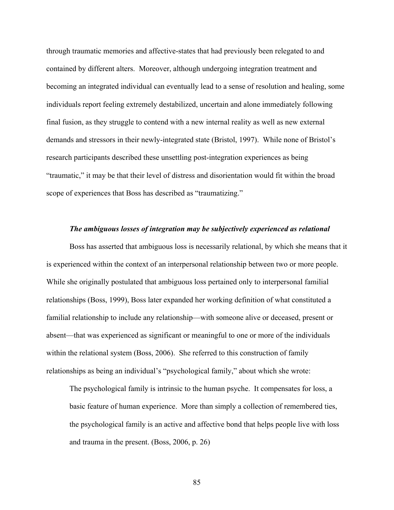through traumatic memories and affective-states that had previously been relegated to and contained by different alters. Moreover, although undergoing integration treatment and becoming an integrated individual can eventually lead to a sense of resolution and healing, some individuals report feeling extremely destabilized, uncertain and alone immediately following final fusion, as they struggle to contend with a new internal reality as well as new external demands and stressors in their newly-integrated state (Bristol, 1997). While none of Bristol's research participants described these unsettling post-integration experiences as being "traumatic," it may be that their level of distress and disorientation would fit within the broad scope of experiences that Boss has described as "traumatizing."

#### *The ambiguous losses of integration may be subjectively experienced as relational*

Boss has asserted that ambiguous loss is necessarily relational, by which she means that it is experienced within the context of an interpersonal relationship between two or more people. While she originally postulated that ambiguous loss pertained only to interpersonal familial relationships (Boss, 1999), Boss later expanded her working definition of what constituted a familial relationship to include any relationship—with someone alive or deceased, present or absent—that was experienced as significant or meaningful to one or more of the individuals within the relational system (Boss, 2006). She referred to this construction of family relationships as being an individual's "psychological family," about which she wrote:

The psychological family is intrinsic to the human psyche. It compensates for loss, a basic feature of human experience. More than simply a collection of remembered ties, the psychological family is an active and affective bond that helps people live with loss and trauma in the present. (Boss, 2006, p. 26)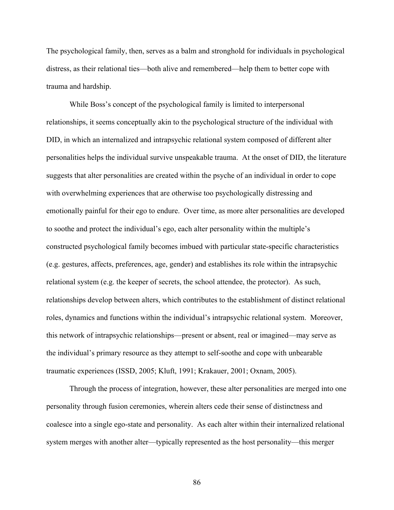The psychological family, then, serves as a balm and stronghold for individuals in psychological distress, as their relational ties—both alive and remembered—help them to better cope with trauma and hardship.

While Boss's concept of the psychological family is limited to interpersonal relationships, it seems conceptually akin to the psychological structure of the individual with DID, in which an internalized and intrapsychic relational system composed of different alter personalities helps the individual survive unspeakable trauma. At the onset of DID, the literature suggests that alter personalities are created within the psyche of an individual in order to cope with overwhelming experiences that are otherwise too psychologically distressing and emotionally painful for their ego to endure. Over time, as more alter personalities are developed to soothe and protect the individual's ego, each alter personality within the multiple's constructed psychological family becomes imbued with particular state-specific characteristics (e.g. gestures, affects, preferences, age, gender) and establishes its role within the intrapsychic relational system (e.g. the keeper of secrets, the school attendee, the protector). As such, relationships develop between alters, which contributes to the establishment of distinct relational roles, dynamics and functions within the individual's intrapsychic relational system. Moreover, this network of intrapsychic relationships—present or absent, real or imagined—may serve as the individual's primary resource as they attempt to self-soothe and cope with unbearable traumatic experiences (ISSD, 2005; Kluft, 1991; Krakauer, 2001; Oxnam, 2005).

Through the process of integration, however, these alter personalities are merged into one personality through fusion ceremonies, wherein alters cede their sense of distinctness and coalesce into a single ego-state and personality. As each alter within their internalized relational system merges with another alter—typically represented as the host personality—this merger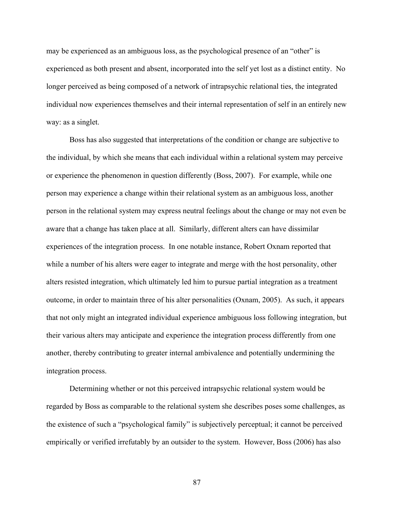may be experienced as an ambiguous loss, as the psychological presence of an "other" is experienced as both present and absent, incorporated into the self yet lost as a distinct entity. No longer perceived as being composed of a network of intrapsychic relational ties, the integrated individual now experiences themselves and their internal representation of self in an entirely new way: as a singlet.

Boss has also suggested that interpretations of the condition or change are subjective to the individual, by which she means that each individual within a relational system may perceive or experience the phenomenon in question differently (Boss, 2007). For example, while one person may experience a change within their relational system as an ambiguous loss, another person in the relational system may express neutral feelings about the change or may not even be aware that a change has taken place at all. Similarly, different alters can have dissimilar experiences of the integration process. In one notable instance, Robert Oxnam reported that while a number of his alters were eager to integrate and merge with the host personality, other alters resisted integration, which ultimately led him to pursue partial integration as a treatment outcome, in order to maintain three of his alter personalities (Oxnam, 2005). As such, it appears that not only might an integrated individual experience ambiguous loss following integration, but their various alters may anticipate and experience the integration process differently from one another, thereby contributing to greater internal ambivalence and potentially undermining the integration process.

Determining whether or not this perceived intrapsychic relational system would be regarded by Boss as comparable to the relational system she describes poses some challenges, as the existence of such a "psychological family" is subjectively perceptual; it cannot be perceived empirically or verified irrefutably by an outsider to the system. However, Boss (2006) has also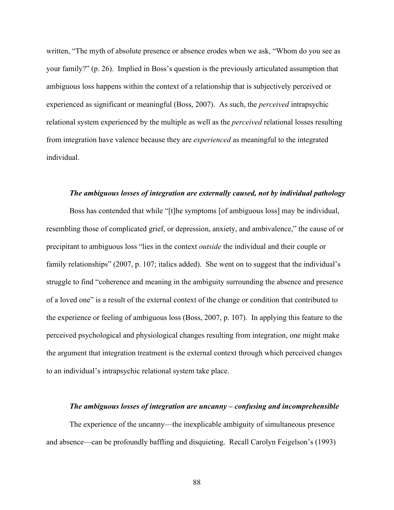written, "The myth of absolute presence or absence erodes when we ask, "Whom do you see as your family?" (p. 26). Implied in Boss's question is the previously articulated assumption that ambiguous loss happens within the context of a relationship that is subjectively perceived or experienced as significant or meaningful (Boss, 2007). As such, the *perceived* intrapsychic relational system experienced by the multiple as well as the *perceived* relational losses resulting from integration have valence because they are *experienced* as meaningful to the integrated individual.

### *The ambiguous losses of integration are externally caused, not by individual pathology*

Boss has contended that while "[t]he symptoms [of ambiguous loss] may be individual, resembling those of complicated grief, or depression, anxiety, and ambivalence," the cause of or precipitant to ambiguous loss "lies in the context *outside* the individual and their couple or family relationships" (2007, p. 107; italics added). She went on to suggest that the individual's struggle to find "coherence and meaning in the ambiguity surrounding the absence and presence of a loved one" is a result of the external context of the change or condition that contributed to the experience or feeling of ambiguous loss (Boss, 2007, p. 107). In applying this feature to the perceived psychological and physiological changes resulting from integration, one might make the argument that integration treatment is the external context through which perceived changes to an individual's intrapsychic relational system take place.

### *The ambiguous losses of integration are uncanny – confusing and incomprehensible*

The experience of the uncanny—the inexplicable ambiguity of simultaneous presence and absence—can be profoundly baffling and disquieting. Recall Carolyn Feigelson's (1993)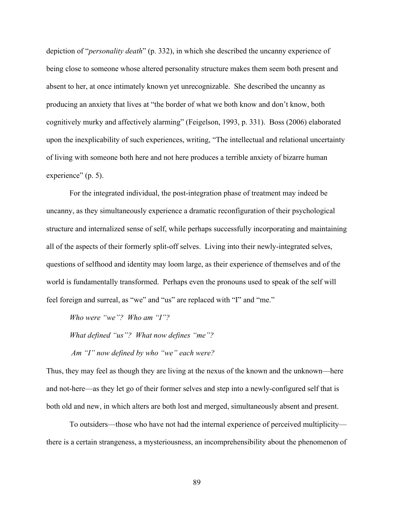depiction of "*personality death*" (p. 332), in which she described the uncanny experience of being close to someone whose altered personality structure makes them seem both present and absent to her, at once intimately known yet unrecognizable. She described the uncanny as producing an anxiety that lives at "the border of what we both know and don't know, both cognitively murky and affectively alarming" (Feigelson, 1993, p. 331). Boss (2006) elaborated upon the inexplicability of such experiences, writing, "The intellectual and relational uncertainty of living with someone both here and not here produces a terrible anxiety of bizarre human experience" (p. 5).

For the integrated individual, the post-integration phase of treatment may indeed be uncanny, as they simultaneously experience a dramatic reconfiguration of their psychological structure and internalized sense of self, while perhaps successfully incorporating and maintaining all of the aspects of their formerly split-off selves. Living into their newly-integrated selves, questions of selfhood and identity may loom large, as their experience of themselves and of the world is fundamentally transformed. Perhaps even the pronouns used to speak of the self will feel foreign and surreal, as "we" and "us" are replaced with "I" and "me."

*Who were "we"? Who am "I"?* 

*What defined "us"? What now defines "me"? Am "I" now defined by who "we" each were?* 

Thus, they may feel as though they are living at the nexus of the known and the unknown—here and not-here—as they let go of their former selves and step into a newly-configured self that is both old and new, in which alters are both lost and merged, simultaneously absent and present.

To outsiders—those who have not had the internal experience of perceived multiplicity there is a certain strangeness, a mysteriousness, an incomprehensibility about the phenomenon of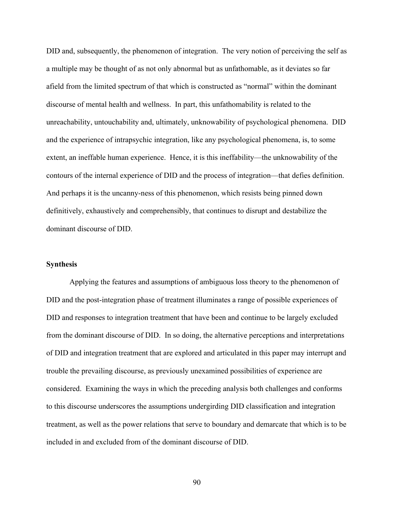DID and, subsequently, the phenomenon of integration. The very notion of perceiving the self as a multiple may be thought of as not only abnormal but as unfathomable, as it deviates so far afield from the limited spectrum of that which is constructed as "normal" within the dominant discourse of mental health and wellness. In part, this unfathomability is related to the unreachability, untouchability and, ultimately, unknowability of psychological phenomena. DID and the experience of intrapsychic integration, like any psychological phenomena, is, to some extent, an ineffable human experience. Hence, it is this ineffability—the unknowability of the contours of the internal experience of DID and the process of integration—that defies definition. And perhaps it is the uncanny-ness of this phenomenon, which resists being pinned down definitively, exhaustively and comprehensibly, that continues to disrupt and destabilize the dominant discourse of DID.

### **Synthesis**

Applying the features and assumptions of ambiguous loss theory to the phenomenon of DID and the post-integration phase of treatment illuminates a range of possible experiences of DID and responses to integration treatment that have been and continue to be largely excluded from the dominant discourse of DID. In so doing, the alternative perceptions and interpretations of DID and integration treatment that are explored and articulated in this paper may interrupt and trouble the prevailing discourse, as previously unexamined possibilities of experience are considered. Examining the ways in which the preceding analysis both challenges and conforms to this discourse underscores the assumptions undergirding DID classification and integration treatment, as well as the power relations that serve to boundary and demarcate that which is to be included in and excluded from of the dominant discourse of DID.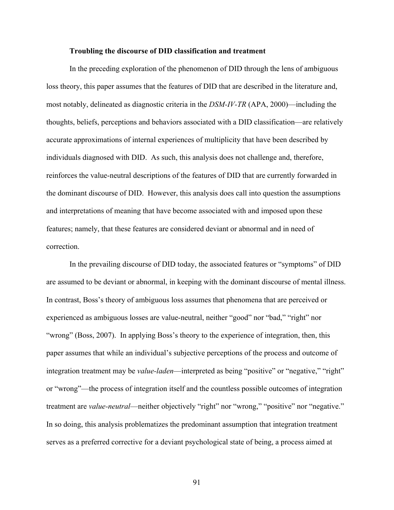#### **Troubling the discourse of DID classification and treatment**

In the preceding exploration of the phenomenon of DID through the lens of ambiguous loss theory, this paper assumes that the features of DID that are described in the literature and, most notably, delineated as diagnostic criteria in the *DSM-IV-TR* (APA, 2000)—including the thoughts, beliefs, perceptions and behaviors associated with a DID classification—are relatively accurate approximations of internal experiences of multiplicity that have been described by individuals diagnosed with DID. As such, this analysis does not challenge and, therefore, reinforces the value-neutral descriptions of the features of DID that are currently forwarded in the dominant discourse of DID. However, this analysis does call into question the assumptions and interpretations of meaning that have become associated with and imposed upon these features; namely, that these features are considered deviant or abnormal and in need of correction.

In the prevailing discourse of DID today, the associated features or "symptoms" of DID are assumed to be deviant or abnormal, in keeping with the dominant discourse of mental illness. In contrast, Boss's theory of ambiguous loss assumes that phenomena that are perceived or experienced as ambiguous losses are value-neutral, neither "good" nor "bad," "right" nor "wrong" (Boss, 2007). In applying Boss's theory to the experience of integration, then, this paper assumes that while an individual's subjective perceptions of the process and outcome of integration treatment may be *value-laden*—interpreted as being "positive" or "negative," "right" or "wrong"—the process of integration itself and the countless possible outcomes of integration treatment are *value-neutral*—neither objectively "right" nor "wrong," "positive" nor "negative." In so doing, this analysis problematizes the predominant assumption that integration treatment serves as a preferred corrective for a deviant psychological state of being, a process aimed at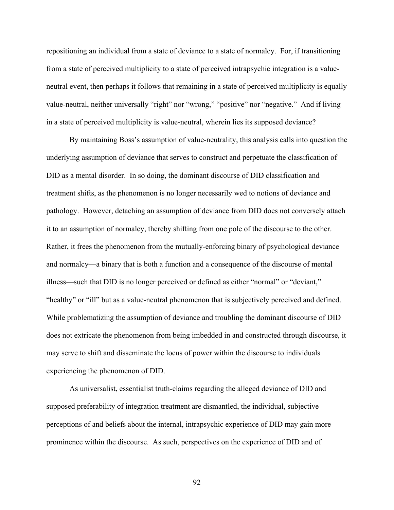repositioning an individual from a state of deviance to a state of normalcy. For, if transitioning from a state of perceived multiplicity to a state of perceived intrapsychic integration is a valueneutral event, then perhaps it follows that remaining in a state of perceived multiplicity is equally value-neutral, neither universally "right" nor "wrong," "positive" nor "negative." And if living in a state of perceived multiplicity is value-neutral, wherein lies its supposed deviance?

By maintaining Boss's assumption of value-neutrality, this analysis calls into question the underlying assumption of deviance that serves to construct and perpetuate the classification of DID as a mental disorder. In so doing, the dominant discourse of DID classification and treatment shifts, as the phenomenon is no longer necessarily wed to notions of deviance and pathology. However, detaching an assumption of deviance from DID does not conversely attach it to an assumption of normalcy, thereby shifting from one pole of the discourse to the other. Rather, it frees the phenomenon from the mutually-enforcing binary of psychological deviance and normalcy—a binary that is both a function and a consequence of the discourse of mental illness—such that DID is no longer perceived or defined as either "normal" or "deviant," "healthy" or "ill" but as a value-neutral phenomenon that is subjectively perceived and defined. While problematizing the assumption of deviance and troubling the dominant discourse of DID does not extricate the phenomenon from being imbedded in and constructed through discourse, it may serve to shift and disseminate the locus of power within the discourse to individuals experiencing the phenomenon of DID.

As universalist, essentialist truth-claims regarding the alleged deviance of DID and supposed preferability of integration treatment are dismantled, the individual, subjective perceptions of and beliefs about the internal, intrapsychic experience of DID may gain more prominence within the discourse. As such, perspectives on the experience of DID and of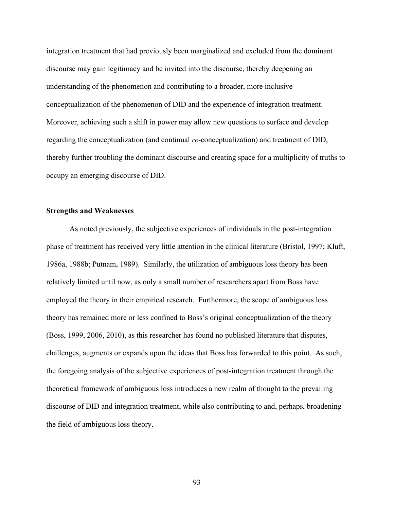integration treatment that had previously been marginalized and excluded from the dominant discourse may gain legitimacy and be invited into the discourse, thereby deepening an understanding of the phenomenon and contributing to a broader, more inclusive conceptualization of the phenomenon of DID and the experience of integration treatment. Moreover, achieving such a shift in power may allow new questions to surface and develop regarding the conceptualization (and continual *re*-conceptualization) and treatment of DID, thereby further troubling the dominant discourse and creating space for a multiplicity of truths to occupy an emerging discourse of DID.

# **Strengths and Weaknesses**

As noted previously, the subjective experiences of individuals in the post-integration phase of treatment has received very little attention in the clinical literature (Bristol, 1997; Kluft, 1986a, 1988b; Putnam, 1989). Similarly, the utilization of ambiguous loss theory has been relatively limited until now, as only a small number of researchers apart from Boss have employed the theory in their empirical research. Furthermore, the scope of ambiguous loss theory has remained more or less confined to Boss's original conceptualization of the theory (Boss, 1999, 2006, 2010), as this researcher has found no published literature that disputes, challenges, augments or expands upon the ideas that Boss has forwarded to this point. As such, the foregoing analysis of the subjective experiences of post-integration treatment through the theoretical framework of ambiguous loss introduces a new realm of thought to the prevailing discourse of DID and integration treatment, while also contributing to and, perhaps, broadening the field of ambiguous loss theory.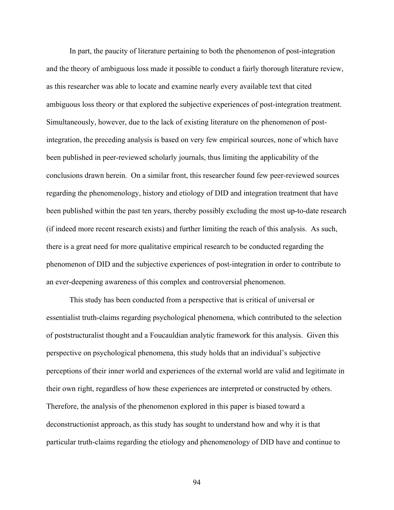In part, the paucity of literature pertaining to both the phenomenon of post-integration and the theory of ambiguous loss made it possible to conduct a fairly thorough literature review, as this researcher was able to locate and examine nearly every available text that cited ambiguous loss theory or that explored the subjective experiences of post-integration treatment. Simultaneously, however, due to the lack of existing literature on the phenomenon of postintegration, the preceding analysis is based on very few empirical sources, none of which have been published in peer-reviewed scholarly journals, thus limiting the applicability of the conclusions drawn herein. On a similar front, this researcher found few peer-reviewed sources regarding the phenomenology, history and etiology of DID and integration treatment that have been published within the past ten years, thereby possibly excluding the most up-to-date research (if indeed more recent research exists) and further limiting the reach of this analysis. As such, there is a great need for more qualitative empirical research to be conducted regarding the phenomenon of DID and the subjective experiences of post-integration in order to contribute to an ever-deepening awareness of this complex and controversial phenomenon.

This study has been conducted from a perspective that is critical of universal or essentialist truth-claims regarding psychological phenomena, which contributed to the selection of poststructuralist thought and a Foucauldian analytic framework for this analysis. Given this perspective on psychological phenomena, this study holds that an individual's subjective perceptions of their inner world and experiences of the external world are valid and legitimate in their own right, regardless of how these experiences are interpreted or constructed by others. Therefore, the analysis of the phenomenon explored in this paper is biased toward a deconstructionist approach, as this study has sought to understand how and why it is that particular truth-claims regarding the etiology and phenomenology of DID have and continue to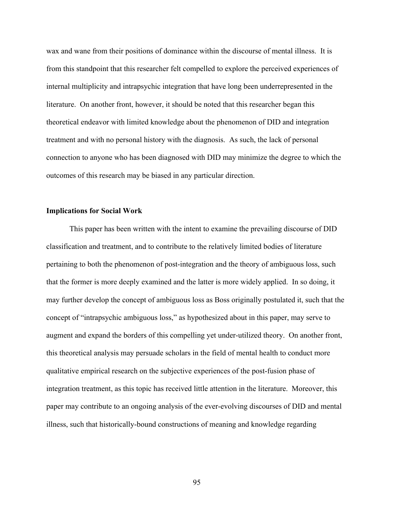wax and wane from their positions of dominance within the discourse of mental illness. It is from this standpoint that this researcher felt compelled to explore the perceived experiences of internal multiplicity and intrapsychic integration that have long been underrepresented in the literature. On another front, however, it should be noted that this researcher began this theoretical endeavor with limited knowledge about the phenomenon of DID and integration treatment and with no personal history with the diagnosis. As such, the lack of personal connection to anyone who has been diagnosed with DID may minimize the degree to which the outcomes of this research may be biased in any particular direction.

# **Implications for Social Work**

This paper has been written with the intent to examine the prevailing discourse of DID classification and treatment, and to contribute to the relatively limited bodies of literature pertaining to both the phenomenon of post-integration and the theory of ambiguous loss, such that the former is more deeply examined and the latter is more widely applied. In so doing, it may further develop the concept of ambiguous loss as Boss originally postulated it, such that the concept of "intrapsychic ambiguous loss," as hypothesized about in this paper, may serve to augment and expand the borders of this compelling yet under-utilized theory. On another front, this theoretical analysis may persuade scholars in the field of mental health to conduct more qualitative empirical research on the subjective experiences of the post-fusion phase of integration treatment, as this topic has received little attention in the literature. Moreover, this paper may contribute to an ongoing analysis of the ever-evolving discourses of DID and mental illness, such that historically-bound constructions of meaning and knowledge regarding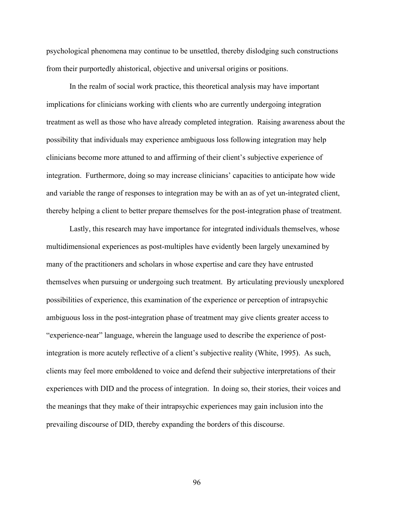psychological phenomena may continue to be unsettled, thereby dislodging such constructions from their purportedly ahistorical, objective and universal origins or positions.

In the realm of social work practice, this theoretical analysis may have important implications for clinicians working with clients who are currently undergoing integration treatment as well as those who have already completed integration. Raising awareness about the possibility that individuals may experience ambiguous loss following integration may help clinicians become more attuned to and affirming of their client's subjective experience of integration. Furthermore, doing so may increase clinicians' capacities to anticipate how wide and variable the range of responses to integration may be with an as of yet un-integrated client, thereby helping a client to better prepare themselves for the post-integration phase of treatment.

Lastly, this research may have importance for integrated individuals themselves, whose multidimensional experiences as post-multiples have evidently been largely unexamined by many of the practitioners and scholars in whose expertise and care they have entrusted themselves when pursuing or undergoing such treatment. By articulating previously unexplored possibilities of experience, this examination of the experience or perception of intrapsychic ambiguous loss in the post-integration phase of treatment may give clients greater access to "experience-near" language, wherein the language used to describe the experience of postintegration is more acutely reflective of a client's subjective reality (White, 1995). As such, clients may feel more emboldened to voice and defend their subjective interpretations of their experiences with DID and the process of integration. In doing so, their stories, their voices and the meanings that they make of their intrapsychic experiences may gain inclusion into the prevailing discourse of DID, thereby expanding the borders of this discourse.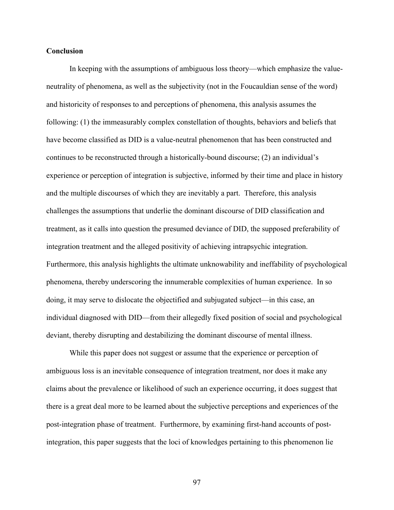### **Conclusion**

In keeping with the assumptions of ambiguous loss theory—which emphasize the valueneutrality of phenomena, as well as the subjectivity (not in the Foucauldian sense of the word) and historicity of responses to and perceptions of phenomena, this analysis assumes the following: (1) the immeasurably complex constellation of thoughts, behaviors and beliefs that have become classified as DID is a value-neutral phenomenon that has been constructed and continues to be reconstructed through a historically-bound discourse; (2) an individual's experience or perception of integration is subjective, informed by their time and place in history and the multiple discourses of which they are inevitably a part. Therefore, this analysis challenges the assumptions that underlie the dominant discourse of DID classification and treatment, as it calls into question the presumed deviance of DID, the supposed preferability of integration treatment and the alleged positivity of achieving intrapsychic integration. Furthermore, this analysis highlights the ultimate unknowability and ineffability of psychological phenomena, thereby underscoring the innumerable complexities of human experience. In so doing, it may serve to dislocate the objectified and subjugated subject—in this case, an individual diagnosed with DID—from their allegedly fixed position of social and psychological deviant, thereby disrupting and destabilizing the dominant discourse of mental illness.

While this paper does not suggest or assume that the experience or perception of ambiguous loss is an inevitable consequence of integration treatment, nor does it make any claims about the prevalence or likelihood of such an experience occurring, it does suggest that there is a great deal more to be learned about the subjective perceptions and experiences of the post-integration phase of treatment. Furthermore, by examining first-hand accounts of postintegration, this paper suggests that the loci of knowledges pertaining to this phenomenon lie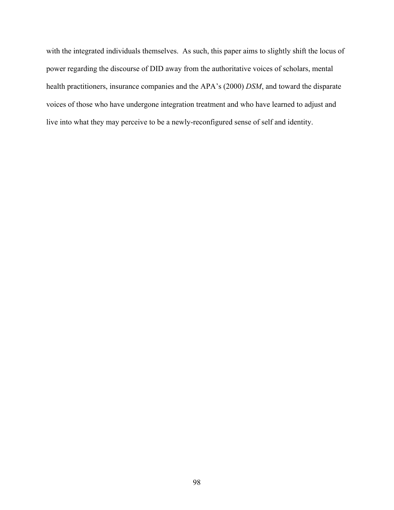with the integrated individuals themselves. As such, this paper aims to slightly shift the locus of power regarding the discourse of DID away from the authoritative voices of scholars, mental health practitioners, insurance companies and the APA's (2000) *DSM*, and toward the disparate voices of those who have undergone integration treatment and who have learned to adjust and live into what they may perceive to be a newly-reconfigured sense of self and identity.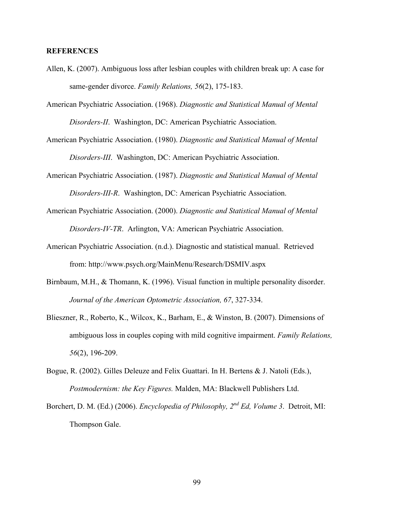# **REFERENCES**

- Allen, K. (2007). Ambiguous loss after lesbian couples with children break up: A case for same-gender divorce. *Family Relations, 56*(2), 175-183.
- American Psychiatric Association. (1968). *Diagnostic and Statistical Manual of Mental Disorders-II*. Washington, DC: American Psychiatric Association.
- American Psychiatric Association. (1980). *Diagnostic and Statistical Manual of Mental Disorders-III*. Washington, DC: American Psychiatric Association.
- American Psychiatric Association. (1987). *Diagnostic and Statistical Manual of Mental Disorders-III-R*. Washington, DC: American Psychiatric Association.
- American Psychiatric Association. (2000). *Diagnostic and Statistical Manual of Mental Disorders-IV-TR*. Arlington, VA: American Psychiatric Association.
- American Psychiatric Association. (n.d.). Diagnostic and statistical manual. Retrieved from: http://www.psych.org/MainMenu/Research/DSMIV.aspx
- Birnbaum, M.H., & Thomann, K. (1996). Visual function in multiple personality disorder. *Journal of the American Optometric Association, 67*, 327-334.
- Blieszner, R., Roberto, K., Wilcox, K., Barham, E., & Winston, B. (2007). Dimensions of ambiguous loss in couples coping with mild cognitive impairment. *Family Relations, 56*(2), 196-209.
- Bogue, R. (2002). Gilles Deleuze and Felix Guattari. In H. Bertens & J. Natoli (Eds.), *Postmodernism: the Key Figures.* Malden, MA: Blackwell Publishers Ltd.
- Borchert, D. M. (Ed.) (2006). *Encyclopedia of Philosophy, 2nd Ed, Volume 3*. Detroit, MI: Thompson Gale.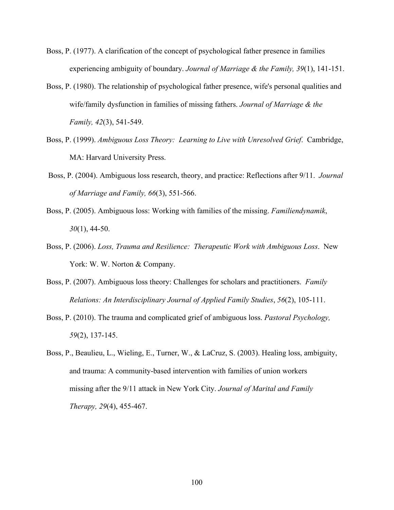- Boss, P. (1977). A clarification of the concept of psychological father presence in families experiencing ambiguity of boundary. *Journal of Marriage & the Family, 39*(1), 141-151.
- Boss, P. (1980). The relationship of psychological father presence, wife's personal qualities and wife/family dysfunction in families of missing fathers. *Journal of Marriage & the Family, 42*(3), 541-549.
- Boss, P. (1999). *Ambiguous Loss Theory: Learning to Live with Unresolved Grief*. Cambridge, MA: Harvard University Press.
- Boss, P. (2004). Ambiguous loss research, theory, and practice: Reflections after 9/11. *Journal of Marriage and Family, 66*(3), 551-566.
- Boss, P. (2005). Ambiguous loss: Working with families of the missing. *Familiendynamik*, *30*(1), 44-50.
- Boss, P. (2006). *Loss, Trauma and Resilience: Therapeutic Work with Ambiguous Loss*. New York: W. W. Norton & Company.
- Boss, P. (2007). Ambiguous loss theory: Challenges for scholars and practitioners. *Family Relations: An Interdisciplinary Journal of Applied Family Studies*, *56*(2), 105-111.
- Boss, P. (2010). The trauma and complicated grief of ambiguous loss. *Pastoral Psychology, 59*(2), 137-145.
- Boss, P., Beaulieu, L., Wieling, E., Turner, W., & LaCruz, S. (2003). Healing loss, ambiguity, and trauma: A community-based intervention with families of union workers missing after the 9/11 attack in New York City. *Journal of Marital and Family Therapy, 29*(4), 455-467.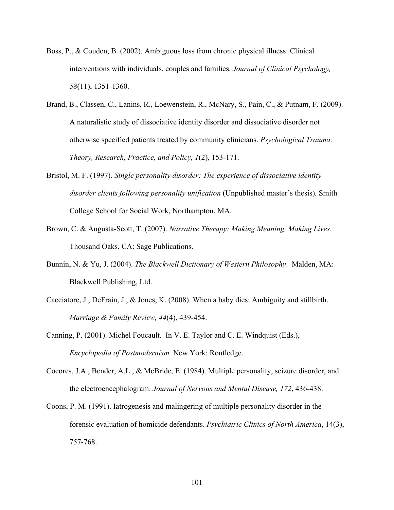- Boss, P., & Couden, B. (2002). Ambiguous loss from chronic physical illness: Clinical interventions with individuals, couples and families. *Journal of Clinical Psychology, 58*(11), 1351-1360.
- Brand, B., Classen, C., Lanins, R., Loewenstein, R., McNary, S., Pain, C., & Putnam, F. (2009). A naturalistic study of dissociative identity disorder and dissociative disorder not otherwise specified patients treated by community clinicians. *Psychological Trauma: Theory, Research, Practice, and Policy, 1*(2), 153-171.
- Bristol, M. F. (1997). *Single personality disorder: The experience of dissociative identity disorder clients following personality unification* (Unpublished master's thesis)*.* Smith College School for Social Work, Northampton, MA.
- Brown, C. & Augusta-Scott, T. (2007). *Narrative Therapy: Making Meaning, Making Lives*. Thousand Oaks, CA: Sage Publications.
- Bunnin, N. & Yu, J. (2004). *The Blackwell Dictionary of Western Philosophy*. Malden, MA: Blackwell Publishing, Ltd.
- Cacciatore, J., DeFrain, J., & Jones, K. (2008). When a baby dies: Ambiguity and stillbirth. *Marriage & Family Review, 44*(4), 439-454.
- Canning, P. (2001). Michel Foucault. In V. E. Taylor and C. E. Windquist (Eds.), *Encyclopedia of Postmodernism.* New York: Routledge.
- Cocores, J.A., Bender, A.L., & McBride, E. (1984). Multiple personality, seizure disorder, and the electroencephalogram. *Journal of Nervous and Mental Disease, 172*, 436-438.
- Coons, P. M. (1991). Iatrogenesis and malingering of multiple personality disorder in the forensic evaluation of homicide defendants. *Psychiatric Clinics of North America*, 14(3), 757-768.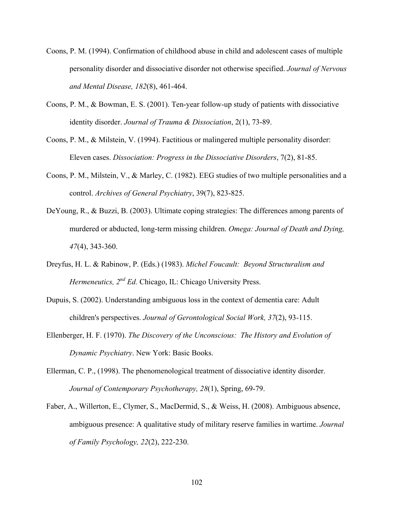- Coons, P. M. (1994). Confirmation of childhood abuse in child and adolescent cases of multiple personality disorder and dissociative disorder not otherwise specified. *Journal of Nervous and Mental Disease, 182*(8), 461-464.
- Coons, P. M., & Bowman, E. S. (2001). Ten-year follow-up study of patients with dissociative identity disorder. *Journal of Trauma & Dissociation*, 2(1), 73-89.
- Coons, P. M., & Milstein, V. (1994). Factitious or malingered multiple personality disorder: Eleven cases. *Dissociation: Progress in the Dissociative Disorders*, 7(2), 81-85.
- Coons, P. M., Milstein, V., & Marley, C. (1982). EEG studies of two multiple personalities and a control. *Archives of General Psychiatry*, 39(7), 823-825.
- DeYoung, R., & Buzzi, B. (2003). Ultimate coping strategies: The differences among parents of murdered or abducted, long-term missing children. *Omega: Journal of Death and Dying, 47*(4), 343-360.
- Dreyfus, H. L. & Rabinow, P. (Eds.) (1983). *Michel Foucault: Beyond Structuralism and Hermeneutics, 2nd Ed.* Chicago, IL: Chicago University Press.
- Dupuis, S. (2002). Understanding ambiguous loss in the context of dementia care: Adult children's perspectives. *Journal of Gerontological Social Work, 37*(2), 93-115.
- Ellenberger, H. F. (1970). *The Discovery of the Unconscious: The History and Evolution of Dynamic Psychiatry*. New York: Basic Books.
- Ellerman, C. P., (1998). The phenomenological treatment of dissociative identity disorder. *Journal of Contemporary Psychotherapy, 28*(1), Spring, 69-79.
- Faber, A., Willerton, E., Clymer, S., MacDermid, S., & Weiss, H. (2008). Ambiguous absence, ambiguous presence: A qualitative study of military reserve families in wartime. *Journal of Family Psychology, 22*(2), 222-230.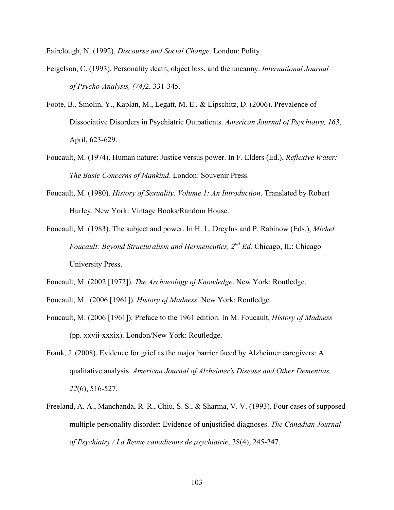Fairclough, N. (1992). *Discourse and Social Change*. London: Polity.

- Feigelson, C. (1993). Personality death, object loss, and the uncanny. *International Journal of Psycho-Analysis, (74)*2, 331-345.
- Foote, B., Smolin, Y., Kaplan, M., Legatt, M. E., & Lipschitz, D. (2006). Prevalence of Dissociative Disorders in Psychiatric Outpatients. *American Journal of Psychiatry, 163*, April, 623-629.
- Foucault, M. (1974). Human nature: Justice versus power. In F. Elders (Ed.), *Reflexive Water: The Basic Concerns of Mankind*. London: Souvenir Press.
- Foucault, M. (1980). *History of Sexuality. Volume 1: An Introduction*. Translated by Robert Hurley. New York: Vintage Books/Random House.
- Foucault, M. (1983). The subject and power. In H. L. Dreyfus and P. Rabinow (Eds.), *Michel Foucault: Beyond Structuralism and Hermeneutics, 2nd Ed.* Chicago, IL: Chicago University Press.
- Foucault, M. (2002 [1972]). *The Archaeology of Knowledge*. New York: Routledge.
- Foucault, M. (2006 [1961]). *History of Madness*. New York: Routledge.
- Foucault, M. (2006 [1961]). Preface to the 1961 edition. In M. Foucault, *History of Madness* (pp. xxvii-xxxix). London/New York: Routledge.
- Frank, J. (2008). Evidence for grief as the major barrier faced by Alzheimer caregivers: A qualitative analysis. *American Journal of Alzheimer's Disease and Other Dementias, 22*(6), 516-527.
- Freeland, A. A., Manchanda, R. R., Chiu, S. S., & Sharma, V. V. (1993). Four cases of supposed multiple personality disorder: Evidence of unjustified diagnoses. *The Canadian Journal of Psychiatry / La Revue canadienne de psychiatrie*, 38(4), 245-247.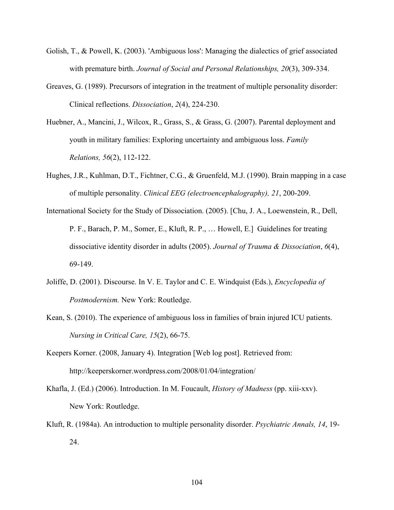- Golish, T., & Powell, K. (2003). 'Ambiguous loss': Managing the dialectics of grief associated with premature birth. *Journal of Social and Personal Relationships, 20*(3), 309-334.
- Greaves, G. (1989). Precursors of integration in the treatment of multiple personality disorder: Clinical reflections. *Dissociation*, *2*(4), 224-230.
- Huebner, A., Mancini, J., Wilcox, R., Grass, S., & Grass, G. (2007). Parental deployment and youth in military families: Exploring uncertainty and ambiguous loss. *Family Relations, 56*(2), 112-122.
- Hughes, J.R., Kuhlman, D.T., Fichtner, C.G., & Gruenfeld, M.J. (1990). Brain mapping in a case of multiple personality. *Clinical EEG (electroencephalography), 21*, 200-209.
- International Society for the Study of Dissociation. (2005). [Chu, J. A., Loewenstein, R., Dell, P. F., Barach, P. M., Somer, E., Kluft, R. P., … Howell, E.] Guidelines for treating dissociative identity disorder in adults (2005). *Journal of Trauma & Dissociation*, *6*(4), 69-149.
- Joliffe, D. (2001). Discourse. In V. E. Taylor and C. E. Windquist (Eds.), *Encyclopedia of Postmodernism.* New York: Routledge.
- Kean, S. (2010). The experience of ambiguous loss in families of brain injured ICU patients. *Nursing in Critical Care, 15*(2), 66-75.
- Keepers Korner. (2008, January 4). Integration [Web log post]. Retrieved from: http://keeperskorner.wordpress.com/2008/01/04/integration/
- Khafla, J. (Ed.) (2006). Introduction. In M. Foucault, *History of Madness* (pp. xiii-xxv). New York: Routledge.
- Kluft, R. (1984a). An introduction to multiple personality disorder. *Psychiatric Annals, 14*, 19- 24.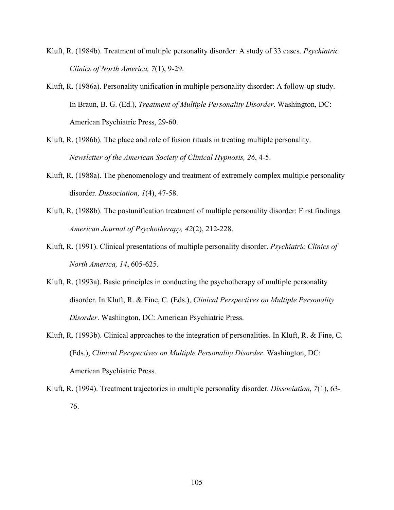- Kluft, R. (1984b). Treatment of multiple personality disorder: A study of 33 cases. *Psychiatric Clinics of North America, 7*(1), 9-29.
- Kluft, R. (1986a). Personality unification in multiple personality disorder: A follow-up study. In Braun, B. G. (Ed.), *Treatment of Multiple Personality Disorder*. Washington, DC: American Psychiatric Press, 29-60.
- Kluft, R. (1986b). The place and role of fusion rituals in treating multiple personality. *Newsletter of the American Society of Clinical Hypnosis, 26*, 4-5.
- Kluft, R. (1988a). The phenomenology and treatment of extremely complex multiple personality disorder. *Dissociation, 1*(4), 47-58.
- Kluft, R. (1988b). The postunification treatment of multiple personality disorder: First findings. *American Journal of Psychotherapy, 42*(2), 212-228.
- Kluft, R. (1991). Clinical presentations of multiple personality disorder. *Psychiatric Clinics of North America, 14*, 605-625.
- Kluft, R. (1993a). Basic principles in conducting the psychotherapy of multiple personality disorder. In Kluft, R. & Fine, C. (Eds.), *Clinical Perspectives on Multiple Personality Disorder*. Washington, DC: American Psychiatric Press.
- Kluft, R. (1993b). Clinical approaches to the integration of personalities. In Kluft, R. & Fine, C. (Eds.), *Clinical Perspectives on Multiple Personality Disorder*. Washington, DC: American Psychiatric Press.
- Kluft, R. (1994). Treatment trajectories in multiple personality disorder. *Dissociation, 7*(1), 63- 76.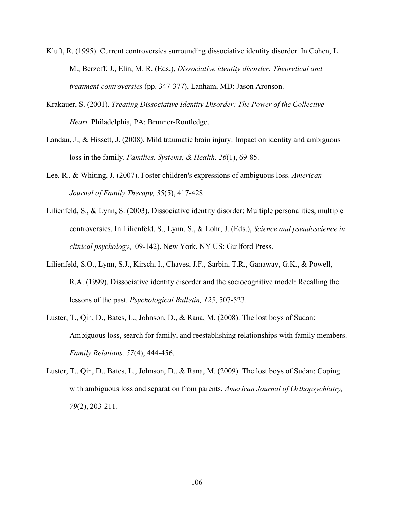- Kluft, R. (1995). Current controversies surrounding dissociative identity disorder. In Cohen, L. M., Berzoff, J., Elin, M. R. (Eds.), *Dissociative identity disorder: Theoretical and treatment controversies* (pp. 347-377). Lanham, MD: Jason Aronson.
- Krakauer, S. (2001). *Treating Dissociative Identity Disorder: The Power of the Collective Heart.* Philadelphia, PA: Brunner-Routledge.
- Landau, J., & Hissett, J. (2008). Mild traumatic brain injury: Impact on identity and ambiguous loss in the family. *Families, Systems, & Health, 26*(1), 69-85.
- Lee, R., & Whiting, J. (2007). Foster children's expressions of ambiguous loss. *American Journal of Family Therapy, 3*5(5), 417-428.
- Lilienfeld, S., & Lynn, S. (2003). Dissociative identity disorder: Multiple personalities, multiple controversies. In Lilienfeld, S., Lynn, S., & Lohr, J. (Eds.), *Science and pseudoscience in clinical psychology*,109-142). New York, NY US: Guilford Press.
- Lilienfeld, S.O., Lynn, S.J., Kirsch, I., Chaves, J.F., Sarbin, T.R., Ganaway, G.K., & Powell, R.A. (1999). Dissociative identity disorder and the sociocognitive model: Recalling the lessons of the past. *Psychological Bulletin, 125*, 507-523.
- Luster, T., Qin, D., Bates, L., Johnson, D., & Rana, M. (2008). The lost boys of Sudan: Ambiguous loss, search for family, and reestablishing relationships with family members. *Family Relations, 57*(4), 444-456.
- Luster, T., Qin, D., Bates, L., Johnson, D., & Rana, M. (2009). The lost boys of Sudan: Coping with ambiguous loss and separation from parents. *American Journal of Orthopsychiatry, 79*(2), 203-211.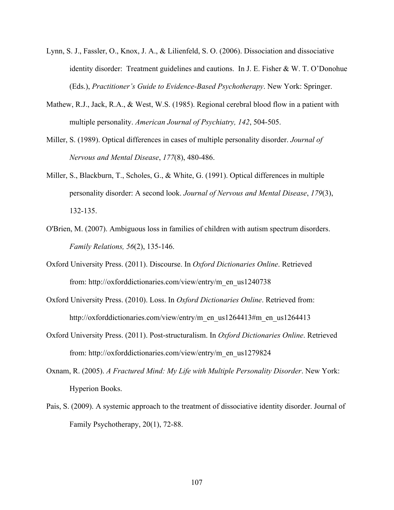- Lynn, S. J., Fassler, O., Knox, J. A., & Lilienfeld, S. O. (2006). Dissociation and dissociative identity disorder: Treatment guidelines and cautions. In J. E. Fisher & W. T. O'Donohue (Eds.), *Practitioner's Guide to Evidence-Based Psychotherapy*. New York: Springer.
- Mathew, R.J., Jack, R.A., & West, W.S. (1985). Regional cerebral blood flow in a patient with multiple personality. *American Journal of Psychiatry, 142*, 504-505.
- Miller, S. (1989). Optical differences in cases of multiple personality disorder. *Journal of Nervous and Mental Disease*, *177*(8), 480-486.
- Miller, S., Blackburn, T., Scholes, G., & White, G. (1991). Optical differences in multiple personality disorder: A second look. *Journal of Nervous and Mental Disease*, *179*(3), 132-135.
- O'Brien, M. (2007). Ambiguous loss in families of children with autism spectrum disorders. *Family Relations, 56*(2), 135-146.
- Oxford University Press. (2011). Discourse. In *Oxford Dictionaries Online*. Retrieved from: http://oxforddictionaries.com/view/entry/m\_en\_us1240738
- Oxford University Press. (2010). Loss. In *Oxford Dictionaries Online*. Retrieved from: http://oxforddictionaries.com/view/entry/m\_en\_us1264413#m\_en\_us1264413
- Oxford University Press. (2011). Post-structuralism. In *Oxford Dictionaries Online*. Retrieved from: http://oxforddictionaries.com/view/entry/m\_en\_us1279824
- Oxnam, R. (2005). *A Fractured Mind: My Life with Multiple Personality Disorder*. New York: Hyperion Books.
- Pais, S. (2009). A systemic approach to the treatment of dissociative identity disorder. Journal of Family Psychotherapy, 20(1), 72-88.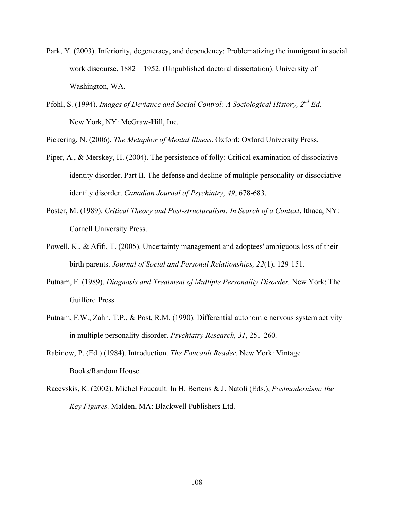- Park, Y. (2003). Inferiority, degeneracy, and dependency: Problematizing the immigrant in social work discourse, 1882—1952. (Unpublished doctoral dissertation). University of Washington, WA.
- Pfohl, S. (1994). *Images of Deviance and Social Control: A Sociological History, 2nd Ed.*  New York, NY: McGraw-Hill, Inc.

Pickering, N. (2006). *The Metaphor of Mental Illness*. Oxford: Oxford University Press.

- Piper, A., & Merskey, H. (2004). The persistence of folly: Critical examination of dissociative identity disorder. Part II. The defense and decline of multiple personality or dissociative identity disorder. *Canadian Journal of Psychiatry, 49*, 678-683.
- Poster, M. (1989). *Critical Theory and Post-structuralism: In Search of a Context*. Ithaca, NY: Cornell University Press.
- Powell, K., & Afifi, T. (2005). Uncertainty management and adoptees' ambiguous loss of their birth parents. *Journal of Social and Personal Relationships, 22*(1), 129-151.
- Putnam, F. (1989). *Diagnosis and Treatment of Multiple Personality Disorder.* New York: The Guilford Press.
- Putnam, F.W., Zahn, T.P., & Post, R.M. (1990). Differential autonomic nervous system activity in multiple personality disorder. *Psychiatry Research, 31*, 251-260.
- Rabinow, P. (Ed.) (1984). Introduction. *The Foucault Reader*. New York: Vintage Books/Random House.
- Racevskis, K. (2002). Michel Foucault. In H. Bertens & J. Natoli (Eds.), *Postmodernism: the Key Figures.* Malden, MA: Blackwell Publishers Ltd.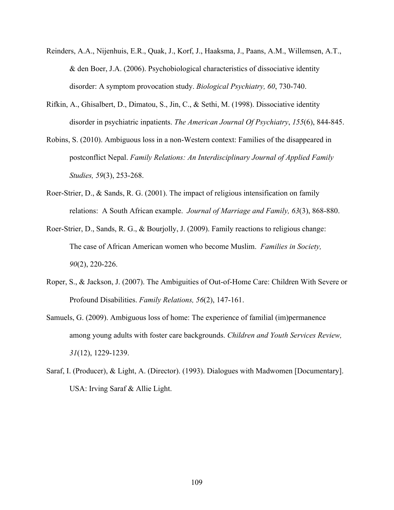- Reinders, A.A., Nijenhuis, E.R., Quak, J., Korf, J., Haaksma, J., Paans, A.M., Willemsen, A.T., & den Boer, J.A. (2006). Psychobiological characteristics of dissociative identity disorder: A symptom provocation study. *Biological Psychiatry, 60*, 730-740.
- Rifkin, A., Ghisalbert, D., Dimatou, S., Jin, C., & Sethi, M. (1998). Dissociative identity disorder in psychiatric inpatients. *The American Journal Of Psychiatry*, *155*(6), 844-845.
- Robins, S. (2010). Ambiguous loss in a non-Western context: Families of the disappeared in postconflict Nepal. *Family Relations: An Interdisciplinary Journal of Applied Family Studies, 59*(3), 253-268.
- Roer-Strier, D., & Sands, R. G. (2001). The impact of religious intensification on family relations: A South African example. *Journal of Marriage and Family, 63*(3), 868-880.
- Roer-Strier, D., Sands, R. G., & Bourjolly, J. (2009). Family reactions to religious change: The case of African American women who become Muslim. *Families in Society, 90*(2), 220-226.
- Roper, S., & Jackson, J. (2007). The Ambiguities of Out-of-Home Care: Children With Severe or Profound Disabilities. *Family Relations, 56*(2), 147-161.
- Samuels, G. (2009). Ambiguous loss of home: The experience of familial (im)permanence among young adults with foster care backgrounds. *Children and Youth Services Review, 31*(12), 1229-1239.
- Saraf, I. (Producer), & Light, A. (Director). (1993). Dialogues with Madwomen [Documentary]. USA: Irving Saraf & Allie Light.